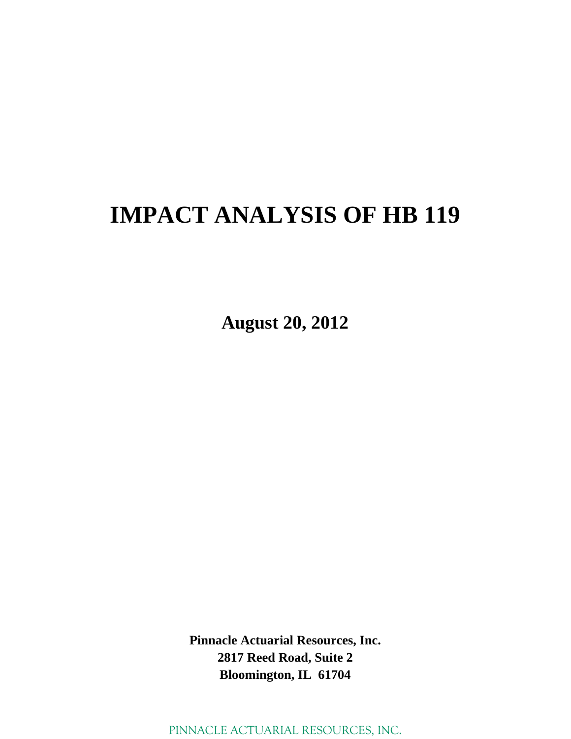# **IMPACT ANALYSIS OF HB 119**

**August 20, 2012** 

**Pinnacle Actuarial Resources, Inc. 2817 Reed Road, Suite 2 Bloomington, IL 61704**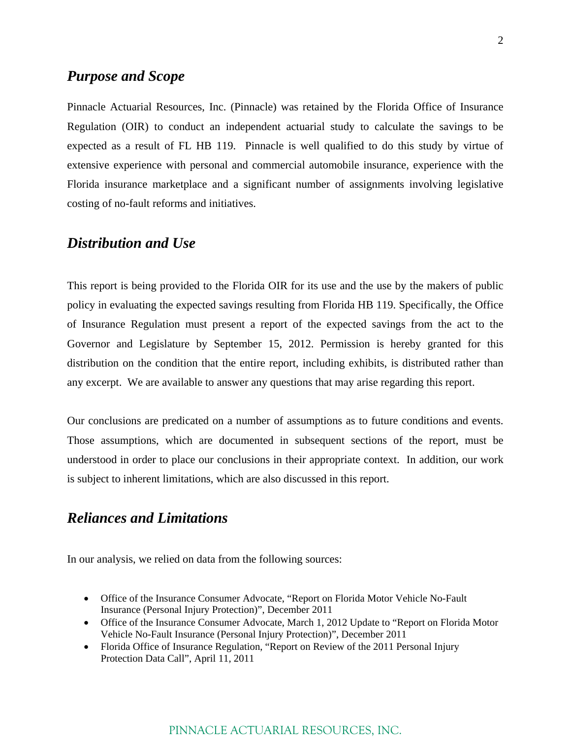### *Purpose and Scope*

Pinnacle Actuarial Resources, Inc. (Pinnacle) was retained by the Florida Office of Insurance Regulation (OIR) to conduct an independent actuarial study to calculate the savings to be expected as a result of FL HB 119. Pinnacle is well qualified to do this study by virtue of extensive experience with personal and commercial automobile insurance, experience with the Florida insurance marketplace and a significant number of assignments involving legislative costing of no-fault reforms and initiatives.

### *Distribution and Use*

This report is being provided to the Florida OIR for its use and the use by the makers of public policy in evaluating the expected savings resulting from Florida HB 119. Specifically, the Office of Insurance Regulation must present a report of the expected savings from the act to the Governor and Legislature by September 15, 2012. Permission is hereby granted for this distribution on the condition that the entire report, including exhibits, is distributed rather than any excerpt. We are available to answer any questions that may arise regarding this report.

Our conclusions are predicated on a number of assumptions as to future conditions and events. Those assumptions, which are documented in subsequent sections of the report, must be understood in order to place our conclusions in their appropriate context. In addition, our work is subject to inherent limitations, which are also discussed in this report.

## *Reliances and Limitations*

In our analysis, we relied on data from the following sources:

- Office of the Insurance Consumer Advocate, "Report on Florida Motor Vehicle No-Fault Insurance (Personal Injury Protection)", December 2011
- Office of the Insurance Consumer Advocate, March 1, 2012 Update to "Report on Florida Motor Vehicle No-Fault Insurance (Personal Injury Protection)", December 2011
- Florida Office of Insurance Regulation, "Report on Review of the 2011 Personal Injury Protection Data Call", April 11, 2011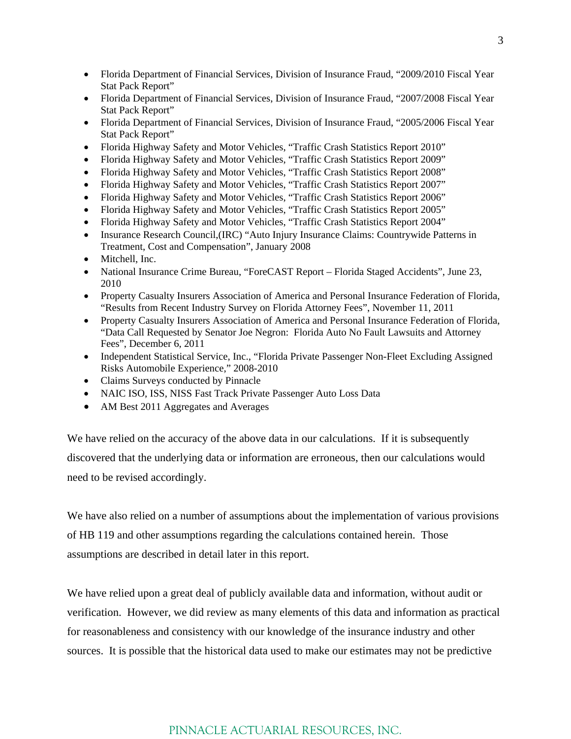- Florida Department of Financial Services, Division of Insurance Fraud, "2009/2010 Fiscal Year Stat Pack Report"
- Florida Department of Financial Services, Division of Insurance Fraud, "2007/2008 Fiscal Year Stat Pack Report"
- Florida Department of Financial Services, Division of Insurance Fraud, "2005/2006 Fiscal Year Stat Pack Report"
- Florida Highway Safety and Motor Vehicles, "Traffic Crash Statistics Report 2010"
- Florida Highway Safety and Motor Vehicles, "Traffic Crash Statistics Report 2009"
- Florida Highway Safety and Motor Vehicles, "Traffic Crash Statistics Report 2008"
- Florida Highway Safety and Motor Vehicles, "Traffic Crash Statistics Report 2007"
- Florida Highway Safety and Motor Vehicles, "Traffic Crash Statistics Report 2006"
- Florida Highway Safety and Motor Vehicles, "Traffic Crash Statistics Report 2005"
- Florida Highway Safety and Motor Vehicles, "Traffic Crash Statistics Report 2004"
- Insurance Research Council,(IRC) "Auto Injury Insurance Claims: Countrywide Patterns in Treatment, Cost and Compensation", January 2008
- Mitchell, Inc.
- National Insurance Crime Bureau, "ForeCAST Report Florida Staged Accidents", June 23, 2010
- Property Casualty Insurers Association of America and Personal Insurance Federation of Florida, "Results from Recent Industry Survey on Florida Attorney Fees", November 11, 2011
- Property Casualty Insurers Association of America and Personal Insurance Federation of Florida, "Data Call Requested by Senator Joe Negron: Florida Auto No Fault Lawsuits and Attorney Fees", December 6, 2011
- Independent Statistical Service, Inc., "Florida Private Passenger Non-Fleet Excluding Assigned Risks Automobile Experience," 2008-2010
- Claims Surveys conducted by Pinnacle
- NAIC ISO, ISS, NISS Fast Track Private Passenger Auto Loss Data
- AM Best 2011 Aggregates and Averages

We have relied on the accuracy of the above data in our calculations. If it is subsequently discovered that the underlying data or information are erroneous, then our calculations would need to be revised accordingly.

We have also relied on a number of assumptions about the implementation of various provisions of HB 119 and other assumptions regarding the calculations contained herein. Those assumptions are described in detail later in this report.

We have relied upon a great deal of publicly available data and information, without audit or verification. However, we did review as many elements of this data and information as practical for reasonableness and consistency with our knowledge of the insurance industry and other sources. It is possible that the historical data used to make our estimates may not be predictive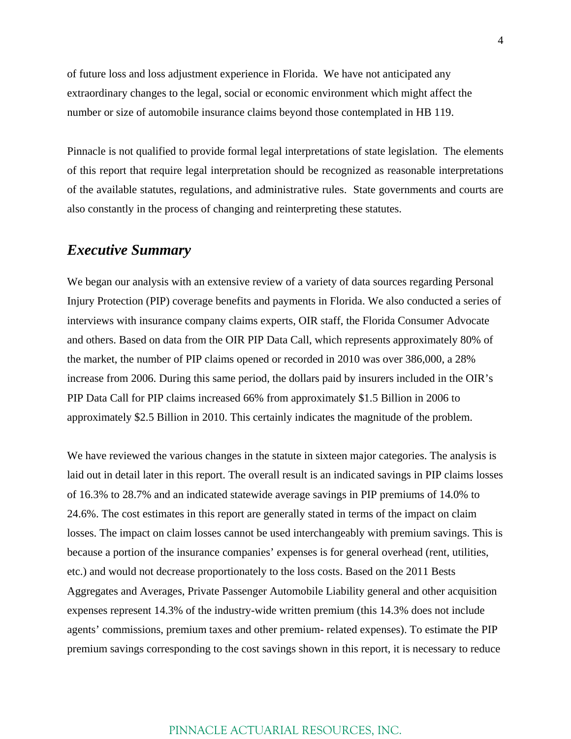of future loss and loss adjustment experience in Florida. We have not anticipated any extraordinary changes to the legal, social or economic environment which might affect the number or size of automobile insurance claims beyond those contemplated in HB 119.

Pinnacle is not qualified to provide formal legal interpretations of state legislation. The elements of this report that require legal interpretation should be recognized as reasonable interpretations of the available statutes, regulations, and administrative rules. State governments and courts are also constantly in the process of changing and reinterpreting these statutes.

## *Executive Summary*

We began our analysis with an extensive review of a variety of data sources regarding Personal Injury Protection (PIP) coverage benefits and payments in Florida. We also conducted a series of interviews with insurance company claims experts, OIR staff, the Florida Consumer Advocate and others. Based on data from the OIR PIP Data Call, which represents approximately 80% of the market, the number of PIP claims opened or recorded in 2010 was over 386,000, a 28% increase from 2006. During this same period, the dollars paid by insurers included in the OIR's PIP Data Call for PIP claims increased 66% from approximately \$1.5 Billion in 2006 to approximately \$2.5 Billion in 2010. This certainly indicates the magnitude of the problem.

We have reviewed the various changes in the statute in sixteen major categories. The analysis is laid out in detail later in this report. The overall result is an indicated savings in PIP claims losses of 16.3% to 28.7% and an indicated statewide average savings in PIP premiums of 14.0% to 24.6%. The cost estimates in this report are generally stated in terms of the impact on claim losses. The impact on claim losses cannot be used interchangeably with premium savings. This is because a portion of the insurance companies' expenses is for general overhead (rent, utilities, etc.) and would not decrease proportionately to the loss costs. Based on the 2011 Bests Aggregates and Averages, Private Passenger Automobile Liability general and other acquisition expenses represent 14.3% of the industry-wide written premium (this 14.3% does not include agents' commissions, premium taxes and other premium- related expenses). To estimate the PIP premium savings corresponding to the cost savings shown in this report, it is necessary to reduce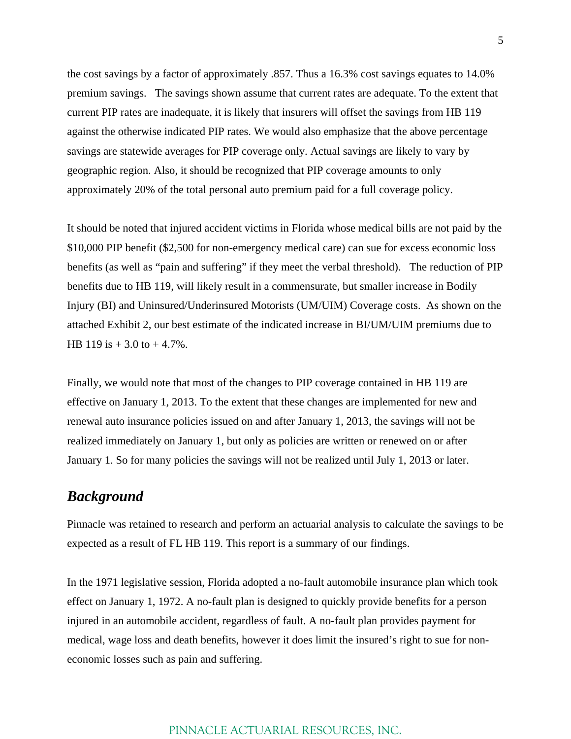the cost savings by a factor of approximately .857. Thus a 16.3% cost savings equates to 14.0% premium savings. The savings shown assume that current rates are adequate. To the extent that current PIP rates are inadequate, it is likely that insurers will offset the savings from HB 119 against the otherwise indicated PIP rates. We would also emphasize that the above percentage savings are statewide averages for PIP coverage only. Actual savings are likely to vary by geographic region. Also, it should be recognized that PIP coverage amounts to only approximately 20% of the total personal auto premium paid for a full coverage policy.

It should be noted that injured accident victims in Florida whose medical bills are not paid by the \$10,000 PIP benefit (\$2,500 for non-emergency medical care) can sue for excess economic loss benefits (as well as "pain and suffering" if they meet the verbal threshold). The reduction of PIP benefits due to HB 119, will likely result in a commensurate, but smaller increase in Bodily Injury (BI) and Uninsured/Underinsured Motorists (UM/UIM) Coverage costs. As shown on the attached Exhibit 2, our best estimate of the indicated increase in BI/UM/UIM premiums due to HB 119 is  $+3.0$  to  $+4.7\%$ .

Finally, we would note that most of the changes to PIP coverage contained in HB 119 are effective on January 1, 2013. To the extent that these changes are implemented for new and renewal auto insurance policies issued on and after January 1, 2013, the savings will not be realized immediately on January 1, but only as policies are written or renewed on or after January 1. So for many policies the savings will not be realized until July 1, 2013 or later.

## *Background*

Pinnacle was retained to research and perform an actuarial analysis to calculate the savings to be expected as a result of FL HB 119. This report is a summary of our findings.

In the 1971 legislative session, Florida adopted a no-fault automobile insurance plan which took effect on January 1, 1972. A no-fault plan is designed to quickly provide benefits for a person injured in an automobile accident, regardless of fault. A no-fault plan provides payment for medical, wage loss and death benefits, however it does limit the insured's right to sue for noneconomic losses such as pain and suffering.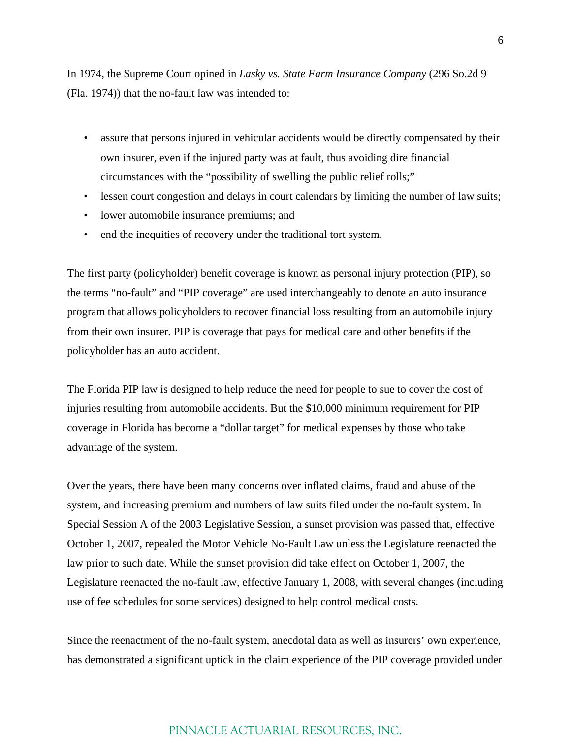In 1974, the Supreme Court opined in *Lasky vs. State Farm Insurance Company* (296 So.2d 9 (Fla. 1974)) that the no-fault law was intended to:

- assure that persons injured in vehicular accidents would be directly compensated by their own insurer, even if the injured party was at fault, thus avoiding dire financial circumstances with the "possibility of swelling the public relief rolls;"
- lessen court congestion and delays in court calendars by limiting the number of law suits;
- lower automobile insurance premiums; and
- end the inequities of recovery under the traditional tort system.

The first party (policyholder) benefit coverage is known as personal injury protection (PIP), so the terms "no-fault" and "PIP coverage" are used interchangeably to denote an auto insurance program that allows policyholders to recover financial loss resulting from an automobile injury from their own insurer. PIP is coverage that pays for medical care and other benefits if the policyholder has an auto accident.

The Florida PIP law is designed to help reduce the need for people to sue to cover the cost of injuries resulting from automobile accidents. But the \$10,000 minimum requirement for PIP coverage in Florida has become a "dollar target" for medical expenses by those who take advantage of the system.

Over the years, there have been many concerns over inflated claims, fraud and abuse of the system, and increasing premium and numbers of law suits filed under the no-fault system. In Special Session A of the 2003 Legislative Session, a sunset provision was passed that, effective October 1, 2007, repealed the Motor Vehicle No-Fault Law unless the Legislature reenacted the law prior to such date. While the sunset provision did take effect on October 1, 2007, the Legislature reenacted the no-fault law, effective January 1, 2008, with several changes (including use of fee schedules for some services) designed to help control medical costs.

Since the reenactment of the no-fault system, anecdotal data as well as insurers' own experience, has demonstrated a significant uptick in the claim experience of the PIP coverage provided under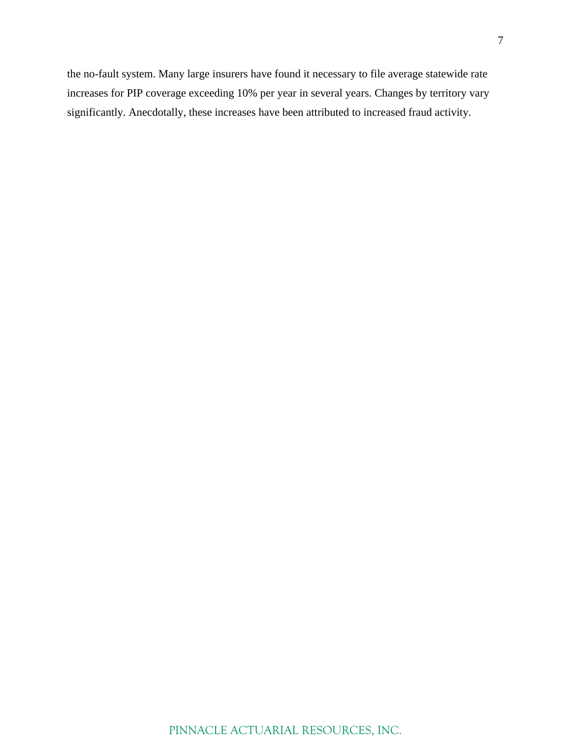the no-fault system. Many large insurers have found it necessary to file average statewide rate increases for PIP coverage exceeding 10% per year in several years. Changes by territory vary significantly. Anecdotally, these increases have been attributed to increased fraud activity.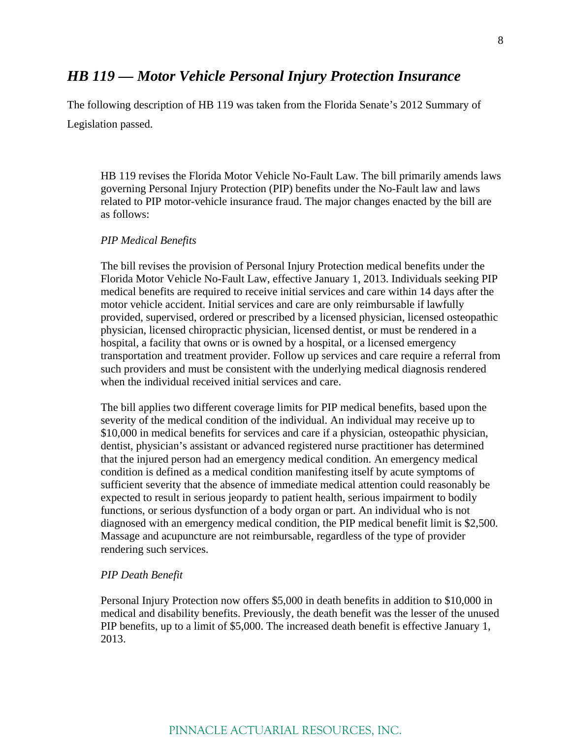### *HB 119 — Motor Vehicle Personal Injury Protection Insurance*

The following description of HB 119 was taken from the Florida Senate's 2012 Summary of Legislation passed.

HB 119 revises the Florida Motor Vehicle No-Fault Law. The bill primarily amends laws governing Personal Injury Protection (PIP) benefits under the No-Fault law and laws related to PIP motor-vehicle insurance fraud. The major changes enacted by the bill are as follows:

#### *PIP Medical Benefits*

The bill revises the provision of Personal Injury Protection medical benefits under the Florida Motor Vehicle No-Fault Law, effective January 1, 2013. Individuals seeking PIP medical benefits are required to receive initial services and care within 14 days after the motor vehicle accident. Initial services and care are only reimbursable if lawfully provided, supervised, ordered or prescribed by a licensed physician, licensed osteopathic physician, licensed chiropractic physician, licensed dentist, or must be rendered in a hospital, a facility that owns or is owned by a hospital, or a licensed emergency transportation and treatment provider. Follow up services and care require a referral from such providers and must be consistent with the underlying medical diagnosis rendered when the individual received initial services and care.

The bill applies two different coverage limits for PIP medical benefits, based upon the severity of the medical condition of the individual. An individual may receive up to \$10,000 in medical benefits for services and care if a physician, osteopathic physician, dentist, physician's assistant or advanced registered nurse practitioner has determined that the injured person had an emergency medical condition. An emergency medical condition is defined as a medical condition manifesting itself by acute symptoms of sufficient severity that the absence of immediate medical attention could reasonably be expected to result in serious jeopardy to patient health, serious impairment to bodily functions, or serious dysfunction of a body organ or part. An individual who is not diagnosed with an emergency medical condition, the PIP medical benefit limit is \$2,500. Massage and acupuncture are not reimbursable, regardless of the type of provider rendering such services.

#### *PIP Death Benefit*

Personal Injury Protection now offers \$5,000 in death benefits in addition to \$10,000 in medical and disability benefits. Previously, the death benefit was the lesser of the unused PIP benefits, up to a limit of \$5,000. The increased death benefit is effective January 1, 2013.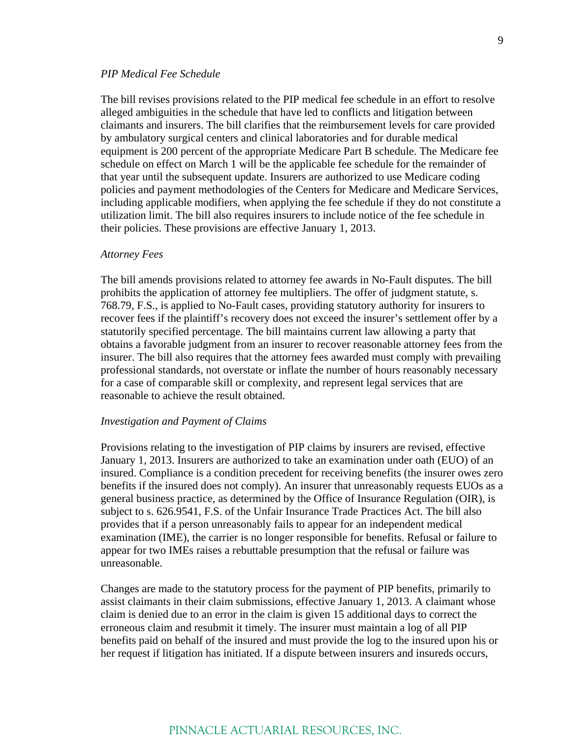#### *PIP Medical Fee Schedule*

The bill revises provisions related to the PIP medical fee schedule in an effort to resolve alleged ambiguities in the schedule that have led to conflicts and litigation between claimants and insurers. The bill clarifies that the reimbursement levels for care provided by ambulatory surgical centers and clinical laboratories and for durable medical equipment is 200 percent of the appropriate Medicare Part B schedule. The Medicare fee schedule on effect on March 1 will be the applicable fee schedule for the remainder of that year until the subsequent update. Insurers are authorized to use Medicare coding policies and payment methodologies of the Centers for Medicare and Medicare Services, including applicable modifiers, when applying the fee schedule if they do not constitute a utilization limit. The bill also requires insurers to include notice of the fee schedule in their policies. These provisions are effective January 1, 2013.

#### *Attorney Fees*

The bill amends provisions related to attorney fee awards in No-Fault disputes. The bill prohibits the application of attorney fee multipliers. The offer of judgment statute, s. 768.79, F.S., is applied to No-Fault cases, providing statutory authority for insurers to recover fees if the plaintiff's recovery does not exceed the insurer's settlement offer by a statutorily specified percentage. The bill maintains current law allowing a party that obtains a favorable judgment from an insurer to recover reasonable attorney fees from the insurer. The bill also requires that the attorney fees awarded must comply with prevailing professional standards, not overstate or inflate the number of hours reasonably necessary for a case of comparable skill or complexity, and represent legal services that are reasonable to achieve the result obtained.

#### *Investigation and Payment of Claims*

Provisions relating to the investigation of PIP claims by insurers are revised, effective January 1, 2013. Insurers are authorized to take an examination under oath (EUO) of an insured. Compliance is a condition precedent for receiving benefits (the insurer owes zero benefits if the insured does not comply). An insurer that unreasonably requests EUOs as a general business practice, as determined by the Office of Insurance Regulation (OIR), is subject to s. 626.9541, F.S. of the Unfair Insurance Trade Practices Act. The bill also provides that if a person unreasonably fails to appear for an independent medical examination (IME), the carrier is no longer responsible for benefits. Refusal or failure to appear for two IMEs raises a rebuttable presumption that the refusal or failure was unreasonable.

Changes are made to the statutory process for the payment of PIP benefits, primarily to assist claimants in their claim submissions, effective January 1, 2013. A claimant whose claim is denied due to an error in the claim is given 15 additional days to correct the erroneous claim and resubmit it timely. The insurer must maintain a log of all PIP benefits paid on behalf of the insured and must provide the log to the insured upon his or her request if litigation has initiated. If a dispute between insurers and insureds occurs,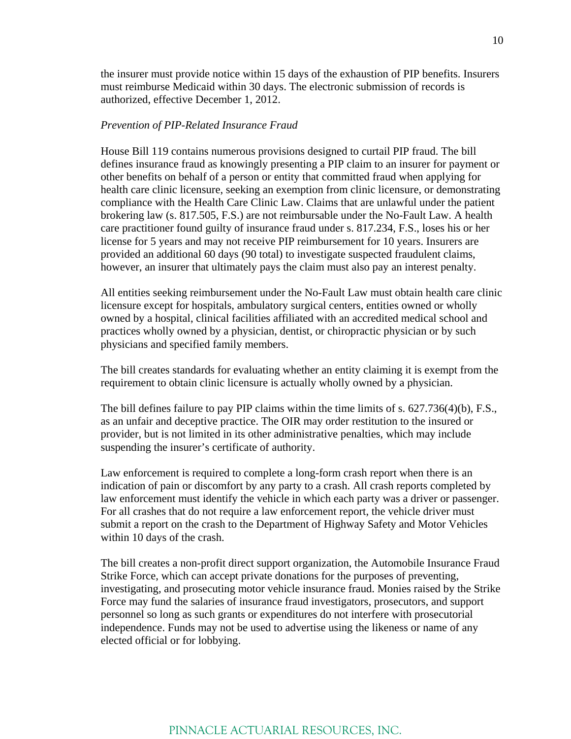the insurer must provide notice within 15 days of the exhaustion of PIP benefits. Insurers must reimburse Medicaid within 30 days. The electronic submission of records is authorized, effective December 1, 2012.

#### *Prevention of PIP-Related Insurance Fraud*

House Bill 119 contains numerous provisions designed to curtail PIP fraud. The bill defines insurance fraud as knowingly presenting a PIP claim to an insurer for payment or other benefits on behalf of a person or entity that committed fraud when applying for health care clinic licensure, seeking an exemption from clinic licensure, or demonstrating compliance with the Health Care Clinic Law. Claims that are unlawful under the patient brokering law (s. 817.505, F.S.) are not reimbursable under the No-Fault Law. A health care practitioner found guilty of insurance fraud under s. 817.234, F.S., loses his or her license for 5 years and may not receive PIP reimbursement for 10 years. Insurers are provided an additional 60 days (90 total) to investigate suspected fraudulent claims, however, an insurer that ultimately pays the claim must also pay an interest penalty.

All entities seeking reimbursement under the No-Fault Law must obtain health care clinic licensure except for hospitals, ambulatory surgical centers, entities owned or wholly owned by a hospital, clinical facilities affiliated with an accredited medical school and practices wholly owned by a physician, dentist, or chiropractic physician or by such physicians and specified family members.

The bill creates standards for evaluating whether an entity claiming it is exempt from the requirement to obtain clinic licensure is actually wholly owned by a physician.

The bill defines failure to pay PIP claims within the time limits of s. 627.736(4)(b), F.S., as an unfair and deceptive practice. The OIR may order restitution to the insured or provider, but is not limited in its other administrative penalties, which may include suspending the insurer's certificate of authority.

Law enforcement is required to complete a long-form crash report when there is an indication of pain or discomfort by any party to a crash. All crash reports completed by law enforcement must identify the vehicle in which each party was a driver or passenger. For all crashes that do not require a law enforcement report, the vehicle driver must submit a report on the crash to the Department of Highway Safety and Motor Vehicles within 10 days of the crash.

The bill creates a non-profit direct support organization, the Automobile Insurance Fraud Strike Force, which can accept private donations for the purposes of preventing, investigating, and prosecuting motor vehicle insurance fraud. Monies raised by the Strike Force may fund the salaries of insurance fraud investigators, prosecutors, and support personnel so long as such grants or expenditures do not interfere with prosecutorial independence. Funds may not be used to advertise using the likeness or name of any elected official or for lobbying.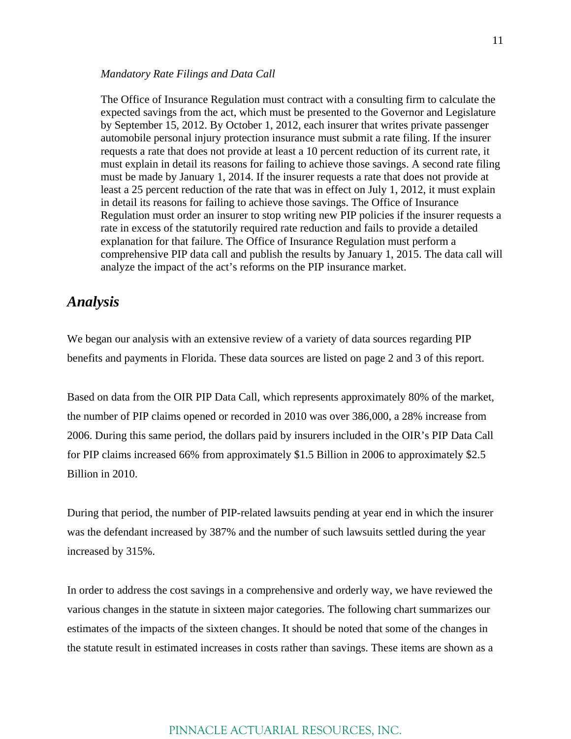#### *Mandatory Rate Filings and Data Call*

The Office of Insurance Regulation must contract with a consulting firm to calculate the expected savings from the act, which must be presented to the Governor and Legislature by September 15, 2012. By October 1, 2012, each insurer that writes private passenger automobile personal injury protection insurance must submit a rate filing. If the insurer requests a rate that does not provide at least a 10 percent reduction of its current rate, it must explain in detail its reasons for failing to achieve those savings. A second rate filing must be made by January 1, 2014. If the insurer requests a rate that does not provide at least a 25 percent reduction of the rate that was in effect on July 1, 2012, it must explain in detail its reasons for failing to achieve those savings. The Office of Insurance Regulation must order an insurer to stop writing new PIP policies if the insurer requests a rate in excess of the statutorily required rate reduction and fails to provide a detailed explanation for that failure. The Office of Insurance Regulation must perform a comprehensive PIP data call and publish the results by January 1, 2015. The data call will analyze the impact of the act's reforms on the PIP insurance market.

### *Analysis*

We began our analysis with an extensive review of a variety of data sources regarding PIP benefits and payments in Florida. These data sources are listed on page 2 and 3 of this report.

Based on data from the OIR PIP Data Call, which represents approximately 80% of the market, the number of PIP claims opened or recorded in 2010 was over 386,000, a 28% increase from 2006. During this same period, the dollars paid by insurers included in the OIR's PIP Data Call for PIP claims increased 66% from approximately \$1.5 Billion in 2006 to approximately \$2.5 Billion in 2010.

During that period, the number of PIP-related lawsuits pending at year end in which the insurer was the defendant increased by 387% and the number of such lawsuits settled during the year increased by 315%.

In order to address the cost savings in a comprehensive and orderly way, we have reviewed the various changes in the statute in sixteen major categories. The following chart summarizes our estimates of the impacts of the sixteen changes. It should be noted that some of the changes in the statute result in estimated increases in costs rather than savings. These items are shown as a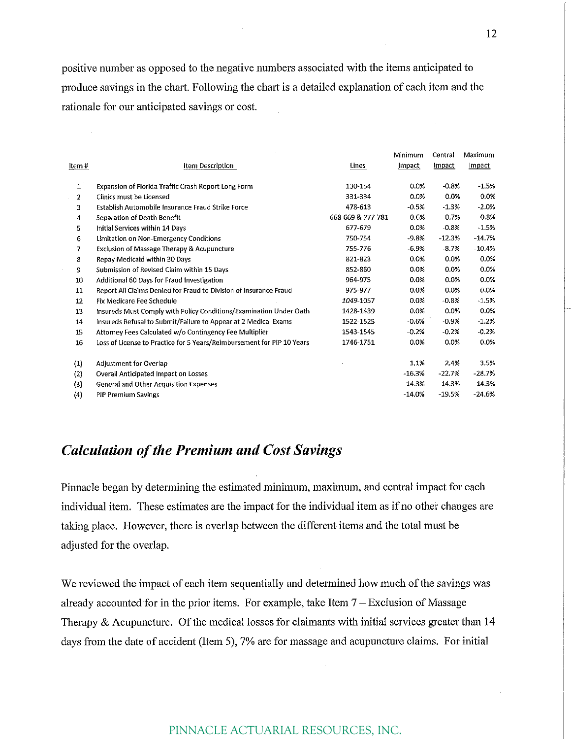positive number as opposed to the negative numbers associated with the items anticipated to produce savings in the chart. Following the chart is a detailed explanation of each item and the rationale for our anticipated savings or cost.

|              |                                                                        |                   | Minimum  | Central  | Maximum  |
|--------------|------------------------------------------------------------------------|-------------------|----------|----------|----------|
| ltem #       | Item Description                                                       | Lines             | Impact   | Impact   | Impact   |
| 1            | Expansion of Florida Traffic Crash Report Long Form                    | 130-154           | 0.0%     | $-0.8%$  | $-1.5%$  |
| $\mathbf{2}$ | Clinics must be Licensed                                               | 331-334           | 0.0%     | 0.0%     | 0.0%     |
| 3            | Establish Automobile Insurance Fraud Strike Force                      | 478-613           | $-0.5%$  | $-1.3%$  | $-2.0%$  |
| 4            | Separation of Death Benefit                                            | 668-669 & 777-781 | 0.6%     | 0.7%     | 0.8%     |
| 5            | Initial Services within 14 Days                                        | 677-679           | 0.0%     | $-0.8%$  | $-1.5%$  |
| 6            | Limitation on Non-Emergency Conditions                                 | 750-754           | $-9.8%$  | $-12.3%$ | $-14.7%$ |
| 7            | <b>Exclusion of Massage Therapy &amp; Acupuncture</b>                  | 755-776           | $-6.9%$  | $-8.7%$  | $-10.4%$ |
| 8            | Repay Medicald within 30 Days                                          | 821-823           | 0.0%     | 0.0%     | 0.0%     |
| 9            | Submission of Revised Claim within 15 Days                             | 852-860           | 0.0%     | 0.0%     | 0.0%     |
| 10           | Additional 60 Days for Fraud Investigation                             | 964-975           | 0.0%     | 0.0%     | 0.0%     |
| 11           | Report All Claims Denied for Fraud to Division of Insurance Fraud      | 975-977           | 0.0%     | 0.0%     | 0.0%     |
| 12           | <b>Fix Medicare Fee Schedule</b>                                       | 1049-1057         | $0.0\%$  | $-0.8%$  | $-1.5%$  |
| 13           | Insureds Must Comply with Policy Conditions/Examination Under Oath     | 1428-1439         | 0.0%     | 0.0%     | 0.0%     |
| 14           | Insureds Refusal to Submit/Failure to Appear at 2 Medical Exams        | 1522-1525         | $-0.6%$  | $-0.9%$  | $-1.2%$  |
| 15           | Attorney Fees Calculated w/o Contingency Fee Multiplier                | 1543-1545         | $-0.2%$  | $-0.2%$  | $-0.2%$  |
| 16           | Loss of License to Practice for 5 Years/Reimbursement for PIP 10 Years | 1746-1751         | $0.0\%$  | 0.0%     | 0.0%     |
| (1)          | Adjustment for Overlap                                                 |                   | 1.1%     | 2.4%     | 3.5%     |
| (2)          | Overall Anticipated Impact on Losses                                   |                   | $-16.3%$ | $-22.7%$ | $-28.7%$ |
| (3)          | General and Other Acquisition Expenses                                 |                   | 14.3%    | 14.3%    | 14.3%    |
| (4)          | <b>PIP Premium Savings</b>                                             |                   | $-14.0%$ | $-19.5%$ | $-24.6%$ |

## **Calculation of the Premium and Cost Savings**

Pinnacle began by determining the estimated minimum, maximum, and central impact for each individual item. These estimates are the impact for the individual item as if no other changes are taking place. However, there is overlap between the different items and the total must be adjusted for the overlap.

We reviewed the impact of each item sequentially and determined how much of the savings was already accounted for in the prior items. For example, take Item  $7 -$  Exclusion of Massage Therapy  $\&$  Acupuncture. Of the medical losses for claimants with initial services greater than 14 days from the date of accident (Item 5), 7% are for massage and acupuncture claims. For initial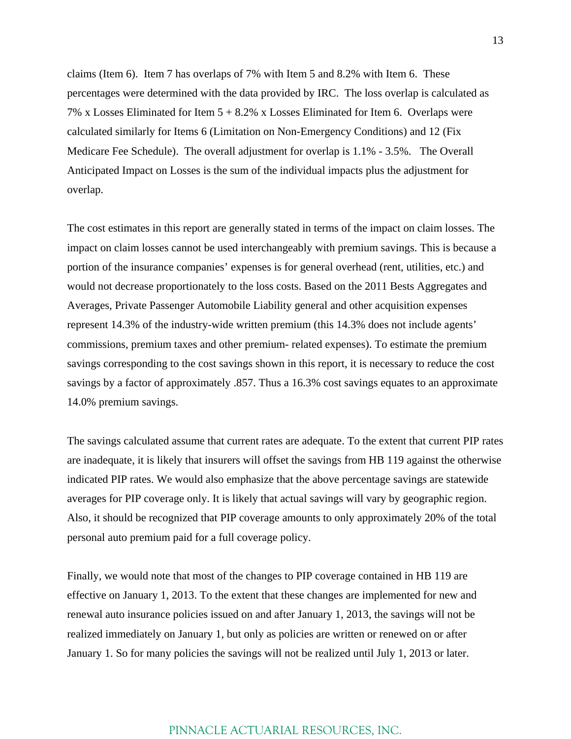claims (Item 6). Item 7 has overlaps of 7% with Item 5 and 8.2% with Item 6. These percentages were determined with the data provided by IRC. The loss overlap is calculated as 7% x Losses Eliminated for Item 5 + 8.2% x Losses Eliminated for Item 6. Overlaps were calculated similarly for Items 6 (Limitation on Non-Emergency Conditions) and 12 (Fix Medicare Fee Schedule). The overall adjustment for overlap is 1.1% - 3.5%. The Overall Anticipated Impact on Losses is the sum of the individual impacts plus the adjustment for overlap.

The cost estimates in this report are generally stated in terms of the impact on claim losses. The impact on claim losses cannot be used interchangeably with premium savings. This is because a portion of the insurance companies' expenses is for general overhead (rent, utilities, etc.) and would not decrease proportionately to the loss costs. Based on the 2011 Bests Aggregates and Averages, Private Passenger Automobile Liability general and other acquisition expenses represent 14.3% of the industry-wide written premium (this 14.3% does not include agents' commissions, premium taxes and other premium- related expenses). To estimate the premium savings corresponding to the cost savings shown in this report, it is necessary to reduce the cost savings by a factor of approximately .857. Thus a 16.3% cost savings equates to an approximate 14.0% premium savings.

The savings calculated assume that current rates are adequate. To the extent that current PIP rates are inadequate, it is likely that insurers will offset the savings from HB 119 against the otherwise indicated PIP rates. We would also emphasize that the above percentage savings are statewide averages for PIP coverage only. It is likely that actual savings will vary by geographic region. Also, it should be recognized that PIP coverage amounts to only approximately 20% of the total personal auto premium paid for a full coverage policy.

Finally, we would note that most of the changes to PIP coverage contained in HB 119 are effective on January 1, 2013. To the extent that these changes are implemented for new and renewal auto insurance policies issued on and after January 1, 2013, the savings will not be realized immediately on January 1, but only as policies are written or renewed on or after January 1. So for many policies the savings will not be realized until July 1, 2013 or later.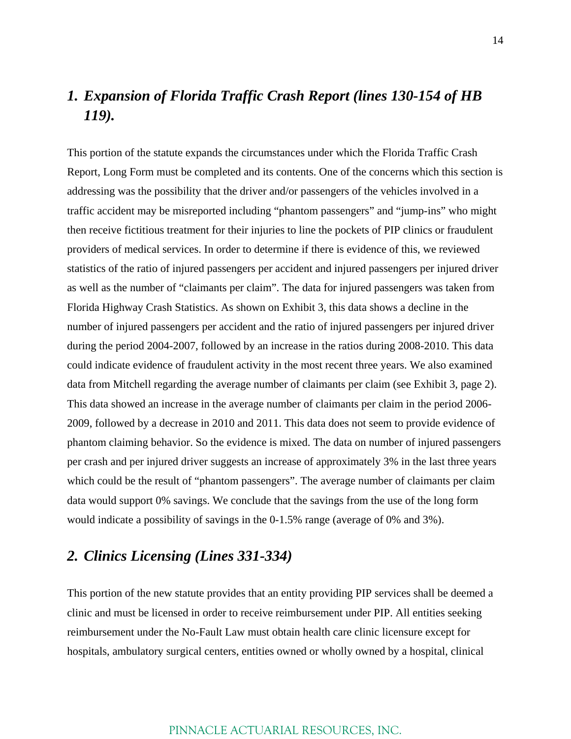## *1. Expansion of Florida Traffic Crash Report (lines 130-154 of HB 119).*

This portion of the statute expands the circumstances under which the Florida Traffic Crash Report, Long Form must be completed and its contents. One of the concerns which this section is addressing was the possibility that the driver and/or passengers of the vehicles involved in a traffic accident may be misreported including "phantom passengers" and "jump-ins" who might then receive fictitious treatment for their injuries to line the pockets of PIP clinics or fraudulent providers of medical services. In order to determine if there is evidence of this, we reviewed statistics of the ratio of injured passengers per accident and injured passengers per injured driver as well as the number of "claimants per claim". The data for injured passengers was taken from Florida Highway Crash Statistics. As shown on Exhibit 3, this data shows a decline in the number of injured passengers per accident and the ratio of injured passengers per injured driver during the period 2004-2007, followed by an increase in the ratios during 2008-2010. This data could indicate evidence of fraudulent activity in the most recent three years. We also examined data from Mitchell regarding the average number of claimants per claim (see Exhibit 3, page 2). This data showed an increase in the average number of claimants per claim in the period 2006- 2009, followed by a decrease in 2010 and 2011. This data does not seem to provide evidence of phantom claiming behavior. So the evidence is mixed. The data on number of injured passengers per crash and per injured driver suggests an increase of approximately 3% in the last three years which could be the result of "phantom passengers". The average number of claimants per claim data would support 0% savings. We conclude that the savings from the use of the long form would indicate a possibility of savings in the 0-1.5% range (average of 0% and 3%).

## *2. Clinics Licensing (Lines 331-334)*

This portion of the new statute provides that an entity providing PIP services shall be deemed a clinic and must be licensed in order to receive reimbursement under PIP. All entities seeking reimbursement under the No-Fault Law must obtain health care clinic licensure except for hospitals, ambulatory surgical centers, entities owned or wholly owned by a hospital, clinical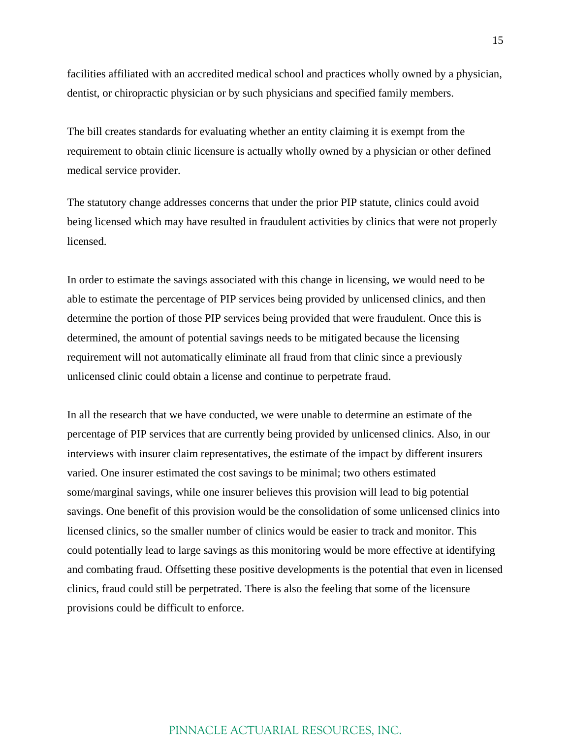facilities affiliated with an accredited medical school and practices wholly owned by a physician, dentist, or chiropractic physician or by such physicians and specified family members.

The bill creates standards for evaluating whether an entity claiming it is exempt from the requirement to obtain clinic licensure is actually wholly owned by a physician or other defined medical service provider.

The statutory change addresses concerns that under the prior PIP statute, clinics could avoid being licensed which may have resulted in fraudulent activities by clinics that were not properly licensed.

In order to estimate the savings associated with this change in licensing, we would need to be able to estimate the percentage of PIP services being provided by unlicensed clinics, and then determine the portion of those PIP services being provided that were fraudulent. Once this is determined, the amount of potential savings needs to be mitigated because the licensing requirement will not automatically eliminate all fraud from that clinic since a previously unlicensed clinic could obtain a license and continue to perpetrate fraud.

In all the research that we have conducted, we were unable to determine an estimate of the percentage of PIP services that are currently being provided by unlicensed clinics. Also, in our interviews with insurer claim representatives, the estimate of the impact by different insurers varied. One insurer estimated the cost savings to be minimal; two others estimated some/marginal savings, while one insurer believes this provision will lead to big potential savings. One benefit of this provision would be the consolidation of some unlicensed clinics into licensed clinics, so the smaller number of clinics would be easier to track and monitor. This could potentially lead to large savings as this monitoring would be more effective at identifying and combating fraud. Offsetting these positive developments is the potential that even in licensed clinics, fraud could still be perpetrated. There is also the feeling that some of the licensure provisions could be difficult to enforce.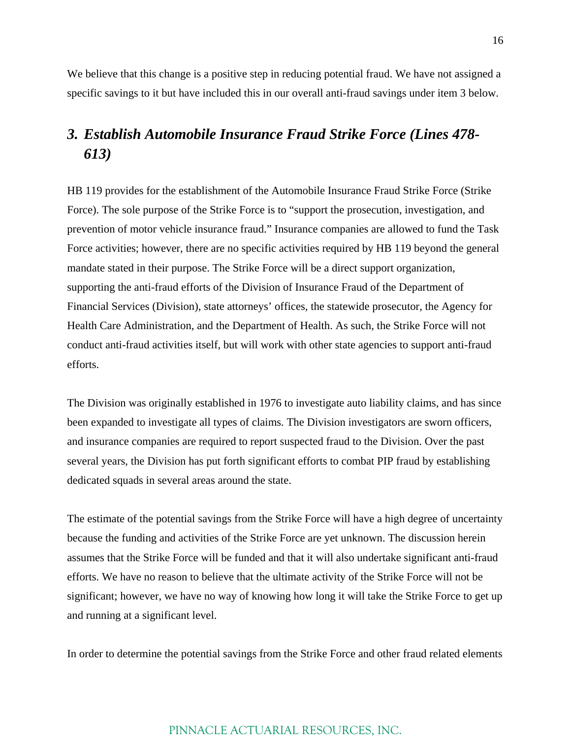We believe that this change is a positive step in reducing potential fraud. We have not assigned a specific savings to it but have included this in our overall anti-fraud savings under item 3 below.

## *3. Establish Automobile Insurance Fraud Strike Force (Lines 478- 613)*

HB 119 provides for the establishment of the Automobile Insurance Fraud Strike Force (Strike Force). The sole purpose of the Strike Force is to "support the prosecution, investigation, and prevention of motor vehicle insurance fraud." Insurance companies are allowed to fund the Task Force activities; however, there are no specific activities required by HB 119 beyond the general mandate stated in their purpose. The Strike Force will be a direct support organization, supporting the anti-fraud efforts of the Division of Insurance Fraud of the Department of Financial Services (Division), state attorneys' offices, the statewide prosecutor, the Agency for Health Care Administration, and the Department of Health. As such, the Strike Force will not conduct anti-fraud activities itself, but will work with other state agencies to support anti-fraud efforts.

The Division was originally established in 1976 to investigate auto liability claims, and has since been expanded to investigate all types of claims. The Division investigators are sworn officers, and insurance companies are required to report suspected fraud to the Division. Over the past several years, the Division has put forth significant efforts to combat PIP fraud by establishing dedicated squads in several areas around the state.

The estimate of the potential savings from the Strike Force will have a high degree of uncertainty because the funding and activities of the Strike Force are yet unknown. The discussion herein assumes that the Strike Force will be funded and that it will also undertake significant anti-fraud efforts. We have no reason to believe that the ultimate activity of the Strike Force will not be significant; however, we have no way of knowing how long it will take the Strike Force to get up and running at a significant level.

In order to determine the potential savings from the Strike Force and other fraud related elements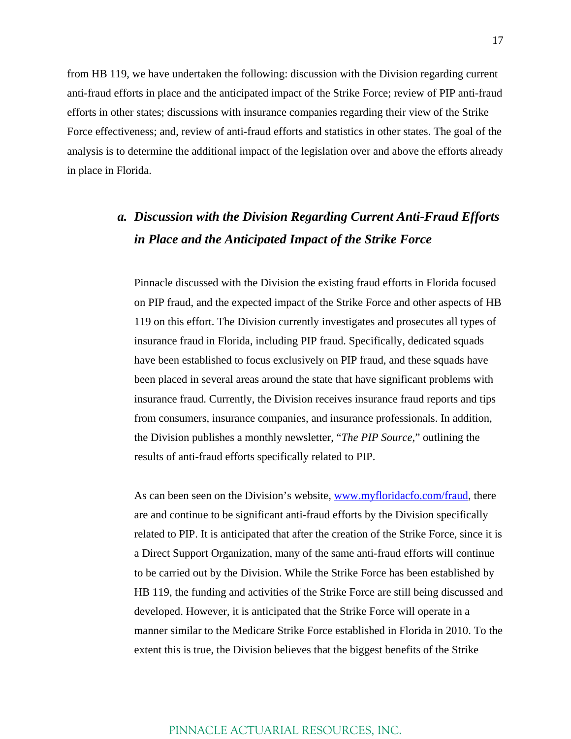from HB 119, we have undertaken the following: discussion with the Division regarding current anti-fraud efforts in place and the anticipated impact of the Strike Force; review of PIP anti-fraud efforts in other states; discussions with insurance companies regarding their view of the Strike Force effectiveness; and, review of anti-fraud efforts and statistics in other states. The goal of the analysis is to determine the additional impact of the legislation over and above the efforts already in place in Florida.

## *a. Discussion with the Division Regarding Current Anti-Fraud Efforts in Place and the Anticipated Impact of the Strike Force*

Pinnacle discussed with the Division the existing fraud efforts in Florida focused on PIP fraud, and the expected impact of the Strike Force and other aspects of HB 119 on this effort. The Division currently investigates and prosecutes all types of insurance fraud in Florida, including PIP fraud. Specifically, dedicated squads have been established to focus exclusively on PIP fraud, and these squads have been placed in several areas around the state that have significant problems with insurance fraud. Currently, the Division receives insurance fraud reports and tips from consumers, insurance companies, and insurance professionals. In addition, the Division publishes a monthly newsletter, "*The PIP Source*," outlining the results of anti-fraud efforts specifically related to PIP.

As can been seen on the Division's website, www.myfloridacfo.com/fraud, there are and continue to be significant anti-fraud efforts by the Division specifically related to PIP. It is anticipated that after the creation of the Strike Force, since it is a Direct Support Organization, many of the same anti-fraud efforts will continue to be carried out by the Division. While the Strike Force has been established by HB 119, the funding and activities of the Strike Force are still being discussed and developed. However, it is anticipated that the Strike Force will operate in a manner similar to the Medicare Strike Force established in Florida in 2010. To the extent this is true, the Division believes that the biggest benefits of the Strike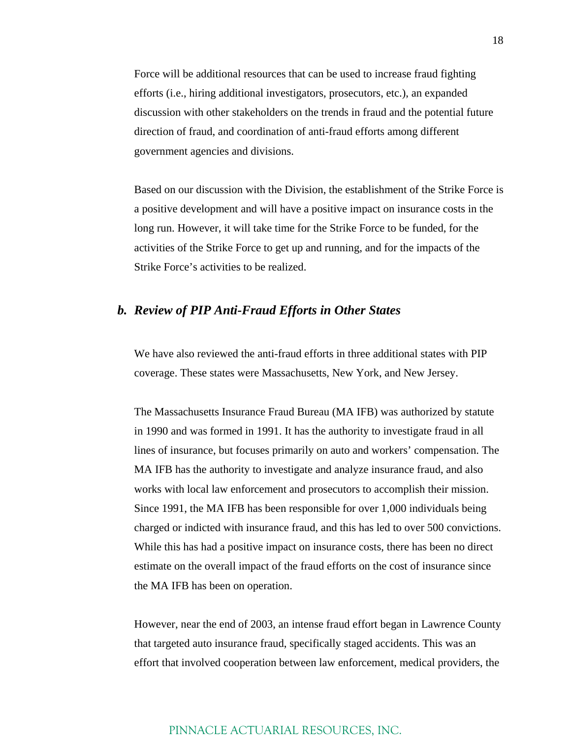Force will be additional resources that can be used to increase fraud fighting efforts (i.e., hiring additional investigators, prosecutors, etc.), an expanded discussion with other stakeholders on the trends in fraud and the potential future direction of fraud, and coordination of anti-fraud efforts among different government agencies and divisions.

Based on our discussion with the Division, the establishment of the Strike Force is a positive development and will have a positive impact on insurance costs in the long run. However, it will take time for the Strike Force to be funded, for the activities of the Strike Force to get up and running, and for the impacts of the Strike Force's activities to be realized.

#### *b. Review of PIP Anti-Fraud Efforts in Other States*

We have also reviewed the anti-fraud efforts in three additional states with PIP coverage. These states were Massachusetts, New York, and New Jersey.

The Massachusetts Insurance Fraud Bureau (MA IFB) was authorized by statute in 1990 and was formed in 1991. It has the authority to investigate fraud in all lines of insurance, but focuses primarily on auto and workers' compensation. The MA IFB has the authority to investigate and analyze insurance fraud, and also works with local law enforcement and prosecutors to accomplish their mission. Since 1991, the MA IFB has been responsible for over 1,000 individuals being charged or indicted with insurance fraud, and this has led to over 500 convictions. While this has had a positive impact on insurance costs, there has been no direct estimate on the overall impact of the fraud efforts on the cost of insurance since the MA IFB has been on operation.

However, near the end of 2003, an intense fraud effort began in Lawrence County that targeted auto insurance fraud, specifically staged accidents. This was an effort that involved cooperation between law enforcement, medical providers, the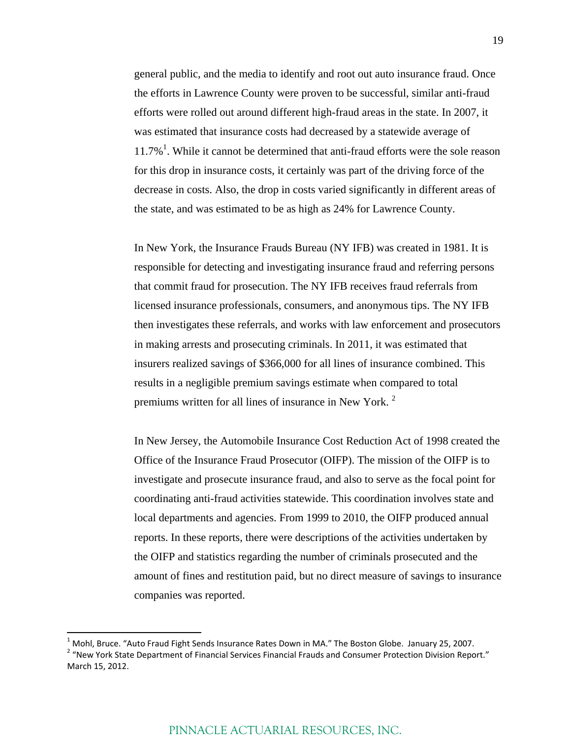general public, and the media to identify and root out auto insurance fraud. Once the efforts in Lawrence County were proven to be successful, similar anti-fraud efforts were rolled out around different high-fraud areas in the state. In 2007, it was estimated that insurance costs had decreased by a statewide average of  $11.7\%$ <sup>1</sup>. While it cannot be determined that anti-fraud efforts were the sole reason for this drop in insurance costs, it certainly was part of the driving force of the decrease in costs. Also, the drop in costs varied significantly in different areas of the state, and was estimated to be as high as 24% for Lawrence County.

In New York, the Insurance Frauds Bureau (NY IFB) was created in 1981. It is responsible for detecting and investigating insurance fraud and referring persons that commit fraud for prosecution. The NY IFB receives fraud referrals from licensed insurance professionals, consumers, and anonymous tips. The NY IFB then investigates these referrals, and works with law enforcement and prosecutors in making arrests and prosecuting criminals. In 2011, it was estimated that insurers realized savings of \$366,000 for all lines of insurance combined. This results in a negligible premium savings estimate when compared to total premiums written for all lines of insurance in New York. <sup>2</sup>

In New Jersey, the Automobile Insurance Cost Reduction Act of 1998 created the Office of the Insurance Fraud Prosecutor (OIFP). The mission of the OIFP is to investigate and prosecute insurance fraud, and also to serve as the focal point for coordinating anti-fraud activities statewide. This coordination involves state and local departments and agencies. From 1999 to 2010, the OIFP produced annual reports. In these reports, there were descriptions of the activities undertaken by the OIFP and statistics regarding the number of criminals prosecuted and the amount of fines and restitution paid, but no direct measure of savings to insurance companies was reported.

<sup>&</sup>lt;sup>1</sup> Mohl, Bruce. "Auto Fraud Fight Sends Insurance Rates Down in MA." The Boston Globe. January 25, 2007.<br><sup>2</sup> "New York State Department of Financial Services Financial Frauds and Consumer Protection Division Report." March 15, 2012.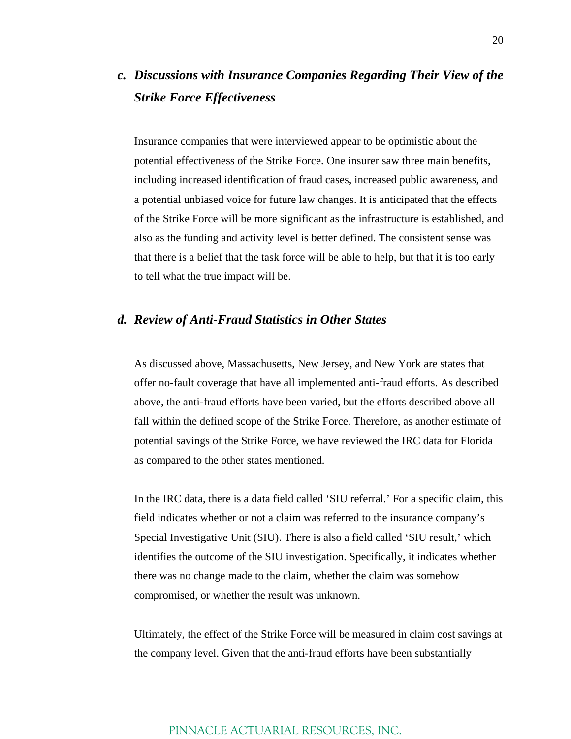## *c. Discussions with Insurance Companies Regarding Their View of the Strike Force Effectiveness*

Insurance companies that were interviewed appear to be optimistic about the potential effectiveness of the Strike Force. One insurer saw three main benefits, including increased identification of fraud cases, increased public awareness, and a potential unbiased voice for future law changes. It is anticipated that the effects of the Strike Force will be more significant as the infrastructure is established, and also as the funding and activity level is better defined. The consistent sense was that there is a belief that the task force will be able to help, but that it is too early to tell what the true impact will be.

#### *d. Review of Anti-Fraud Statistics in Other States*

As discussed above, Massachusetts, New Jersey, and New York are states that offer no-fault coverage that have all implemented anti-fraud efforts. As described above, the anti-fraud efforts have been varied, but the efforts described above all fall within the defined scope of the Strike Force. Therefore, as another estimate of potential savings of the Strike Force, we have reviewed the IRC data for Florida as compared to the other states mentioned.

In the IRC data, there is a data field called 'SIU referral.' For a specific claim, this field indicates whether or not a claim was referred to the insurance company's Special Investigative Unit (SIU). There is also a field called 'SIU result,' which identifies the outcome of the SIU investigation. Specifically, it indicates whether there was no change made to the claim, whether the claim was somehow compromised, or whether the result was unknown.

Ultimately, the effect of the Strike Force will be measured in claim cost savings at the company level. Given that the anti-fraud efforts have been substantially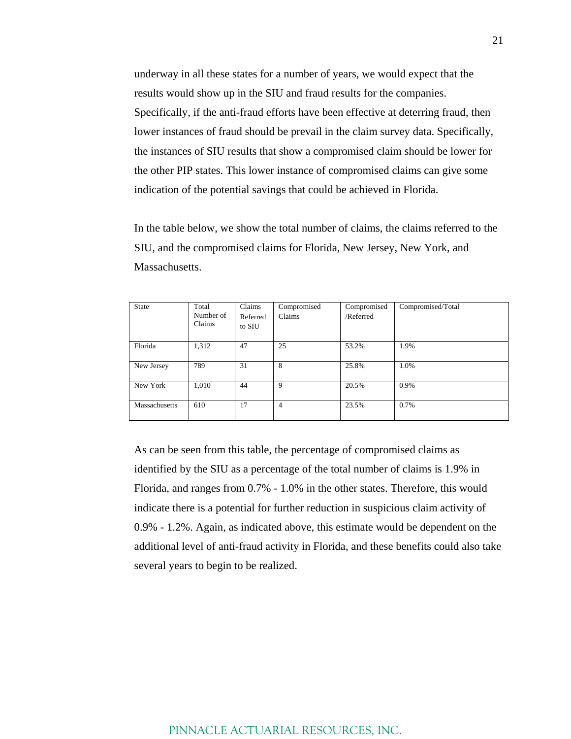underway in all these states for a number of years, we would expect that the results would show up in the SIU and fraud results for the companies. Specifically, if the anti-fraud efforts have been effective at deterring fraud, then lower instances of fraud should be prevail in the claim survey data. Specifically, the instances of SIU results that show a compromised claim should be lower for the other PIP states. This lower instance of compromised claims can give some indication of the potential savings that could be achieved in Florida.

In the table below, we show the total number of claims, the claims referred to the SIU, and the compromised claims for Florida, New Jersey, New York, and Massachusetts.

| State         | Total     | Claims   | Compromised    | Compromised | Compromised/Total |
|---------------|-----------|----------|----------------|-------------|-------------------|
|               | Number of | Referred | Claims         | /Referred   |                   |
|               | Claims    | to SIU   |                |             |                   |
|               |           |          |                |             |                   |
| Florida       | 1,312     | 47       | 25             | 53.2%       | 1.9%              |
|               |           |          |                |             |                   |
| New Jersey    | 789       | 31       | 8              | 25.8%       | 1.0%              |
|               |           |          |                |             |                   |
| New York      | 1,010     | 44       | 9              | 20.5%       | 0.9%              |
|               |           |          |                |             |                   |
| Massachusetts | 610       | 17       | $\overline{4}$ | 23.5%       | 0.7%              |
|               |           |          |                |             |                   |

As can be seen from this table, the percentage of compromised claims as identified by the SIU as a percentage of the total number of claims is 1.9% in Florida, and ranges from 0.7% - 1.0% in the other states. Therefore, this would indicate there is a potential for further reduction in suspicious claim activity of 0.9% - 1.2%. Again, as indicated above, this estimate would be dependent on the additional level of anti-fraud activity in Florida, and these benefits could also take several years to begin to be realized.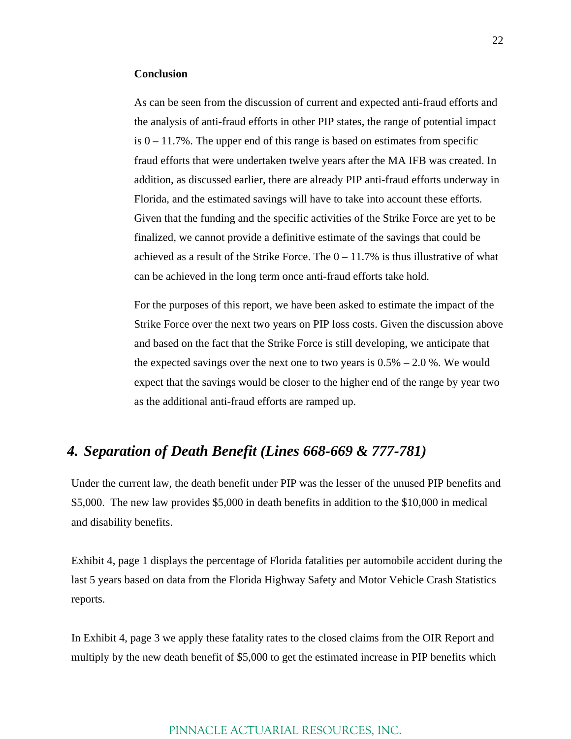#### **Conclusion**

As can be seen from the discussion of current and expected anti-fraud efforts and the analysis of anti-fraud efforts in other PIP states, the range of potential impact is  $0 - 11.7\%$ . The upper end of this range is based on estimates from specific fraud efforts that were undertaken twelve years after the MA IFB was created. In addition, as discussed earlier, there are already PIP anti-fraud efforts underway in Florida, and the estimated savings will have to take into account these efforts. Given that the funding and the specific activities of the Strike Force are yet to be finalized, we cannot provide a definitive estimate of the savings that could be achieved as a result of the Strike Force. The  $0 - 11.7\%$  is thus illustrative of what can be achieved in the long term once anti-fraud efforts take hold.

For the purposes of this report, we have been asked to estimate the impact of the Strike Force over the next two years on PIP loss costs. Given the discussion above and based on the fact that the Strike Force is still developing, we anticipate that the expected savings over the next one to two years is  $0.5% - 2.0%$ . We would expect that the savings would be closer to the higher end of the range by year two as the additional anti-fraud efforts are ramped up.

### *4. Separation of Death Benefit (Lines 668-669 & 777-781)*

Under the current law, the death benefit under PIP was the lesser of the unused PIP benefits and \$5,000. The new law provides \$5,000 in death benefits in addition to the \$10,000 in medical and disability benefits.

Exhibit 4, page 1 displays the percentage of Florida fatalities per automobile accident during the last 5 years based on data from the Florida Highway Safety and Motor Vehicle Crash Statistics reports.

In Exhibit 4, page 3 we apply these fatality rates to the closed claims from the OIR Report and multiply by the new death benefit of \$5,000 to get the estimated increase in PIP benefits which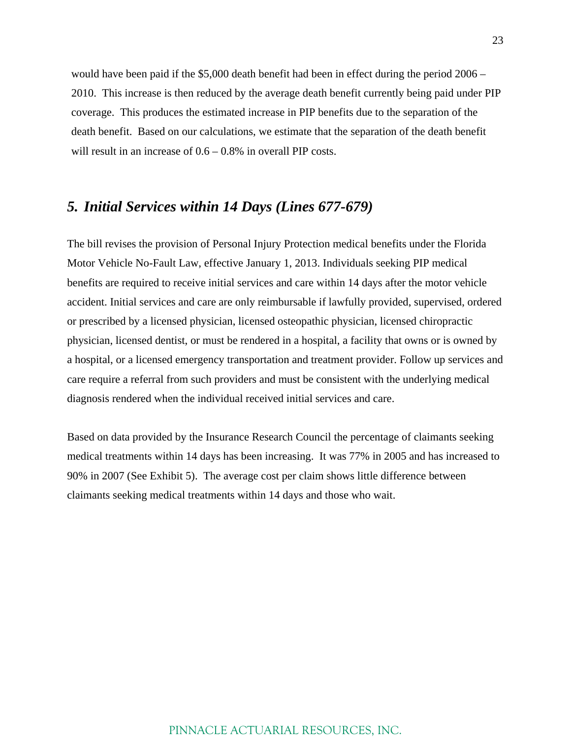would have been paid if the \$5,000 death benefit had been in effect during the period 2006 – 2010. This increase is then reduced by the average death benefit currently being paid under PIP coverage. This produces the estimated increase in PIP benefits due to the separation of the death benefit. Based on our calculations, we estimate that the separation of the death benefit will result in an increase of  $0.6 - 0.8\%$  in overall PIP costs.

## *5. Initial Services within 14 Days (Lines 677-679)*

The bill revises the provision of Personal Injury Protection medical benefits under the Florida Motor Vehicle No-Fault Law, effective January 1, 2013. Individuals seeking PIP medical benefits are required to receive initial services and care within 14 days after the motor vehicle accident. Initial services and care are only reimbursable if lawfully provided, supervised, ordered or prescribed by a licensed physician, licensed osteopathic physician, licensed chiropractic physician, licensed dentist, or must be rendered in a hospital, a facility that owns or is owned by a hospital, or a licensed emergency transportation and treatment provider. Follow up services and care require a referral from such providers and must be consistent with the underlying medical diagnosis rendered when the individual received initial services and care.

Based on data provided by the Insurance Research Council the percentage of claimants seeking medical treatments within 14 days has been increasing. It was 77% in 2005 and has increased to 90% in 2007 (See Exhibit 5). The average cost per claim shows little difference between claimants seeking medical treatments within 14 days and those who wait.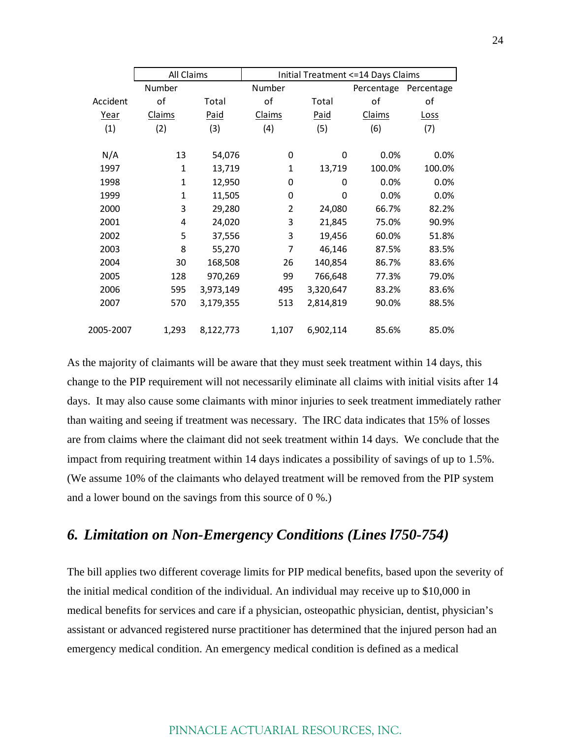|           | All Claims   |           |        | Initial Treatment <= 14 Days Claims |            |             |  |
|-----------|--------------|-----------|--------|-------------------------------------|------------|-------------|--|
|           | Number       |           | Number |                                     | Percentage | Percentage  |  |
| Accident  | of           | Total     | of     | Total                               | оf         | οf          |  |
| Year      | Claims       | Paid      | Claims | Paid                                | Claims     | <b>Loss</b> |  |
| (1)       | (2)          | (3)       | (4)    | (5)                                 | (6)        | (7)         |  |
|           |              |           |        |                                     |            |             |  |
| N/A       | 13           | 54,076    | 0      | 0                                   | 0.0%       | 0.0%        |  |
| 1997      | $\mathbf{1}$ | 13,719    | 1      | 13,719                              | 100.0%     | 100.0%      |  |
| 1998      | 1            | 12,950    | 0      | 0                                   | 0.0%       | 0.0%        |  |
| 1999      | 1            | 11,505    | 0      | 0                                   | 0.0%       | 0.0%        |  |
| 2000      | 3            | 29,280    | 2      | 24,080                              | 66.7%      | 82.2%       |  |
| 2001      | 4            | 24,020    | 3      | 21,845                              | 75.0%      | 90.9%       |  |
| 2002      | 5            | 37,556    | 3      | 19,456                              | 60.0%      | 51.8%       |  |
| 2003      | 8            | 55,270    | 7      | 46,146                              | 87.5%      | 83.5%       |  |
| 2004      | 30           | 168,508   | 26     | 140,854                             | 86.7%      | 83.6%       |  |
| 2005      | 128          | 970,269   | 99     | 766,648                             | 77.3%      | 79.0%       |  |
| 2006      | 595          | 3,973,149 | 495    | 3,320,647                           | 83.2%      | 83.6%       |  |
| 2007      | 570          | 3,179,355 | 513    | 2,814,819                           | 90.0%      | 88.5%       |  |
|           |              |           |        |                                     |            |             |  |
| 2005-2007 | 1,293        | 8,122,773 | 1,107  | 6,902,114                           | 85.6%      | 85.0%       |  |

As the majority of claimants will be aware that they must seek treatment within 14 days, this change to the PIP requirement will not necessarily eliminate all claims with initial visits after 14 days. It may also cause some claimants with minor injuries to seek treatment immediately rather than waiting and seeing if treatment was necessary. The IRC data indicates that 15% of losses are from claims where the claimant did not seek treatment within 14 days. We conclude that the impact from requiring treatment within 14 days indicates a possibility of savings of up to 1.5%. (We assume 10% of the claimants who delayed treatment will be removed from the PIP system and a lower bound on the savings from this source of 0 %.)

## *6. Limitation on Non-Emergency Conditions (Lines l750-754)*

The bill applies two different coverage limits for PIP medical benefits, based upon the severity of the initial medical condition of the individual. An individual may receive up to \$10,000 in medical benefits for services and care if a physician, osteopathic physician, dentist, physician's assistant or advanced registered nurse practitioner has determined that the injured person had an emergency medical condition. An emergency medical condition is defined as a medical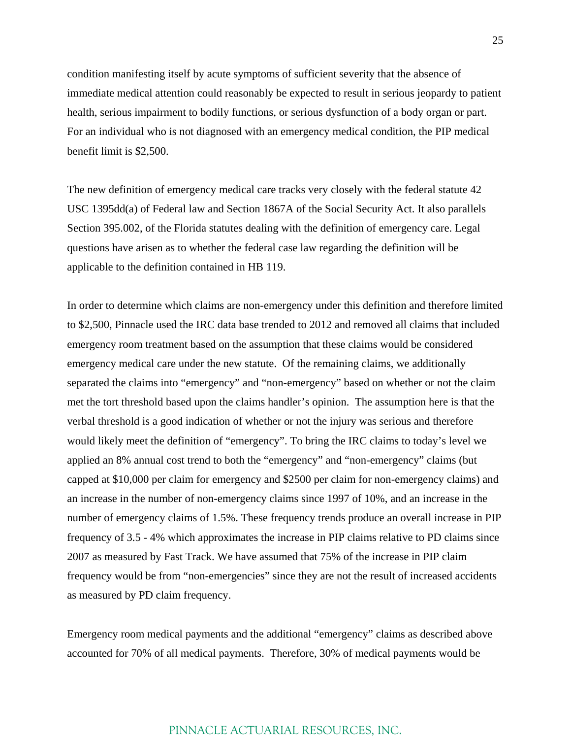condition manifesting itself by acute symptoms of sufficient severity that the absence of immediate medical attention could reasonably be expected to result in serious jeopardy to patient health, serious impairment to bodily functions, or serious dysfunction of a body organ or part. For an individual who is not diagnosed with an emergency medical condition, the PIP medical benefit limit is \$2,500.

The new definition of emergency medical care tracks very closely with the federal statute 42 USC 1395dd(a) of Federal law and Section 1867A of the Social Security Act. It also parallels Section 395.002, of the Florida statutes dealing with the definition of emergency care. Legal questions have arisen as to whether the federal case law regarding the definition will be applicable to the definition contained in HB 119.

In order to determine which claims are non-emergency under this definition and therefore limited to \$2,500, Pinnacle used the IRC data base trended to 2012 and removed all claims that included emergency room treatment based on the assumption that these claims would be considered emergency medical care under the new statute. Of the remaining claims, we additionally separated the claims into "emergency" and "non-emergency" based on whether or not the claim met the tort threshold based upon the claims handler's opinion. The assumption here is that the verbal threshold is a good indication of whether or not the injury was serious and therefore would likely meet the definition of "emergency". To bring the IRC claims to today's level we applied an 8% annual cost trend to both the "emergency" and "non-emergency" claims (but capped at \$10,000 per claim for emergency and \$2500 per claim for non-emergency claims) and an increase in the number of non-emergency claims since 1997 of 10%, and an increase in the number of emergency claims of 1.5%. These frequency trends produce an overall increase in PIP frequency of 3.5 - 4% which approximates the increase in PIP claims relative to PD claims since 2007 as measured by Fast Track. We have assumed that 75% of the increase in PIP claim frequency would be from "non-emergencies" since they are not the result of increased accidents as measured by PD claim frequency.

Emergency room medical payments and the additional "emergency" claims as described above accounted for 70% of all medical payments. Therefore, 30% of medical payments would be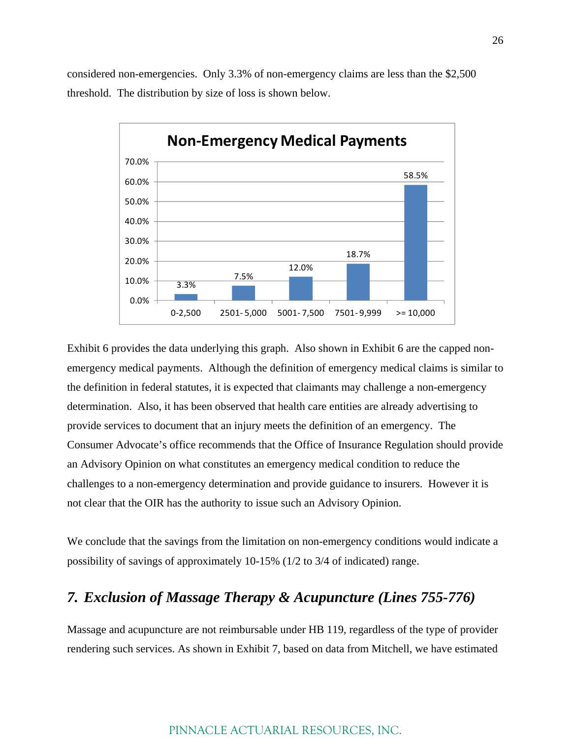considered non-emergencies. Only 3.3% of non-emergency claims are less than the \$2,500 threshold. The distribution by size of loss is shown below.



Exhibit 6 provides the data underlying this graph. Also shown in Exhibit 6 are the capped nonemergency medical payments. Although the definition of emergency medical claims is similar to the definition in federal statutes, it is expected that claimants may challenge a non-emergency determination. Also, it has been observed that health care entities are already advertising to provide services to document that an injury meets the definition of an emergency. The Consumer Advocate's office recommends that the Office of Insurance Regulation should provide an Advisory Opinion on what constitutes an emergency medical condition to reduce the challenges to a non-emergency determination and provide guidance to insurers. However it is not clear that the OIR has the authority to issue such an Advisory Opinion.

We conclude that the savings from the limitation on non-emergency conditions would indicate a possibility of savings of approximately 10-15% (1/2 to 3/4 of indicated) range.

## *7. Exclusion of Massage Therapy & Acupuncture (Lines 755-776)*

Massage and acupuncture are not reimbursable under HB 119, regardless of the type of provider rendering such services. As shown in Exhibit 7, based on data from Mitchell, we have estimated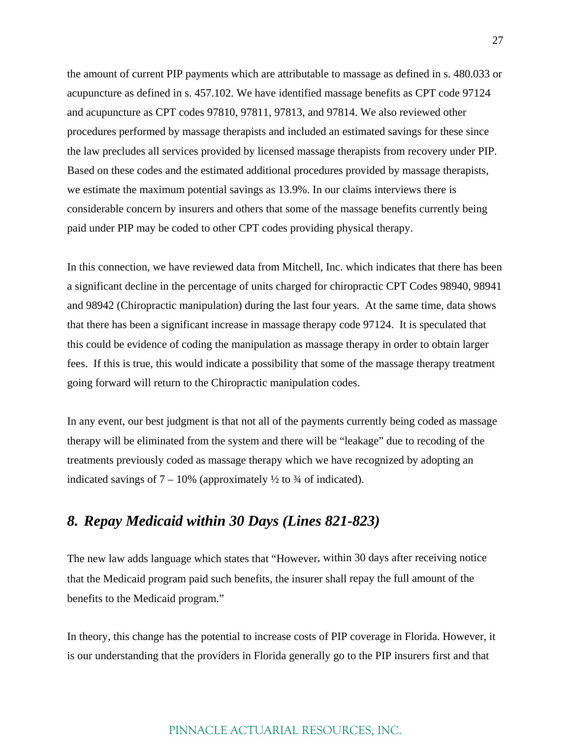the amount of current PIP payments which are attributable to massage as defined in s. 480.033 or acupuncture as defined in s. 457.102. We have identified massage benefits as CPT code 97124 and acupuncture as CPT codes 97810, 97811, 97813, and 97814. We also reviewed other procedures performed by massage therapists and included an estimated savings for these since the law precludes all services provided by licensed massage therapists from recovery under PIP. Based on these codes and the estimated additional procedures provided by massage therapists, we estimate the maximum potential savings as 13.9%. In our claims interviews there is considerable concern by insurers and others that some of the massage benefits currently being paid under PIP may be coded to other CPT codes providing physical therapy.

In this connection, we have reviewed data from Mitchell, Inc. which indicates that there has been a significant decline in the percentage of units charged for chiropractic CPT Codes 98940, 98941 and 98942 (Chiropractic manipulation) during the last four years. At the same time, data shows that there has been a significant increase in massage therapy code 97124. It is speculated that this could be evidence of coding the manipulation as massage therapy in order to obtain larger fees. If this is true, this would indicate a possibility that some of the massage therapy treatment going forward will return to the Chiropractic manipulation codes.

In any event, our best judgment is that not all of the payments currently being coded as massage therapy will be eliminated from the system and there will be "leakage" due to recoding of the treatments previously coded as massage therapy which we have recognized by adopting an indicated savings of  $7 - 10\%$  (approximately  $\frac{1}{2}$  to  $\frac{3}{4}$  of indicated).

## *8. Repay Medicaid within 30 Days (Lines 821-823)*

The new law adds language which states that "However, within 30 days after receiving notice that the Medicaid program paid such benefits, the insurer shall repay the full amount of the benefits to the Medicaid program."

In theory, this change has the potential to increase costs of PIP coverage in Florida. However, it is our understanding that the providers in Florida generally go to the PIP insurers first and that

#### 27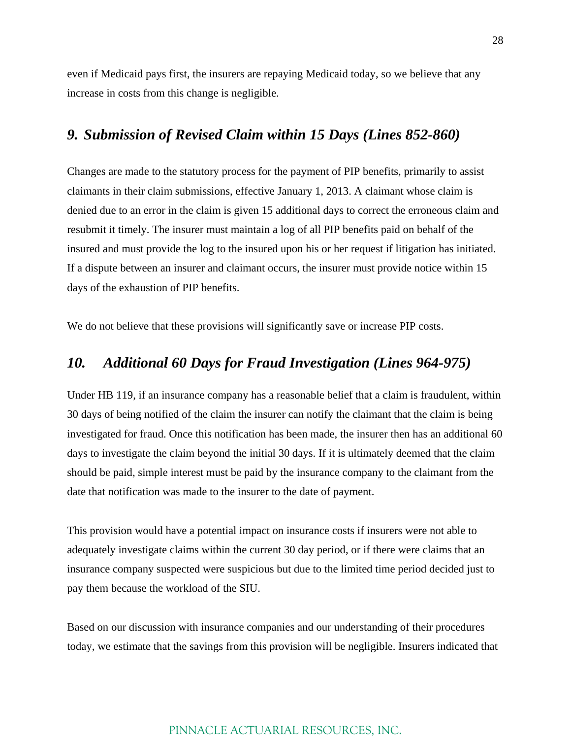even if Medicaid pays first, the insurers are repaying Medicaid today, so we believe that any increase in costs from this change is negligible.

## *9. Submission of Revised Claim within 15 Days (Lines 852-860)*

Changes are made to the statutory process for the payment of PIP benefits, primarily to assist claimants in their claim submissions, effective January 1, 2013. A claimant whose claim is denied due to an error in the claim is given 15 additional days to correct the erroneous claim and resubmit it timely. The insurer must maintain a log of all PIP benefits paid on behalf of the insured and must provide the log to the insured upon his or her request if litigation has initiated. If a dispute between an insurer and claimant occurs, the insurer must provide notice within 15 days of the exhaustion of PIP benefits.

We do not believe that these provisions will significantly save or increase PIP costs.

### *10. Additional 60 Days for Fraud Investigation (Lines 964-975)*

Under HB 119, if an insurance company has a reasonable belief that a claim is fraudulent, within 30 days of being notified of the claim the insurer can notify the claimant that the claim is being investigated for fraud. Once this notification has been made, the insurer then has an additional 60 days to investigate the claim beyond the initial 30 days. If it is ultimately deemed that the claim should be paid, simple interest must be paid by the insurance company to the claimant from the date that notification was made to the insurer to the date of payment.

This provision would have a potential impact on insurance costs if insurers were not able to adequately investigate claims within the current 30 day period, or if there were claims that an insurance company suspected were suspicious but due to the limited time period decided just to pay them because the workload of the SIU.

Based on our discussion with insurance companies and our understanding of their procedures today, we estimate that the savings from this provision will be negligible. Insurers indicated that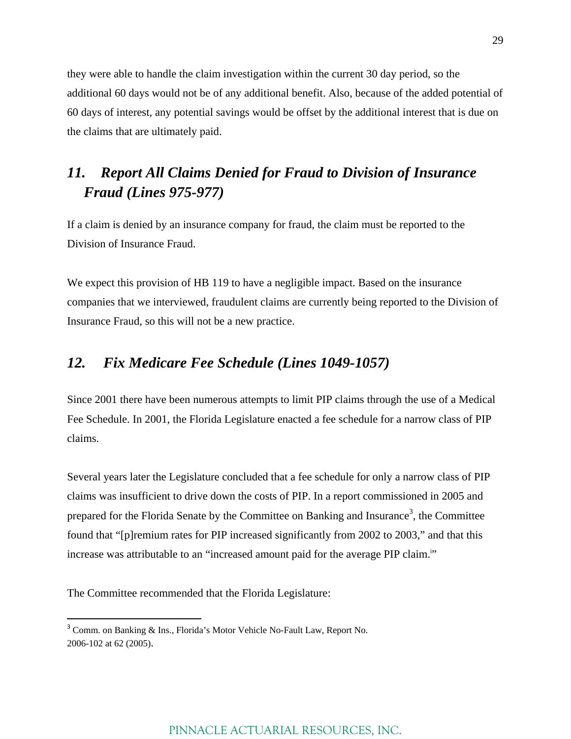they were able to handle the claim investigation within the current 30 day period, so the additional 60 days would not be of any additional benefit. Also, because of the added potential of 60 days of interest, any potential savings would be offset by the additional interest that is due on the claims that are ultimately paid.

## *11. Report All Claims Denied for Fraud to Division of Insurance Fraud (Lines 975-977)*

If a claim is denied by an insurance company for fraud, the claim must be reported to the Division of Insurance Fraud.

We expect this provision of HB 119 to have a negligible impact. Based on the insurance companies that we interviewed, fraudulent claims are currently being reported to the Division of Insurance Fraud, so this will not be a new practice.

## *12. Fix Medicare Fee Schedule (Lines 1049-1057)*

Since 2001 there have been numerous attempts to limit PIP claims through the use of a Medical Fee Schedule. In 2001, the Florida Legislature enacted a fee schedule for a narrow class of PIP claims.

Several years later the Legislature concluded that a fee schedule for only a narrow class of PIP claims was insufficient to drive down the costs of PIP. In a report commissioned in 2005 and prepared for the Florida Senate by the Committee on Banking and Insurance<sup>3</sup>, the Committee found that "[p]remium rates for PIP increased significantly from 2002 to 2003," and that this increase was attributable to an "increased amount paid for the average PIP claim."

The Committee recommended that the Florida Legislature:

<sup>&</sup>lt;sup>3</sup> Comm. on Banking & Ins., Florida's Motor Vehicle No-Fault Law, Report No. 2006-102 at 62 (2005).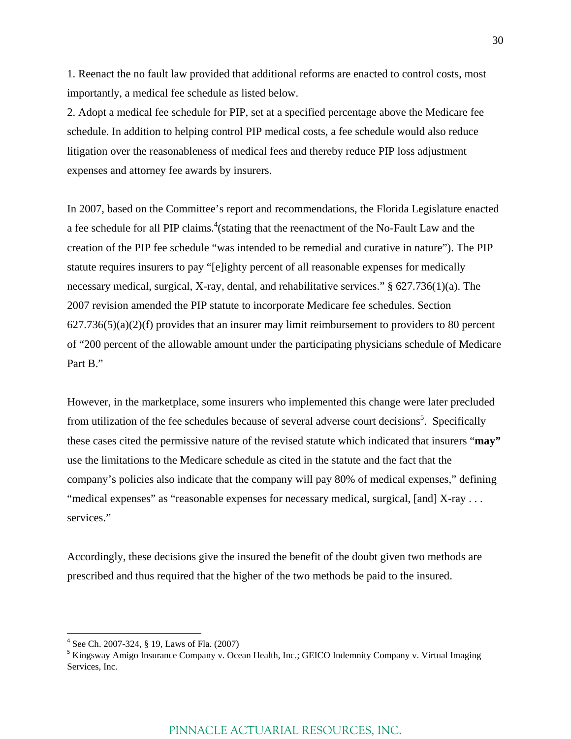1. Reenact the no fault law provided that additional reforms are enacted to control costs, most importantly, a medical fee schedule as listed below.

2. Adopt a medical fee schedule for PIP, set at a specified percentage above the Medicare fee schedule. In addition to helping control PIP medical costs, a fee schedule would also reduce litigation over the reasonableness of medical fees and thereby reduce PIP loss adjustment expenses and attorney fee awards by insurers.

In 2007, based on the Committee's report and recommendations, the Florida Legislature enacted a fee schedule for all PIP claims.<sup>4</sup> (stating that the reenactment of the No-Fault Law and the creation of the PIP fee schedule "was intended to be remedial and curative in nature"). The PIP statute requires insurers to pay "[e]ighty percent of all reasonable expenses for medically necessary medical, surgical, X-ray, dental, and rehabilitative services." § 627.736(1)(a). The 2007 revision amended the PIP statute to incorporate Medicare fee schedules. Section  $627.736(5)(a)(2)(f)$  provides that an insurer may limit reimbursement to providers to 80 percent of "200 percent of the allowable amount under the participating physicians schedule of Medicare Part B."

However, in the marketplace, some insurers who implemented this change were later precluded from utilization of the fee schedules because of several adverse court decisions<sup>5</sup>. Specifically these cases cited the permissive nature of the revised statute which indicated that insurers "**may"** use the limitations to the Medicare schedule as cited in the statute and the fact that the company's policies also indicate that the company will pay 80% of medical expenses," defining "medical expenses" as "reasonable expenses for necessary medical, surgical, [and] X-ray ... services."

Accordingly, these decisions give the insured the benefit of the doubt given two methods are prescribed and thus required that the higher of the two methods be paid to the insured.

<sup>4</sup> See Ch. 2007-324, § 19, Laws of Fla. (2007)

<sup>&</sup>lt;sup>5</sup> Kingsway Amigo Insurance Company v. Ocean Health, Inc.; GEICO Indemnity Company v. Virtual Imaging Services, Inc.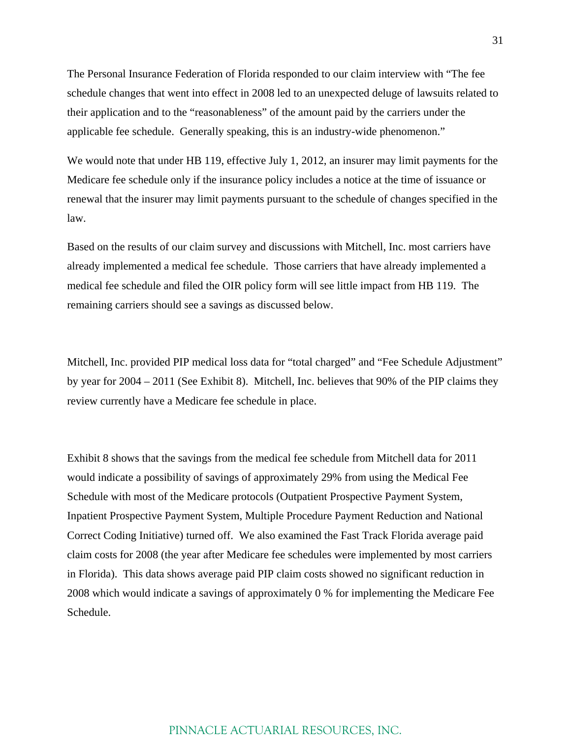The Personal Insurance Federation of Florida responded to our claim interview with "The fee schedule changes that went into effect in 2008 led to an unexpected deluge of lawsuits related to their application and to the "reasonableness" of the amount paid by the carriers under the applicable fee schedule. Generally speaking, this is an industry-wide phenomenon."

We would note that under HB 119, effective July 1, 2012, an insurer may limit payments for the Medicare fee schedule only if the insurance policy includes a notice at the time of issuance or renewal that the insurer may limit payments pursuant to the schedule of changes specified in the law.

Based on the results of our claim survey and discussions with Mitchell, Inc. most carriers have already implemented a medical fee schedule. Those carriers that have already implemented a medical fee schedule and filed the OIR policy form will see little impact from HB 119. The remaining carriers should see a savings as discussed below.

Mitchell, Inc. provided PIP medical loss data for "total charged" and "Fee Schedule Adjustment" by year for 2004 – 2011 (See Exhibit 8). Mitchell, Inc. believes that 90% of the PIP claims they review currently have a Medicare fee schedule in place.

Exhibit 8 shows that the savings from the medical fee schedule from Mitchell data for 2011 would indicate a possibility of savings of approximately 29% from using the Medical Fee Schedule with most of the Medicare protocols (Outpatient Prospective Payment System, Inpatient Prospective Payment System, Multiple Procedure Payment Reduction and National Correct Coding Initiative) turned off. We also examined the Fast Track Florida average paid claim costs for 2008 (the year after Medicare fee schedules were implemented by most carriers in Florida). This data shows average paid PIP claim costs showed no significant reduction in 2008 which would indicate a savings of approximately 0 % for implementing the Medicare Fee Schedule.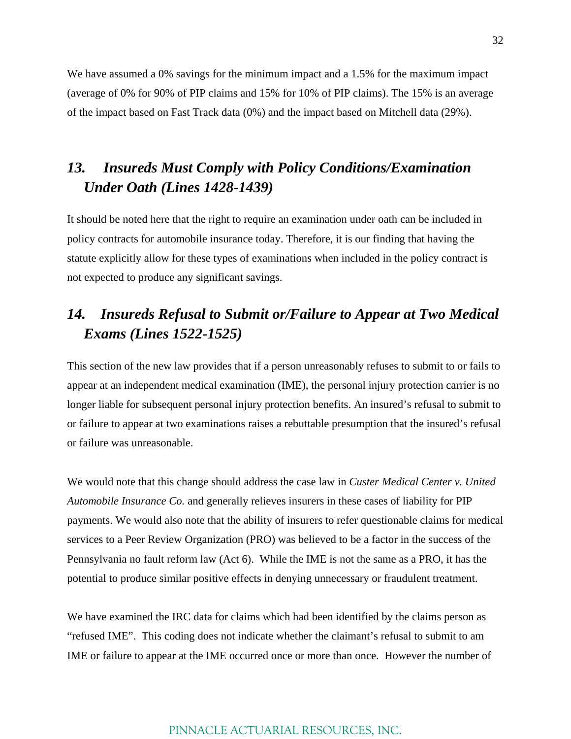We have assumed a 0% savings for the minimum impact and a 1.5% for the maximum impact (average of 0% for 90% of PIP claims and 15% for 10% of PIP claims). The 15% is an average of the impact based on Fast Track data (0%) and the impact based on Mitchell data (29%).

## *13. Insureds Must Comply with Policy Conditions/Examination Under Oath (Lines 1428-1439)*

It should be noted here that the right to require an examination under oath can be included in policy contracts for automobile insurance today. Therefore, it is our finding that having the statute explicitly allow for these types of examinations when included in the policy contract is not expected to produce any significant savings.

## *14. Insureds Refusal to Submit or/Failure to Appear at Two Medical Exams (Lines 1522-1525)*

This section of the new law provides that if a person unreasonably refuses to submit to or fails to appear at an independent medical examination (IME), the personal injury protection carrier is no longer liable for subsequent personal injury protection benefits. An insured's refusal to submit to or failure to appear at two examinations raises a rebuttable presumption that the insured's refusal or failure was unreasonable.

We would note that this change should address the case law in *Custer Medical Center v. United Automobile Insurance Co.* and generally relieves insurers in these cases of liability for PIP payments. We would also note that the ability of insurers to refer questionable claims for medical services to a Peer Review Organization (PRO) was believed to be a factor in the success of the Pennsylvania no fault reform law (Act 6). While the IME is not the same as a PRO, it has the potential to produce similar positive effects in denying unnecessary or fraudulent treatment.

We have examined the IRC data for claims which had been identified by the claims person as "refused IME". This coding does not indicate whether the claimant's refusal to submit to am IME or failure to appear at the IME occurred once or more than once. However the number of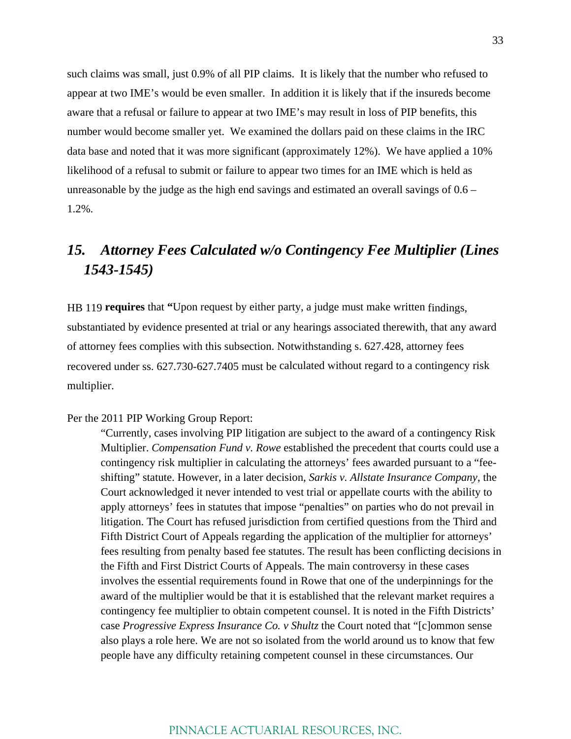such claims was small, just 0.9% of all PIP claims. It is likely that the number who refused to appear at two IME's would be even smaller. In addition it is likely that if the insureds become aware that a refusal or failure to appear at two IME's may result in loss of PIP benefits, this number would become smaller yet. We examined the dollars paid on these claims in the IRC data base and noted that it was more significant (approximately 12%). We have applied a 10% likelihood of a refusal to submit or failure to appear two times for an IME which is held as unreasonable by the judge as the high end savings and estimated an overall savings of 0.6 – 1.2%.

## *15. Attorney Fees Calculated w/o Contingency Fee Multiplier (Lines 1543-1545)*

HB 119 **requires** that **"**Upon request by either party, a judge must make written findings, substantiated by evidence presented at trial or any hearings associated therewith, that any award of attorney fees complies with this subsection. Notwithstanding s. 627.428, attorney fees recovered under ss. 627.730-627.7405 must be calculated without regard to a contingency risk multiplier.

#### Per the 2011 PIP Working Group Report:

"Currently, cases involving PIP litigation are subject to the award of a contingency Risk Multiplier. *Compensation Fund v. Rowe* established the precedent that courts could use a contingency risk multiplier in calculating the attorneys' fees awarded pursuant to a "feeshifting" statute. However, in a later decision, *Sarkis v. Allstate Insurance Company*, the Court acknowledged it never intended to vest trial or appellate courts with the ability to apply attorneys' fees in statutes that impose "penalties" on parties who do not prevail in litigation. The Court has refused jurisdiction from certified questions from the Third and Fifth District Court of Appeals regarding the application of the multiplier for attorneys' fees resulting from penalty based fee statutes. The result has been conflicting decisions in the Fifth and First District Courts of Appeals. The main controversy in these cases involves the essential requirements found in Rowe that one of the underpinnings for the award of the multiplier would be that it is established that the relevant market requires a contingency fee multiplier to obtain competent counsel. It is noted in the Fifth Districts' case *Progressive Express Insurance Co. v Shultz* the Court noted that "[c]ommon sense also plays a role here. We are not so isolated from the world around us to know that few people have any difficulty retaining competent counsel in these circumstances. Our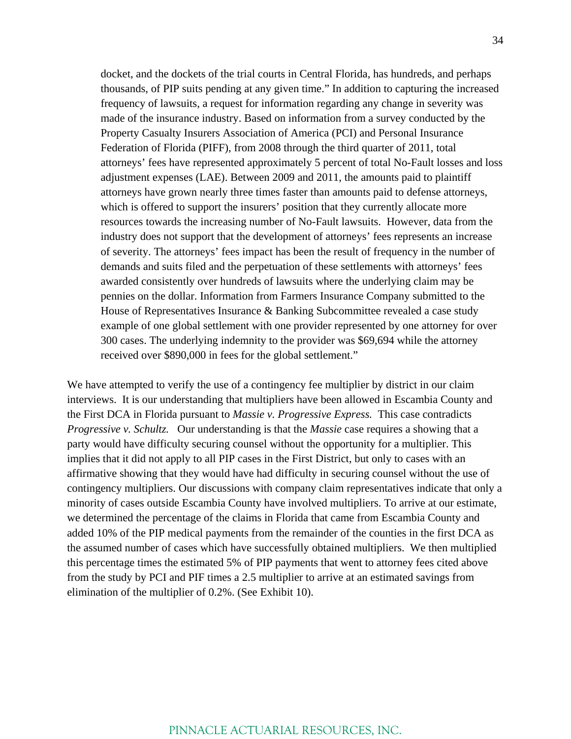docket, and the dockets of the trial courts in Central Florida, has hundreds, and perhaps thousands, of PIP suits pending at any given time." In addition to capturing the increased frequency of lawsuits, a request for information regarding any change in severity was made of the insurance industry. Based on information from a survey conducted by the Property Casualty Insurers Association of America (PCI) and Personal Insurance Federation of Florida (PIFF), from 2008 through the third quarter of 2011, total attorneys' fees have represented approximately 5 percent of total No-Fault losses and loss adjustment expenses (LAE). Between 2009 and 2011, the amounts paid to plaintiff attorneys have grown nearly three times faster than amounts paid to defense attorneys, which is offered to support the insurers' position that they currently allocate more resources towards the increasing number of No-Fault lawsuits. However, data from the industry does not support that the development of attorneys' fees represents an increase of severity. The attorneys' fees impact has been the result of frequency in the number of demands and suits filed and the perpetuation of these settlements with attorneys' fees awarded consistently over hundreds of lawsuits where the underlying claim may be pennies on the dollar. Information from Farmers Insurance Company submitted to the House of Representatives Insurance & Banking Subcommittee revealed a case study example of one global settlement with one provider represented by one attorney for over 300 cases. The underlying indemnity to the provider was \$69,694 while the attorney received over \$890,000 in fees for the global settlement."

We have attempted to verify the use of a contingency fee multiplier by district in our claim interviews. It is our understanding that multipliers have been allowed in Escambia County and the First DCA in Florida pursuant to *Massie v. Progressive Express.* This case contradicts *Progressive v. Schultz.* Our understanding is that the *Massie* case requires a showing that a party would have difficulty securing counsel without the opportunity for a multiplier. This implies that it did not apply to all PIP cases in the First District, but only to cases with an affirmative showing that they would have had difficulty in securing counsel without the use of contingency multipliers. Our discussions with company claim representatives indicate that only a minority of cases outside Escambia County have involved multipliers. To arrive at our estimate, we determined the percentage of the claims in Florida that came from Escambia County and added 10% of the PIP medical payments from the remainder of the counties in the first DCA as the assumed number of cases which have successfully obtained multipliers. We then multiplied this percentage times the estimated 5% of PIP payments that went to attorney fees cited above from the study by PCI and PIF times a 2.5 multiplier to arrive at an estimated savings from elimination of the multiplier of 0.2%. (See Exhibit 10).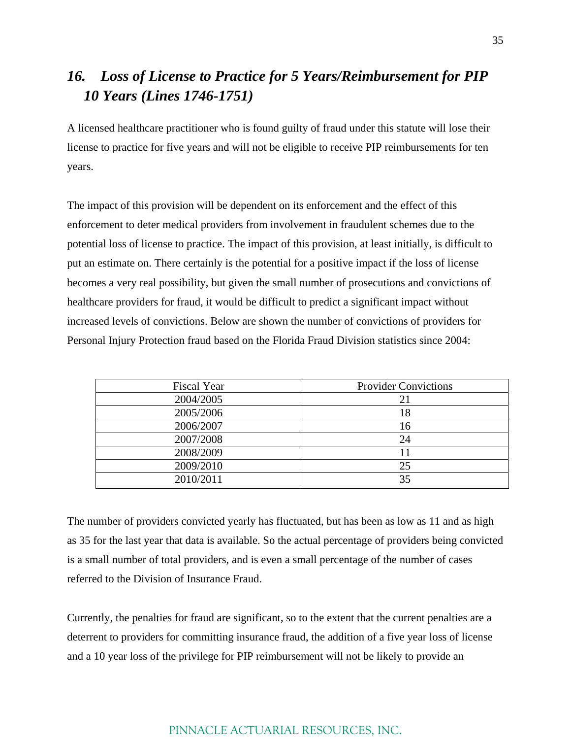## *16. Loss of License to Practice for 5 Years/Reimbursement for PIP 10 Years (Lines 1746-1751)*

A licensed healthcare practitioner who is found guilty of fraud under this statute will lose their license to practice for five years and will not be eligible to receive PIP reimbursements for ten years.

The impact of this provision will be dependent on its enforcement and the effect of this enforcement to deter medical providers from involvement in fraudulent schemes due to the potential loss of license to practice. The impact of this provision, at least initially, is difficult to put an estimate on. There certainly is the potential for a positive impact if the loss of license becomes a very real possibility, but given the small number of prosecutions and convictions of healthcare providers for fraud, it would be difficult to predict a significant impact without increased levels of convictions. Below are shown the number of convictions of providers for Personal Injury Protection fraud based on the Florida Fraud Division statistics since 2004:

| <b>Fiscal Year</b> | <b>Provider Convictions</b> |
|--------------------|-----------------------------|
| 2004/2005          | 21                          |
| 2005/2006          | 18                          |
| 2006/2007          | 16                          |
| 2007/2008          | 24                          |
| 2008/2009          | 11                          |
| 2009/2010          | 25                          |
| 2010/2011          | 35                          |

The number of providers convicted yearly has fluctuated, but has been as low as 11 and as high as 35 for the last year that data is available. So the actual percentage of providers being convicted is a small number of total providers, and is even a small percentage of the number of cases referred to the Division of Insurance Fraud.

Currently, the penalties for fraud are significant, so to the extent that the current penalties are a deterrent to providers for committing insurance fraud, the addition of a five year loss of license and a 10 year loss of the privilege for PIP reimbursement will not be likely to provide an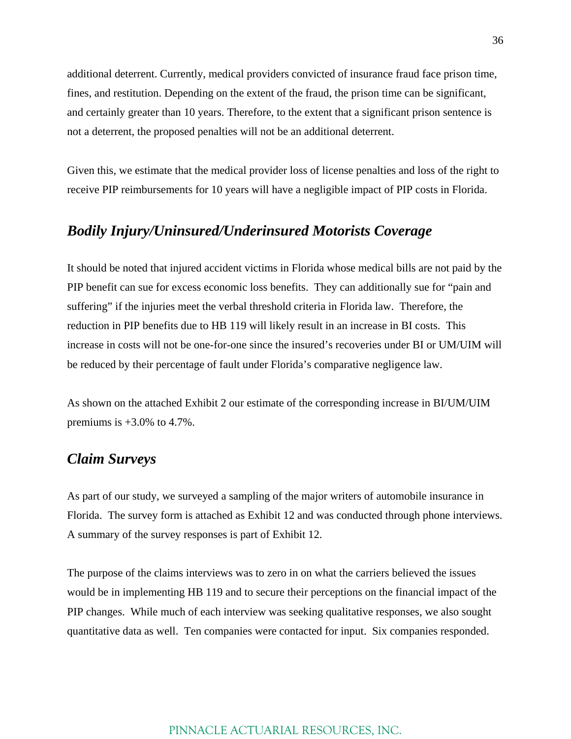additional deterrent. Currently, medical providers convicted of insurance fraud face prison time, fines, and restitution. Depending on the extent of the fraud, the prison time can be significant, and certainly greater than 10 years. Therefore, to the extent that a significant prison sentence is not a deterrent, the proposed penalties will not be an additional deterrent.

Given this, we estimate that the medical provider loss of license penalties and loss of the right to receive PIP reimbursements for 10 years will have a negligible impact of PIP costs in Florida.

### *Bodily Injury/Uninsured/Underinsured Motorists Coverage*

It should be noted that injured accident victims in Florida whose medical bills are not paid by the PIP benefit can sue for excess economic loss benefits. They can additionally sue for "pain and suffering" if the injuries meet the verbal threshold criteria in Florida law. Therefore, the reduction in PIP benefits due to HB 119 will likely result in an increase in BI costs. This increase in costs will not be one-for-one since the insured's recoveries under BI or UM/UIM will be reduced by their percentage of fault under Florida's comparative negligence law.

As shown on the attached Exhibit 2 our estimate of the corresponding increase in BI/UM/UIM premiums is  $+3.0\%$  to 4.7%.

## *Claim Surveys*

As part of our study, we surveyed a sampling of the major writers of automobile insurance in Florida. The survey form is attached as Exhibit 12 and was conducted through phone interviews. A summary of the survey responses is part of Exhibit 12.

The purpose of the claims interviews was to zero in on what the carriers believed the issues would be in implementing HB 119 and to secure their perceptions on the financial impact of the PIP changes. While much of each interview was seeking qualitative responses, we also sought quantitative data as well. Ten companies were contacted for input. Six companies responded.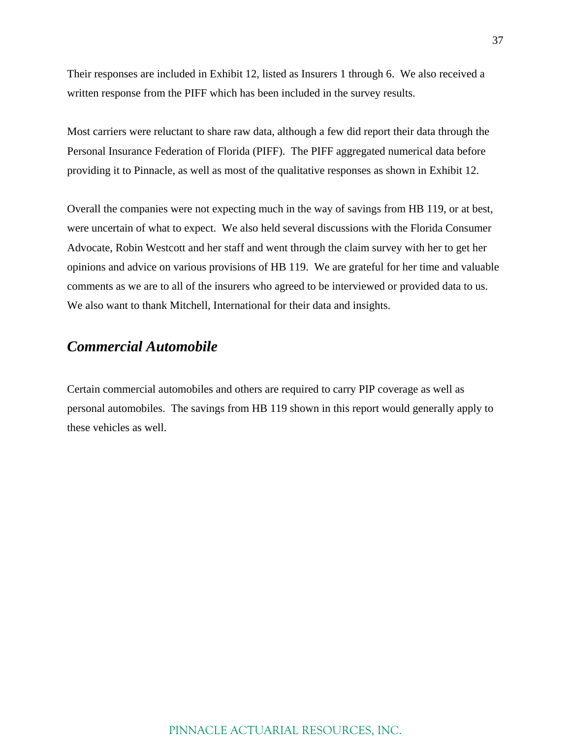Their responses are included in Exhibit 12, listed as Insurers 1 through 6. We also received a written response from the PIFF which has been included in the survey results.

Most carriers were reluctant to share raw data, although a few did report their data through the Personal Insurance Federation of Florida (PIFF). The PIFF aggregated numerical data before providing it to Pinnacle, as well as most of the qualitative responses as shown in Exhibit 12.

Overall the companies were not expecting much in the way of savings from HB 119, or at best, were uncertain of what to expect. We also held several discussions with the Florida Consumer Advocate, Robin Westcott and her staff and went through the claim survey with her to get her opinions and advice on various provisions of HB 119. We are grateful for her time and valuable comments as we are to all of the insurers who agreed to be interviewed or provided data to us. We also want to thank Mitchell, International for their data and insights.

## *Commercial Automobile*

Certain commercial automobiles and others are required to carry PIP coverage as well as personal automobiles. The savings from HB 119 shown in this report would generally apply to these vehicles as well.

### PINNACLE ACTUARIAL RESOURCES, INC.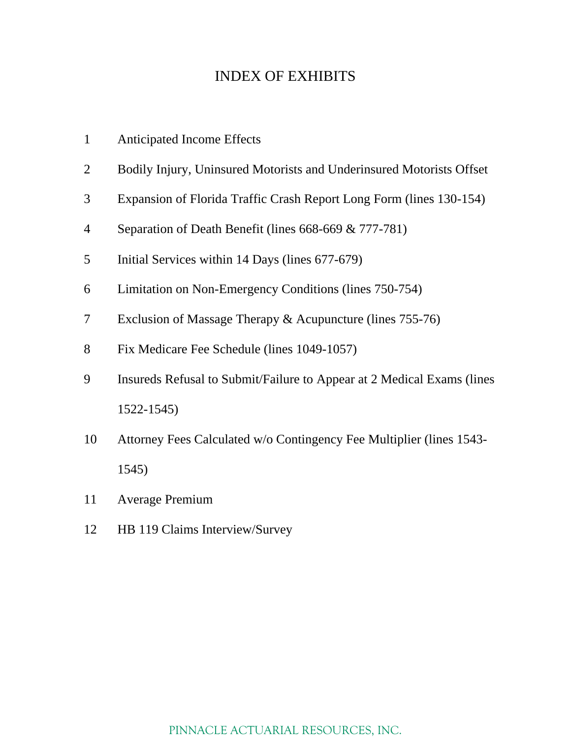## INDEX OF EXHIBITS

|  | <b>Anticipated Income Effects</b> |  |
|--|-----------------------------------|--|
|--|-----------------------------------|--|

- Bodily Injury, Uninsured Motorists and Underinsured Motorists Offset
- Expansion of Florida Traffic Crash Report Long Form (lines 130-154)
- 4 Separation of Death Benefit (lines 668-669 & 777-781)
- Initial Services within 14 Days (lines 677-679)
- Limitation on Non-Emergency Conditions (lines 750-754)
- Exclusion of Massage Therapy & Acupuncture (lines 755-76)
- Fix Medicare Fee Schedule (lines 1049-1057)
- Insureds Refusal to Submit/Failure to Appear at 2 Medical Exams (lines 1522-1545)
- Attorney Fees Calculated w/o Contingency Fee Multiplier (lines 1543- 1545)
- Average Premium
- HB 119 Claims Interview/Survey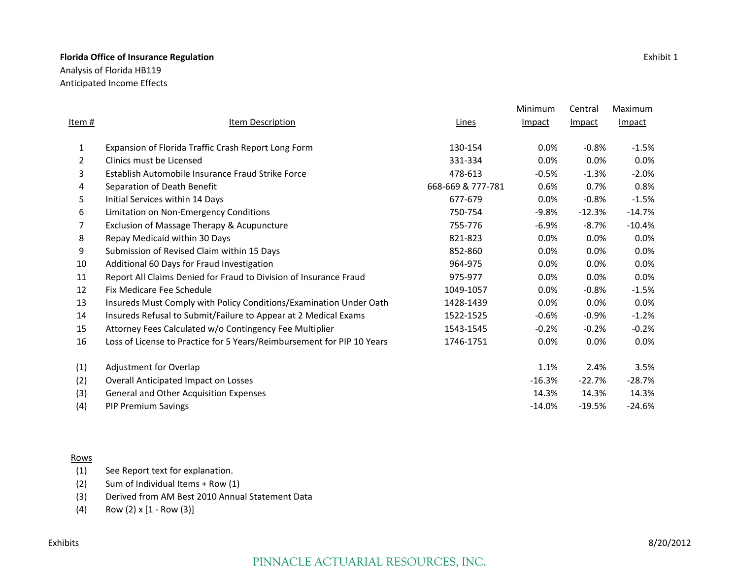Analysis of Florida HB119 Anticipated Income Effects

|        |                                                                        |                   | Minimum       | Central  | Maximum  |
|--------|------------------------------------------------------------------------|-------------------|---------------|----------|----------|
| Item # | <b>Item Description</b>                                                | Lines             | <b>Impact</b> | Impact   | Impact   |
| 1      | Expansion of Florida Traffic Crash Report Long Form                    | 130-154           | 0.0%          | $-0.8%$  | $-1.5%$  |
| 2      | Clinics must be Licensed                                               | 331-334           | 0.0%          | $0.0\%$  | $0.0\%$  |
| 3      | Establish Automobile Insurance Fraud Strike Force                      | 478-613           | $-0.5%$       | $-1.3%$  | $-2.0%$  |
| 4      | Separation of Death Benefit                                            | 668-669 & 777-781 | 0.6%          | 0.7%     | 0.8%     |
| 5      | Initial Services within 14 Days                                        | 677-679           | $0.0\%$       | $-0.8%$  | $-1.5%$  |
| 6      | Limitation on Non-Emergency Conditions                                 | 750-754           | $-9.8%$       | $-12.3%$ | $-14.7%$ |
| 7      | Exclusion of Massage Therapy & Acupuncture                             | 755-776           | $-6.9%$       | $-8.7%$  | $-10.4%$ |
| 8      | Repay Medicaid within 30 Days                                          | 821-823           | 0.0%          | 0.0%     | $0.0\%$  |
| 9      | Submission of Revised Claim within 15 Days                             | 852-860           | 0.0%          | $0.0\%$  | $0.0\%$  |
| 10     | Additional 60 Days for Fraud Investigation                             | 964-975           | 0.0%          | 0.0%     | 0.0%     |
| 11     | Report All Claims Denied for Fraud to Division of Insurance Fraud      | 975-977           | 0.0%          | 0.0%     | 0.0%     |
| 12     | Fix Medicare Fee Schedule                                              | 1049-1057         | $0.0\%$       | $-0.8%$  | $-1.5%$  |
| 13     | Insureds Must Comply with Policy Conditions/Examination Under Oath     | 1428-1439         | 0.0%          | 0.0%     | 0.0%     |
| 14     | Insureds Refusal to Submit/Failure to Appear at 2 Medical Exams        | 1522-1525         | $-0.6%$       | $-0.9%$  | $-1.2%$  |
| 15     | Attorney Fees Calculated w/o Contingency Fee Multiplier                | 1543-1545         | $-0.2%$       | $-0.2%$  | $-0.2%$  |
| 16     | Loss of License to Practice for 5 Years/Reimbursement for PIP 10 Years | 1746-1751         | 0.0%          | 0.0%     | 0.0%     |
| (1)    | Adjustment for Overlap                                                 |                   | 1.1%          | 2.4%     | 3.5%     |
| (2)    | Overall Anticipated Impact on Losses                                   |                   | $-16.3%$      | $-22.7%$ | $-28.7%$ |
| (3)    | General and Other Acquisition Expenses                                 |                   | 14.3%         | 14.3%    | 14.3%    |
| (4)    | <b>PIP Premium Savings</b>                                             |                   | $-14.0%$      | $-19.5%$ | $-24.6%$ |

#### Rows

- (1) See Report text for explanation.
- (2) Sum of Individual Items <sup>+</sup> Row (1)
- (3) Derived from AM Best 2010 Annual Statement Data
- (4) Row  $(2) \times [1 Row(3)]$

#### Exhibits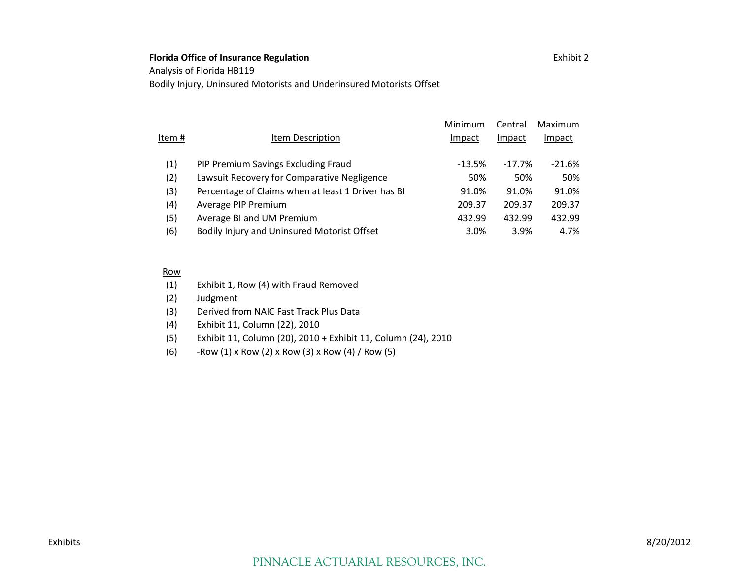Analysis of Florida HB119

Bodily Injury, Uninsured Motorists and Underinsured Motorists Offset

| Item # | Item Description                                   | Minimum<br>Impact | Central<br>Impact | Maximum<br>Impact |
|--------|----------------------------------------------------|-------------------|-------------------|-------------------|
| (1)    | PIP Premium Savings Excluding Fraud                | $-13.5%$          | $-17.7%$          | $-21.6%$          |
| (2)    | Lawsuit Recovery for Comparative Negligence        | 50%               | 50%               | 50%               |
| (3)    | Percentage of Claims when at least 1 Driver has BI | 91.0%             | 91.0%             | 91.0%             |
| (4)    | Average PIP Premium                                | 209.37            | 209.37            | 209.37            |
| (5)    | Average BI and UM Premium                          | 432.99            | 432.99            | 432.99            |
| (6)    | Bodily Injury and Uninsured Motorist Offset        | 3.0%              | 3.9%              | 4.7%              |

#### Row

(1) Exhibit 1, Row (4) with Fraud Removed

(2) Judgment

- (3) Derived from NAIC Fast Track Plus Data
- (4) Exhibit 11, Column (22), 2010
- (5) Exhibit 11, Column (20), 2010 <sup>+</sup> Exhibit 11, Column (24), 2010
- (6) ‐Row (1) <sup>x</sup> Row (2) <sup>x</sup> Row (3) <sup>x</sup> Row (4) / Row (5)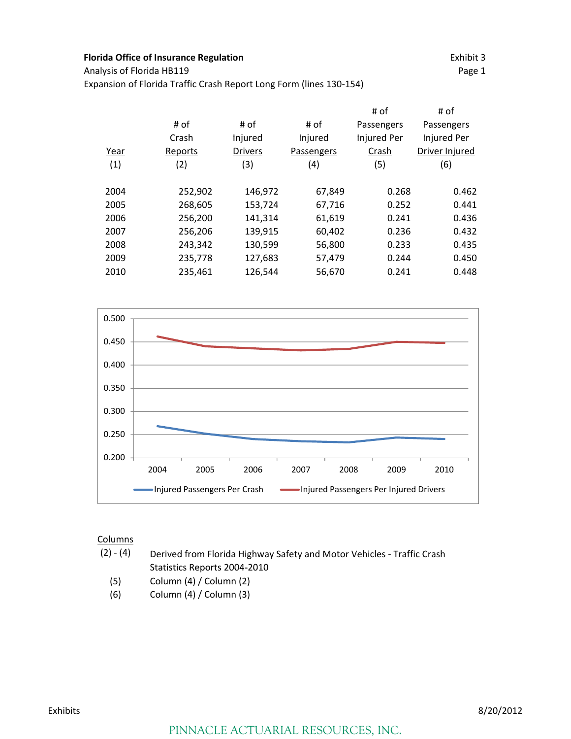Analysis of Florida HB119 Page 1

Expansion of Florida Traffic Crash Report Long Form (lines 130‐154)

|         |                |            | # of        | # of           |
|---------|----------------|------------|-------------|----------------|
| # of    | # of           | # of       | Passengers  | Passengers     |
| Crash   | Injured        | Injured    | Injured Per | Injured Per    |
| Reports | <b>Drivers</b> | Passengers | Crash       | Driver Injured |
| (2)     | (3)            | (4)        | (5)         | (6)            |
|         |                |            |             |                |
| 252,902 | 146,972        | 67,849     | 0.268       | 0.462          |
| 268,605 | 153,724        | 67,716     | 0.252       | 0.441          |
| 256,200 | 141,314        | 61,619     | 0.241       | 0.436          |
| 256,206 | 139,915        | 60,402     | 0.236       | 0.432          |
| 243,342 | 130,599        | 56,800     | 0.233       | 0.435          |
| 235,778 | 127,683        | 57,479     | 0.244       | 0.450          |
| 235,461 | 126,544        | 56,670     | 0.241       | 0.448          |
|         |                |            |             |                |



- (2) ‐ (4) Derived from Florida Highway Safety and Motor Vehicles ‐ Traffic Crash Statistics Reports 2004‐2010
	- (5) Column (4) / Column (2)
	- (6) Column (4) / Column (3)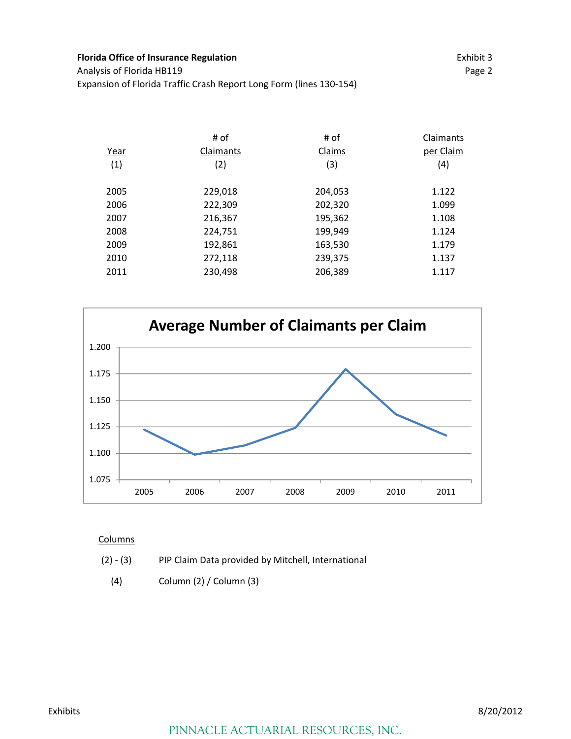**Florida Office of Insurance Regulation** Exhibit 3 Analysis of Florida HB119 **Page 2** Page 2 Expansion of Florida Traffic Crash Report Long Form (lines 130‐154)

|      | # of      | # of    | Claimants |
|------|-----------|---------|-----------|
| Year | Claimants | Claims  | per Claim |
| (1)  | (2)       | (3)     | (4)       |
|      |           |         |           |
| 2005 | 229,018   | 204,053 | 1.122     |
| 2006 | 222,309   | 202,320 | 1.099     |
| 2007 | 216,367   | 195,362 | 1.108     |
| 2008 | 224,751   | 199,949 | 1.124     |
| 2009 | 192,861   | 163,530 | 1.179     |
| 2010 | 272,118   | 239,375 | 1.137     |
| 2011 | 230,498   | 206,389 | 1.117     |
|      |           |         |           |



- (2) ‐ (3) PIP Claim Data provided by Mitchell, International
	- (4) Column (2) / Column (3)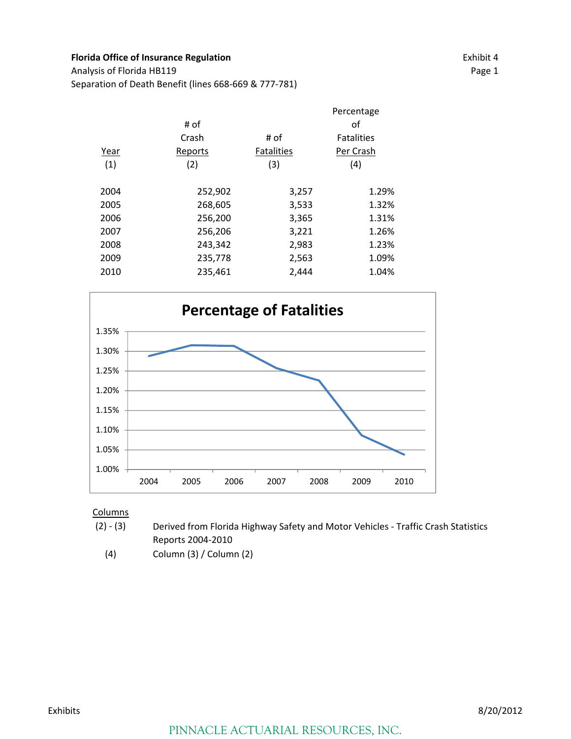Analysis of Florida HB119 Page 1 Separation of Death Benefit (lines 668‐669 & 777‐781)

|      |         |                   | Percentage        |
|------|---------|-------------------|-------------------|
|      | # of    |                   | οf                |
|      | Crash   | # of              | <b>Fatalities</b> |
| Year | Reports | <b>Fatalities</b> | Per Crash         |
| (1)  | (2)     | (3)               | (4)               |
|      |         |                   |                   |
| 2004 | 252,902 | 3,257             | 1.29%             |
| 2005 | 268,605 | 3,533             | 1.32%             |
| 2006 | 256,200 | 3,365             | 1.31%             |
| 2007 | 256,206 | 3,221             | 1.26%             |
| 2008 | 243,342 | 2,983             | 1.23%             |
| 2009 | 235,778 | 2,563             | 1.09%             |
| 2010 | 235,461 | 2,444             | 1.04%             |
|      |         |                   |                   |



- $(2) (3)$ Derived from Florida Highway Safety and Motor Vehicles ‐ Traffic Crash Statistics Reports 2004‐2010
	- (4) Column (3) / Column (2)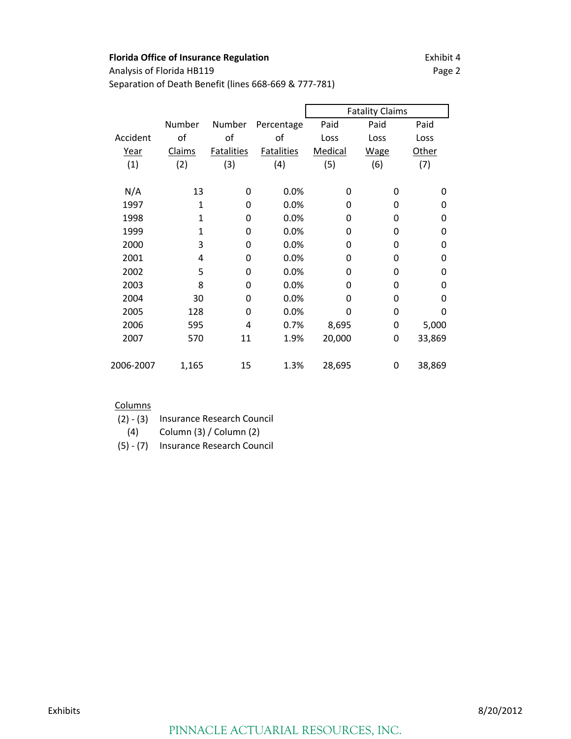Analysis of Florida HB119 Page 2

Separation of Death Benefit (lines 668‐669 & 777‐781)

|           |              |                   |                   |         | <b>Fatality Claims</b> |          |
|-----------|--------------|-------------------|-------------------|---------|------------------------|----------|
|           | Number       | Number            | Percentage        | Paid    | Paid                   | Paid     |
| Accident  | of           | of                | of                | Loss    | Loss                   | Loss     |
| Year      | Claims       | <b>Fatalities</b> | <b>Fatalities</b> | Medical | <b>Wage</b>            | Other    |
| (1)       | (2)          | (3)               | (4)               | (5)     | (6)                    | (7)      |
|           |              |                   |                   |         |                        |          |
| N/A       | 13           | 0                 | 0.0%              | 0       | 0                      | 0        |
| 1997      | $\mathbf{1}$ | 0                 | 0.0%              | 0       | 0                      | 0        |
| 1998      | 1            | 0                 | 0.0%              | 0       | 0                      | $\Omega$ |
| 1999      | 1            | 0                 | 0.0%              | 0       | 0                      | 0        |
| 2000      | 3            | 0                 | 0.0%              | 0       | 0                      | 0        |
| 2001      | 4            | 0                 | 0.0%              | 0       | 0                      | 0        |
| 2002      | 5            | 0                 | 0.0%              | 0       | 0                      | $\Omega$ |
| 2003      | 8            | 0                 | 0.0%              | 0       | 0                      | $\Omega$ |
| 2004      | 30           | 0                 | 0.0%              | 0       | 0                      | $\Omega$ |
| 2005      | 128          | 0                 | 0.0%              | 0       | 0                      | 0        |
| 2006      | 595          | 4                 | 0.7%              | 8,695   | 0                      | 5,000    |
| 2007      | 570          | 11                | 1.9%              | 20,000  | 0                      | 33,869   |
|           |              |                   |                   |         |                        |          |
| 2006-2007 | 1,165        | 15                | 1.3%              | 28,695  | 0                      | 38,869   |

- (2) ‐ (3) Insurance Research Council
- (4) Column (3) / Column (2)
- (5) ‐ (7) Insurance Research Council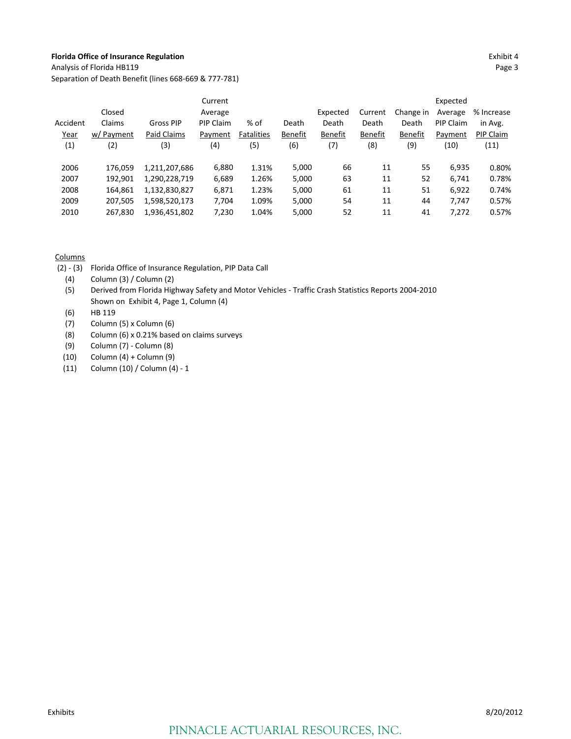Analysis of Florida HB119 Page 3

Separation of Death Benefit (lines 668‐669 & 777‐781)

|          |            |               | Current   |                   |         |          |                |           | Expected  |            |
|----------|------------|---------------|-----------|-------------------|---------|----------|----------------|-----------|-----------|------------|
|          | Closed     |               | Average   |                   |         | Expected | Current        | Change in | Average   | % Increase |
| Accident | Claims     | Gross PIP     | PIP Claim | % of              | Death   | Death    | Death          | Death     | PIP Claim | in Avg.    |
| Year     | w/ Payment | Paid Claims   | Payment   | <b>Fatalities</b> | Benefit | Benefit  | <b>Benefit</b> | Benefit   | Payment   | PIP Claim  |
| (1)      | (2)        | (3)           | (4)       | (5)               | (6)     | (7)      | (8)            | (9)       | (10)      | (11)       |
|          |            |               |           |                   |         |          |                |           |           |            |
| 2006     | 176.059    | 1,211,207,686 | 6,880     | 1.31%             | 5,000   | 66       | 11             | 55        | 6.935     | 0.80%      |
| 2007     | 192.901    | 1,290,228,719 | 6,689     | 1.26%             | 5,000   | 63       | 11             | 52        | 6,741     | 0.78%      |
| 2008     | 164,861    | 1,132,830,827 | 6,871     | 1.23%             | 5,000   | 61       | 11             | 51        | 6,922     | 0.74%      |
| 2009     | 207.505    | 1,598,520,173 | 7,704     | 1.09%             | 5,000   | 54       | 11             | 44        | 7.747     | 0.57%      |
| 2010     | 267.830    | 1,936,451,802 | 7,230     | 1.04%             | 5,000   | 52       | 11             | 41        | 7,272     | 0.57%      |

- (2) ‐ (3) Florida Office of Insurance Regulation, PIP Data Call
	- (4) Column (3) / Column (2)
	- (5) Derived from Florida Highway Safety and Motor Vehicles ‐ Traffic Crash Statistics Reports 2004‐2010 Shown on Exhibit 4, Page 1, Column (4)
	- (6) HB 119
	- (7) Column (5) x Column (6)
	- (8) Column (6) x 0.21% based on claims surveys
	- (9) Column (7) ‐ Column (8)
	- (10) Column (4) + Column (9)
	- (11) Column (10) / Column (4) ‐ 1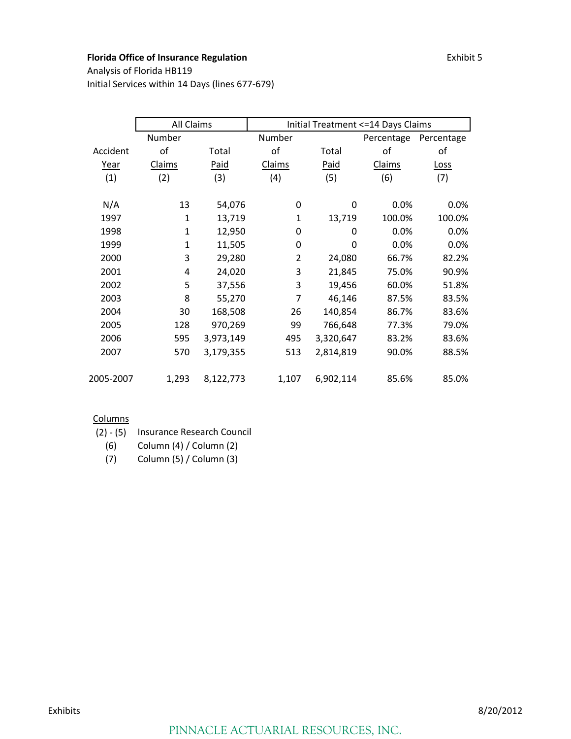Analysis of Florida HB119 Initial Services within 14 Days (lines 677‐679)

|           | <b>All Claims</b> |           | Initial Treatment <= 14 Days Claims |             |            |             |  |  |  |  |
|-----------|-------------------|-----------|-------------------------------------|-------------|------------|-------------|--|--|--|--|
|           | Number            |           | Number                              |             | Percentage | Percentage  |  |  |  |  |
| Accident  | of                | Total     | оf                                  | Total       | of         | οf          |  |  |  |  |
| Year      | Claims            | Paid      | Claims                              | <b>Paid</b> | Claims     | <b>Loss</b> |  |  |  |  |
| (1)       | (2)               | (3)       | (4)                                 | (5)         | (6)        | (7)         |  |  |  |  |
|           |                   |           |                                     |             |            |             |  |  |  |  |
| N/A       | 13                | 54,076    | 0                                   | 0           | 0.0%       | 0.0%        |  |  |  |  |
| 1997      | 1                 | 13,719    | 1                                   | 13,719      | 100.0%     | 100.0%      |  |  |  |  |
| 1998      | $\mathbf{1}$      | 12,950    | 0                                   | 0           | 0.0%       | 0.0%        |  |  |  |  |
| 1999      | $\mathbf{1}$      | 11,505    | 0                                   | 0           | 0.0%       | 0.0%        |  |  |  |  |
| 2000      | 3                 | 29,280    | $\overline{2}$                      | 24,080      | 66.7%      | 82.2%       |  |  |  |  |
| 2001      | 4                 | 24,020    | 3                                   | 21,845      | 75.0%      | 90.9%       |  |  |  |  |
| 2002      | 5                 | 37,556    | 3                                   | 19,456      | 60.0%      | 51.8%       |  |  |  |  |
| 2003      | 8                 | 55,270    | 7                                   | 46,146      | 87.5%      | 83.5%       |  |  |  |  |
| 2004      | 30                | 168,508   | 26                                  | 140,854     | 86.7%      | 83.6%       |  |  |  |  |
| 2005      | 128               | 970,269   | 99                                  | 766,648     | 77.3%      | 79.0%       |  |  |  |  |
| 2006      | 595               | 3,973,149 | 495                                 | 3,320,647   | 83.2%      | 83.6%       |  |  |  |  |
| 2007      | 570               | 3,179,355 | 513                                 | 2,814,819   | 90.0%      | 88.5%       |  |  |  |  |
|           |                   |           |                                     |             |            |             |  |  |  |  |
| 2005-2007 | 1,293             | 8,122,773 | 1,107                               | 6,902,114   | 85.6%      | 85.0%       |  |  |  |  |

### **Columns**

(2) ‐ (5) Insurance Research Council

(6) Column (4) / Column (2)

(7) Column (5) / Column (3)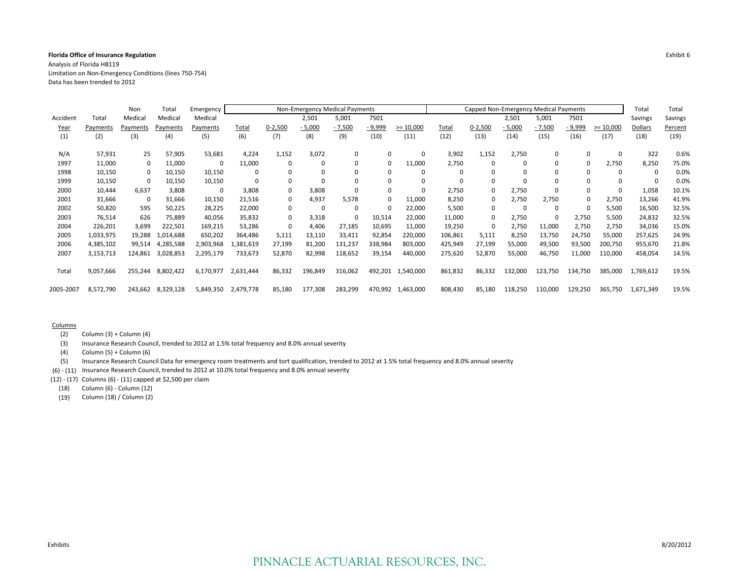Analysis of Florida HB119 Limitation on Non‐Emergency Conditions (lines 750‐754) Data has been trended to 2012

|           |           | Non      | Total     | Emergency |           |              | Non-Emergency Medical Payments |          |          |             |         | Capped Non-Emergency Medical Payments |             |          |             |             | Total     | Total   |
|-----------|-----------|----------|-----------|-----------|-----------|--------------|--------------------------------|----------|----------|-------------|---------|---------------------------------------|-------------|----------|-------------|-------------|-----------|---------|
| Accident  | Total     | Medical  | Medical   | Medical   |           |              | 2,501                          | 5,001    | 7501     |             |         |                                       | 2,501       | 5,001    | 7501        |             | Savings   | Savings |
| Year      | Payments  | Pavments | Payments  | Payments  | Total     | $0 - 2,500$  | $-5,000$                       | $-7,500$ | - 9,999  | $>= 10,000$ | Total   | $0 - 2,500$                           | $-5,000$    | $-7,500$ | - 9,999     | $>= 10,000$ | Dollars   | Percent |
| (1)       | (2)       | (3)      | (4)       | (5)       | (6)       | (7)          | (8)                            | (9)      | (10)     | (11)        | (12)    | (13)                                  | (14)        | (15)     | (16)        | (17)        | (18)      | (19)    |
|           |           |          |           |           |           |              |                                |          |          |             |         |                                       |             |          |             |             |           |         |
| N/A       | 57,931    | 25       | 57,905    | 53,681    | 4,224     | 1,152        | 3,072                          | $\Omega$ | $\Omega$ | $\mathbf 0$ | 3,902   | 1,152                                 | 2,750       | $\Omega$ | $\Omega$    | 0           | 322       | 0.6%    |
| 1997      | 11,000    | 0        | 11,000    | 0         | 11,000    |              |                                | $\Omega$ | $\Omega$ | 11,000      | 2,750   | 0                                     |             | $\Omega$ | $\Omega$    | 2,750       | 8,250     | 75.0%   |
| 1998      | 10,150    | 0        | 10,150    | 10,150    | 0         |              |                                | $\Omega$ | $\Omega$ | $\mathbf 0$ |         | 0                                     |             | $\Omega$ | $\mathbf 0$ | 0           | 0         | 0.0%    |
| 1999      | 10,150    | 0        | 10,150    | 10,150    | $\Omega$  |              |                                |          | $\Omega$ | $\Omega$    |         | 0                                     |             | $\Omega$ | $\Omega$    |             | $\Omega$  | 0.0%    |
| 2000      | 10,444    | 6,637    | 3,808     | 0         | 3,808     | 0            | 3,808                          |          | $\Omega$ | $\mathbf 0$ | 2,750   | 0                                     | 2,750       | $\Omega$ | $\mathbf 0$ | 0           | 1,058     | 10.1%   |
| 2001      | 31,666    | 0        | 31,666    | 10,150    | 21,516    | 0            | 4,937                          | 5,578    | $\Omega$ | 11,000      | 8,250   | $\Omega$                              | 2,750       | 2,750    | $\Omega$    | 2,750       | 13,266    | 41.9%   |
| 2002      | 50,820    | 595      | 50,225    | 28,225    | 22,000    | $\mathbf{0}$ | $\Omega$                       | $\Omega$ | $\Omega$ | 22,000      | 5,500   | 0                                     | $\mathbf 0$ | $\Omega$ | $\mathbf 0$ | 5,500       | 16,500    | 32.5%   |
| 2003      | 76,514    | 626      | 75,889    | 40,056    | 35,832    | 0            | 3,318                          | $\Omega$ | 10,514   | 22,000      | 11,000  | $\Omega$                              | 2,750       | $\Omega$ | 2,750       | 5,500       | 24,832    | 32.5%   |
| 2004      | 226,201   | 3,699    | 222,501   | 169,215   | 53,286    | $\Omega$     | 4,406                          | 27,185   | 10,695   | 11,000      | 19,250  | $\Omega$                              | 2,750       | 11,000   | 2,750       | 2,750       | 34,036    | 15.0%   |
| 2005      | 1,033,975 | 19,288   | 1,014,688 | 650,202   | 364,486   | 5,111        | 13,110                         | 33,411   | 92,854   | 220,000     | 106,861 | 5,111                                 | 8,250       | 13,750   | 24,750      | 55,000      | 257,625   | 24.9%   |
| 2006      | 4,385,102 | 99,514   | 4,285,588 | 2,903,968 | .381,619  | 27,199       | 81,200                         | 131,237  | 338,984  | 803,000     | 425,949 | 27,199                                | 55,000      | 49,500   | 93,500      | 200,750     | 955,670   | 21.8%   |
| 2007      | 3,153,713 | 124,861  | 3,028,853 | 2,295,179 | 733,673   | 52,870       | 82,998                         | 118,652  | 39,154   | 440,000     | 275,620 | 52,870                                | 55,000      | 46,750   | 11,000      | 110,000     | 458,054   | 14.5%   |
|           |           |          |           |           |           |              |                                |          |          |             |         |                                       |             |          |             |             |           |         |
| Total     | 9,057,666 | 255,244  | 8,802,422 | 6,170,977 | 2,631,444 | 86,332       | 196,849                        | 316,062  | 492,201  | 1,540,000   | 861,832 | 86,332                                | 132,000     | 123,750  | 134,750     | 385,000     | 1,769,612 | 19.5%   |
|           |           |          |           |           |           |              |                                |          |          |             |         |                                       |             |          |             |             |           |         |
| 2005-2007 | 8,572,790 | 243,662  | 8,329,128 | 5,849,350 | 2,479,778 | 85,180       | 177,308                        | 283,299  | 470,992  | 1,463,000   | 808,430 | 85,180                                | 118,250     | 110,000  | 129,250     | 365,750     | 1,671,349 | 19.5%   |

#### Columns

(2) Column (3) <sup>+</sup> Column (4)

(3) Insurance Research Council, trended to 2012 at 1.5% total frequency and 8.0% annual severity

 $(4)$  Column  $(5)$  + Column  $(6)$ 

(5) Insurance Research Council Data for emergency room treatments and tort qualification, trended to 2012 at 1.5% total frequency and 8.0% annual severity

(6) ‐ (11) Insurance Research Council, trended to 2012 at 10.0% total frequency and 8.0% annual severity

(12) ‐ (17) Columns (6) ‐ (11) capped at \$2,500 per claim

(18) Column (6) ‐ Column (12)

(19) Column (18) / Column (2)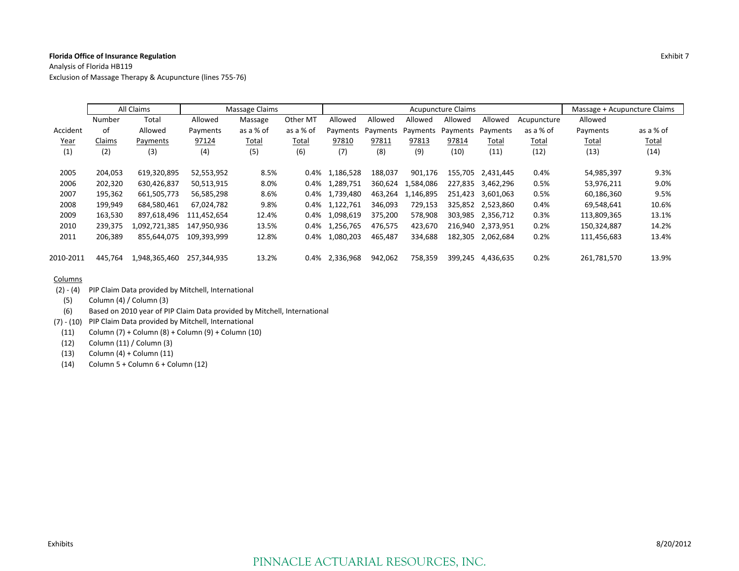Analysis of Florida HB119 Exclusion of Massage Therapy & Acupuncture (lines 755‐76)

|           |         | All Claims    | Massage Claims |           |           | <b>Acupuncture Claims</b> |          |          |          |           |              | Massage + Acupuncture Claims |              |
|-----------|---------|---------------|----------------|-----------|-----------|---------------------------|----------|----------|----------|-----------|--------------|------------------------------|--------------|
|           | Number  | Total         | Allowed        | Massage   | Other MT  | Allowed                   | Allowed  | Allowed  | Allowed  | Allowed   | Acupuncture  | Allowed                      |              |
| Accident  | of      | Allowed       | Payments       | as a % of | as a % of | Payments                  | Payments | Payments | Payments | Payments  | as a % of    | Payments                     | as a % of    |
| Year      | Claims  | Payments      | 97124          | Total     | Total     | 97810                     | 97811    | 97813    | 97814    | Total     | <u>Total</u> | Total                        | <b>Total</b> |
| (1)       | (2)     | (3)           | (4)            | (5)       | (6)       | (7)                       | (8)      | (9)      | (10)     | (11)      | (12)         | (13)                         | (14)         |
| 2005      | 204,053 | 619,320,895   | 52,553,952     | 8.5%      | 0.4%      | 1,186,528                 | 188.037  | 901.176  | 155,705  | 2.431.445 | 0.4%         | 54,985,397                   | 9.3%         |
| 2006      | 202,320 | 630.426.837   | 50,513,915     | 8.0%      | $0.4\%$   | 1.289.751                 | 360.624  | .584.086 | 227.835  | 3.462.296 | 0.5%         | 53,976,211                   | 9.0%         |
| 2007      | 195,362 | 661,505,773   | 56,585,298     | 8.6%      | 0.4%      | 1,739,480                 | 463.264  | .146.895 | 251.423  | 3.601.063 | 0.5%         | 60,186,360                   | 9.5%         |
| 2008      | 199,949 | 684,580,461   | 67.024.782     | 9.8%      | $0.4\%$   | 1,122,761                 | 346.093  | 729,153  | 325.852  | 2,523,860 | 0.4%         | 69,548,641                   | 10.6%        |
| 2009      | 163,530 | 897.618.496   | 111.452.654    | 12.4%     | 0.4%      | 1,098,619                 | 375.200  | 578,908  | 303.985  | 2,356,712 | 0.3%         | 113,809,365                  | 13.1%        |
| 2010      | 239,375 | 1,092,721,385 | 147.950.936    | 13.5%     | 0.4%      | 1,256,765                 | 476,575  | 423,670  | 216.940  | 2.373.951 | 0.2%         | 150,324,887                  | 14.2%        |
| 2011      | 206,389 | 855,644,075   | 109,393,999    | 12.8%     | 0.4%      | 1,080,203                 | 465,487  | 334,688  | 182,305  | 2,062,684 | 0.2%         | 111,456,683                  | 13.4%        |
| 2010-2011 | 445,764 | 1,948,365,460 | 257,344,935    | 13.2%     | 0.4%      | 2,336,968                 | 942,062  | 758,359  | 399.245  | 4,436,635 | 0.2%         | 261,781,570                  | 13.9%        |

- (2) ‐ (4) PIP Claim Data provided by Mitchell, International
	- (5) Column (4) / Column (3)
- (6) Based on 2010 year of PIP Claim Data provided by Mitchell, International
- (7) ‐ (10) PIP Claim Data provided by Mitchell, International
- (11) Column (7) <sup>+</sup> Column (8) <sup>+</sup> Column (9) <sup>+</sup> Column (10)
- (12) Column (11) / Column (3)
- (13) Column (4) <sup>+</sup> Column (11)
- (14) Column 5 <sup>+</sup> Column 6 <sup>+</sup> Column (12)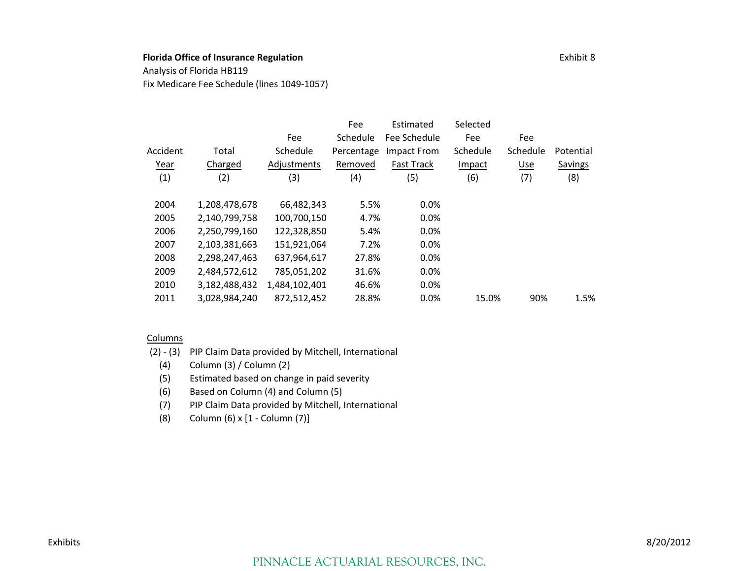Analysis of Florida HB119

Fix Medicare Fee Schedule (lines 1049‐1057)

|          |               |               | Fee        | Estimated         | Selected |          |           |
|----------|---------------|---------------|------------|-------------------|----------|----------|-----------|
|          |               | Fee           | Schedule   | Fee Schedule      | Fee      | Fee      |           |
| Accident | Total         | Schedule      | Percentage | Impact From       | Schedule | Schedule | Potential |
| Year     | Charged       | Adjustments   | Removed    | <b>Fast Track</b> | Impact   | Use      | Savings   |
| (1)      | (2)           | (3)           | (4)        | (5)               | (6)      | (7)      | (8)       |
| 2004     | 1,208,478,678 | 66,482,343    | 5.5%       | 0.0%              |          |          |           |
| 2005     | 2,140,799,758 | 100,700,150   | 4.7%       | $0.0\%$           |          |          |           |
| 2006     | 2,250,799,160 | 122,328,850   | 5.4%       | 0.0%              |          |          |           |
| 2007     | 2,103,381,663 | 151,921,064   | 7.2%       | 0.0%              |          |          |           |
| 2008     | 2,298,247,463 | 637,964,617   | 27.8%      | 0.0%              |          |          |           |
| 2009     | 2,484,572,612 | 785,051,202   | 31.6%      | 0.0%              |          |          |           |
| 2010     | 3,182,488,432 | 1,484,102,401 | 46.6%      | 0.0%              |          |          |           |
| 2011     | 3,028,984,240 | 872,512,452   | 28.8%      | $0.0\%$           | 15.0%    | 90%      | 1.5%      |

- (2) ‐ (3) PIP Claim Data provided by Mitchell, International
	- (4) Column (3) / Column (2)
	- (5) Estimated based on change in paid severity
	- (6) Based on Column (4) and Column (5)
	- (7) PIP Claim Data provided by Mitchell, International
	- (8) Column (6) <sup>x</sup> [1 ‐ Column (7)]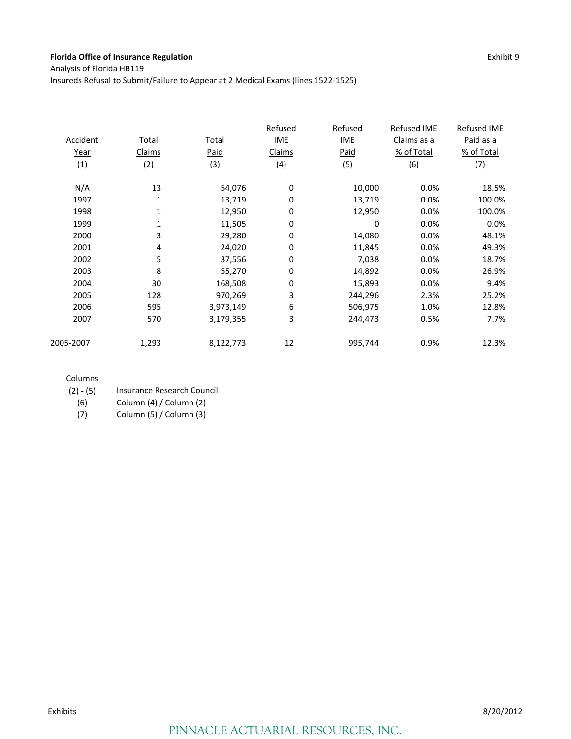Analysis of Florida HB119

Insureds Refusal to Submit/Failure to Appear at 2 Medical Exams (lines 1522‐1525)

| Accident<br><u>Year</u> | Total<br>Claims | Total<br>Paid | Refused<br><b>IME</b><br>Claims | Refused<br><b>IME</b><br><b>Paid</b> | <b>Refused IME</b><br>Claims as a<br>% of Total | <b>Refused IME</b><br>Paid as a<br>% of Total |
|-------------------------|-----------------|---------------|---------------------------------|--------------------------------------|-------------------------------------------------|-----------------------------------------------|
| (1)                     | (2)             | (3)           | (4)                             | (5)                                  | (6)                                             | (7)                                           |
| N/A                     | 13              | 54,076        | 0                               | 10,000                               | 0.0%                                            | 18.5%                                         |
| 1997                    | 1               | 13,719        | 0                               | 13,719                               | 0.0%                                            | 100.0%                                        |
| 1998                    | 1               | 12,950        | 0                               | 12,950                               | 0.0%                                            | 100.0%                                        |
| 1999                    | 1               | 11,505        | 0                               | 0                                    | 0.0%                                            | 0.0%                                          |
| 2000                    | 3               | 29,280        | 0                               | 14,080                               | 0.0%                                            | 48.1%                                         |
| 2001                    | 4               | 24,020        | 0                               | 11,845                               | 0.0%                                            | 49.3%                                         |
| 2002                    | 5               | 37,556        | 0                               | 7,038                                | 0.0%                                            | 18.7%                                         |
| 2003                    | 8               | 55,270        | 0                               | 14,892                               | 0.0%                                            | 26.9%                                         |
| 2004                    | 30              | 168,508       | 0                               | 15,893                               | 0.0%                                            | 9.4%                                          |
| 2005                    | 128             | 970,269       | 3                               | 244,296                              | 2.3%                                            | 25.2%                                         |
| 2006                    | 595             | 3,973,149     | 6                               | 506,975                              | 1.0%                                            | 12.8%                                         |
| 2007                    | 570             | 3,179,355     | 3                               | 244,473                              | 0.5%                                            | 7.7%                                          |
| 2005-2007               | 1,293           | 8,122,773     | 12                              | 995,744                              | 0.9%                                            | 12.3%                                         |

#### **Columns**

| Insurance Research Council |
|----------------------------|
|                            |

(6) Column (4) / Column (2)

(7) Column (5) / Column (3)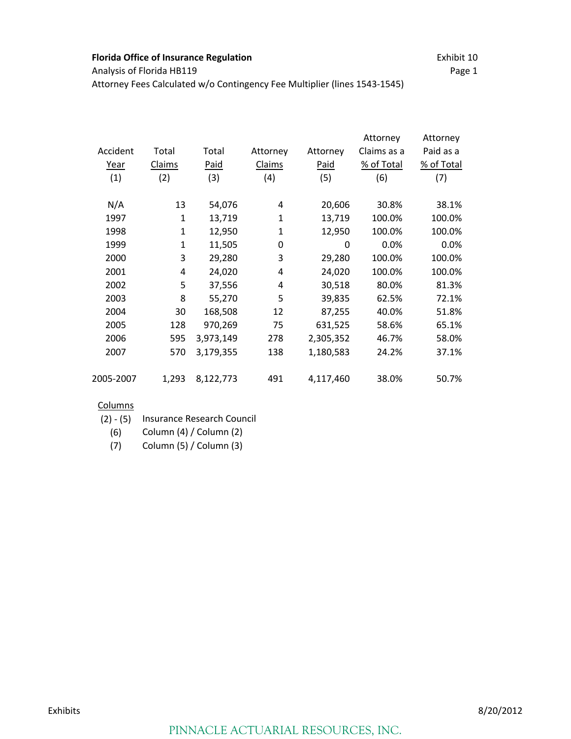Attorney Fees Calculated w/o Contingency Fee Multiplier (lines 1543‐1545)

|           |             |           |              |           | Attorney    | Attorney   |
|-----------|-------------|-----------|--------------|-----------|-------------|------------|
| Accident  | Total       | Total     | Attorney     | Attorney  | Claims as a | Paid as a  |
| Year      | Claims      | Paid      | Claims       | Paid      | % of Total  | % of Total |
| (1)       | (2)         | (3)       | (4)          | (5)       | (6)         | (7)        |
| N/A       | 13          | 54,076    | 4            | 20,606    | 30.8%       | 38.1%      |
| 1997      | $\mathbf 1$ | 13,719    | $\mathbf{1}$ | 13,719    | 100.0%      | 100.0%     |
| 1998      | $\mathbf 1$ | 12,950    | $\mathbf{1}$ | 12,950    | 100.0%      | 100.0%     |
| 1999      | $\mathbf 1$ | 11,505    | 0            | 0         | 0.0%        | 0.0%       |
| 2000      | 3           | 29,280    | 3            | 29,280    | 100.0%      | 100.0%     |
| 2001      | 4           | 24,020    | 4            | 24,020    | 100.0%      | 100.0%     |
| 2002      | 5           | 37,556    | 4            | 30,518    | 80.0%       | 81.3%      |
| 2003      | 8           | 55,270    | 5            | 39,835    | 62.5%       | 72.1%      |
| 2004      | 30          | 168,508   | 12           | 87,255    | 40.0%       | 51.8%      |
| 2005      | 128         | 970,269   | 75           | 631,525   | 58.6%       | 65.1%      |
| 2006      | 595         | 3,973,149 | 278          | 2,305,352 | 46.7%       | 58.0%      |
| 2007      | 570         | 3,179,355 | 138          | 1,180,583 | 24.2%       | 37.1%      |
| 2005-2007 | 1,293       | 8,122,773 | 491          | 4,117,460 | 38.0%       | 50.7%      |

- (2) ‐ (5) Insurance Research Council
	- (6) Column (4) / Column (2)
	- (7) Column (5) / Column (3)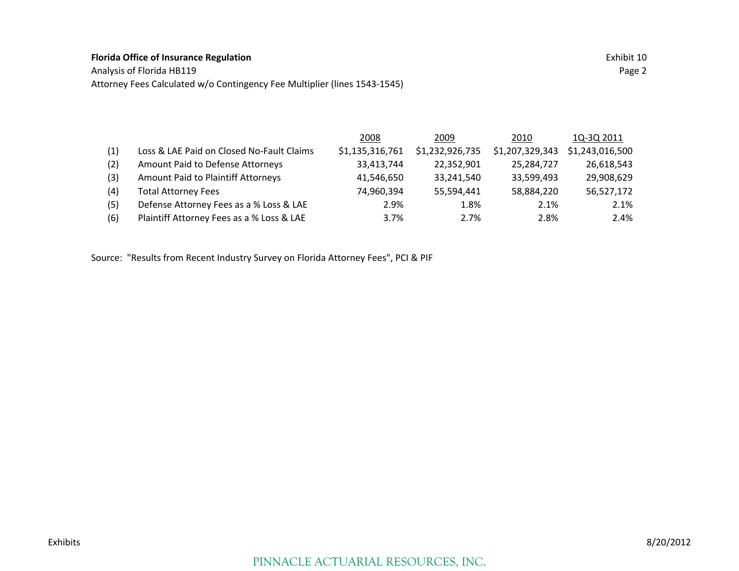Analysis of Florida HB119 Page 2 Attorney Fees Calculated w/o Contingency Fee Multiplier (lines 1543‐1545)

|                                           | 2008            | 2009            | 2010            | 1Q-3Q 2011      |
|-------------------------------------------|-----------------|-----------------|-----------------|-----------------|
| Loss & LAE Paid on Closed No-Fault Claims | \$1,135,316,761 | \$1,232,926,735 | \$1,207,329,343 | \$1,243,016,500 |
| Amount Paid to Defense Attorneys          | 33,413,744      | 22,352,901      | 25,284,727      | 26,618,543      |
| Amount Paid to Plaintiff Attorneys        | 41,546,650      | 33,241,540      | 33,599,493      | 29,908,629      |
| <b>Total Attorney Fees</b>                | 74,960,394      | 55,594,441      | 58,884,220      | 56,527,172      |
| Defense Attorney Fees as a % Loss & LAE   | 2.9%            | 1.8%            | 2.1%            | 2.1%            |
| Plaintiff Attorney Fees as a % Loss & LAE | 3.7%            | 2.7%            | 2.8%            | 2.4%            |
|                                           |                 |                 |                 |                 |

Source: "Results from Recent Industry Survey on Florida Attorney Fees", PCI & PIF

### PINNACLE ACTUARIAL RESOURCES, INC.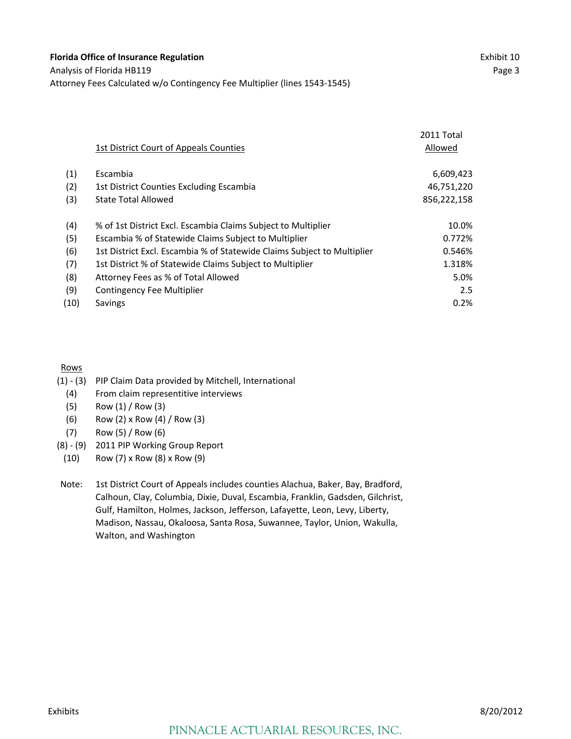|                                                                         | 2011 Total  |
|-------------------------------------------------------------------------|-------------|
| 1st District Court of Appeals Counties                                  | Allowed     |
| Escambia                                                                | 6,609,423   |
| 1st District Counties Excluding Escambia                                | 46,751,220  |
| <b>State Total Allowed</b>                                              | 856,222,158 |
| % of 1st District Excl. Escambia Claims Subject to Multiplier           | 10.0%       |
| Escambia % of Statewide Claims Subject to Multiplier                    | 0.772%      |
| 1st District Excl. Escambia % of Statewide Claims Subject to Multiplier | 0.546%      |
| 1st District % of Statewide Claims Subject to Multiplier                | 1.318%      |
| Attorney Fees as % of Total Allowed                                     | 5.0%        |
| Contingency Fee Multiplier                                              | 2.5         |
| <b>Savings</b>                                                          | 0.2%        |
|                                                                         |             |

#### Rows

- (1) ‐ (3) PIP Claim Data provided by Mitchell, International
- (4) From claim representitive interviews
- (5) Row (1) / Row (3)
- (6) Row (2) x Row (4) / Row (3)
- (7) Row (5) / Row (6)
- (8) ‐ (9) 2011 PIP Working Group Report

(10) Row (7) x Row (8) x Row (9)

Note: 1st District Court of Appeals includes counties Alachua, Baker, Bay, Bradford, Calhoun, Clay, Columbia, Dixie, Duval, Escambia, Franklin, Gadsden, Gilchrist, Gulf, Hamilton, Holmes, Jackson, Jefferson, Lafayette, Leon, Levy, Liberty, Madison, Nassau, Okaloosa, Santa Rosa, Suwannee, Taylor, Union, Wakulla, Walton, and Washington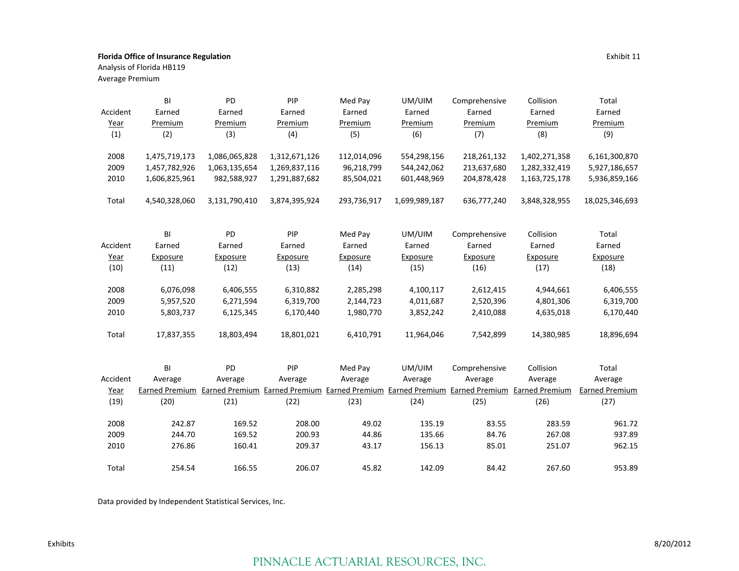Analysis of Florida HB119

Average Premium

|          | BI            | PD            | PIP           | Med Pay     | UM/UIM                                                                                                   | Comprehensive | Collision     | Total                 |
|----------|---------------|---------------|---------------|-------------|----------------------------------------------------------------------------------------------------------|---------------|---------------|-----------------------|
| Accident | Earned        | Earned        | Earned        | Earned      | Earned                                                                                                   | Earned        | Earned        | Earned                |
| Year     | Premium       | Premium       | Premium       | Premium     | Premium                                                                                                  | Premium       | Premium       | Premium               |
| (1)      | (2)           | (3)           | (4)           | (5)         | (6)                                                                                                      | (7)           | (8)           | (9)                   |
|          |               |               |               |             |                                                                                                          |               |               |                       |
| 2008     | 1,475,719,173 | 1,086,065,828 | 1,312,671,126 | 112,014,096 | 554,298,156                                                                                              | 218,261,132   | 1,402,271,358 | 6,161,300,870         |
| 2009     | 1,457,782,926 | 1,063,135,654 | 1,269,837,116 | 96,218,799  | 544,242,062                                                                                              | 213,637,680   | 1,282,332,419 | 5,927,186,657         |
| 2010     | 1,606,825,961 | 982,588,927   | 1,291,887,682 | 85,504,021  | 601,448,969                                                                                              | 204,878,428   | 1,163,725,178 | 5,936,859,166         |
| Total    | 4,540,328,060 | 3,131,790,410 | 3,874,395,924 | 293,736,917 | 1,699,989,187                                                                                            | 636,777,240   | 3,848,328,955 | 18,025,346,693        |
|          | BI            | PD            | PIP           | Med Pay     | UM/UIM                                                                                                   | Comprehensive | Collision     | Total                 |
| Accident | Earned        | Earned        | Earned        | Earned      | Earned                                                                                                   | Earned        | Earned        | Earned                |
| Year     | Exposure      | Exposure      | Exposure      | Exposure    | Exposure                                                                                                 | Exposure      | Exposure      | Exposure              |
| (10)     | (11)          | (12)          | (13)          | (14)        | (15)                                                                                                     | (16)          | (17)          | (18)                  |
|          |               |               |               |             |                                                                                                          |               |               |                       |
| 2008     | 6,076,098     | 6,406,555     | 6,310,882     | 2,285,298   | 4,100,117                                                                                                | 2,612,415     | 4,944,661     | 6,406,555             |
| 2009     | 5,957,520     | 6,271,594     | 6,319,700     | 2,144,723   | 4,011,687                                                                                                | 2,520,396     | 4,801,306     | 6,319,700             |
| 2010     | 5,803,737     | 6,125,345     | 6,170,440     | 1,980,770   | 3,852,242                                                                                                | 2,410,088     | 4,635,018     | 6,170,440             |
| Total    | 17,837,355    | 18,803,494    | 18,801,021    | 6,410,791   | 11,964,046                                                                                               | 7,542,899     | 14,380,985    | 18,896,694            |
|          | BI            | PD            | PIP           | Med Pay     | UM/UIM                                                                                                   | Comprehensive | Collision     | Total                 |
| Accident | Average       | Average       | Average       | Average     | Average                                                                                                  | Average       | Average       | Average               |
| Year     |               |               |               |             | Earned Premium Earned Premium Earned Premium Earned Premium Earned Premium Earned Premium Earned Premium |               |               | <b>Earned Premium</b> |
| (19)     | (20)          | (21)          | (22)          | (23)        | (24)                                                                                                     | (25)          | (26)          | (27)                  |
|          |               |               |               |             |                                                                                                          |               |               |                       |
| 2008     | 242.87        | 169.52        | 208.00        | 49.02       | 135.19                                                                                                   | 83.55         | 283.59        | 961.72                |
| 2009     | 244.70        | 169.52        | 200.93        | 44.86       | 135.66                                                                                                   | 84.76         | 267.08        | 937.89                |
| 2010     | 276.86        | 160.41        | 209.37        | 43.17       | 156.13                                                                                                   | 85.01         | 251.07        | 962.15                |
| Total    | 254.54        | 166.55        | 206.07        | 45.82       | 142.09                                                                                                   | 84.42         | 267.60        | 953.89                |

Data provided by Independent Statistical Services, Inc.

### PINNACLE ACTUARIAL RESOURCES, INC.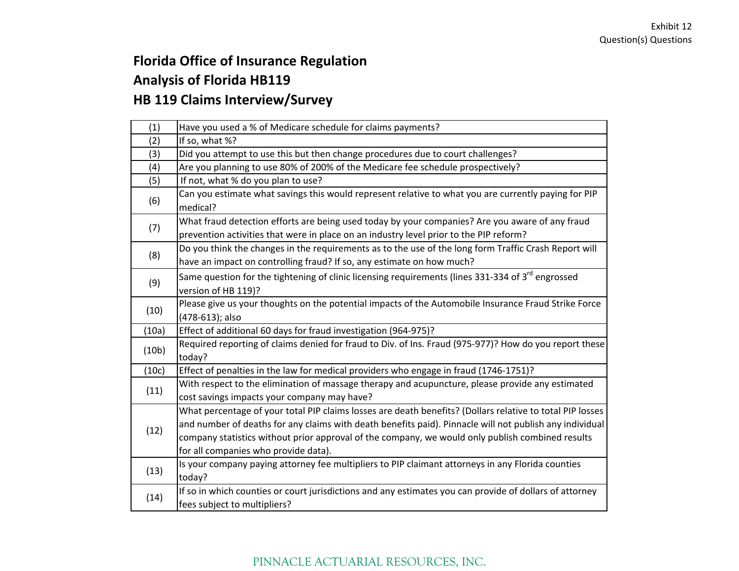# **Florida Office of Insurance Regulation Analysis of Florida HB119 HB 119 Claims Interview/Survey**

| (1)   | Have you used a % of Medicare schedule for claims payments?                                                                                                                                                                                                                                                                                                      |
|-------|------------------------------------------------------------------------------------------------------------------------------------------------------------------------------------------------------------------------------------------------------------------------------------------------------------------------------------------------------------------|
| (2)   | If so, what %?                                                                                                                                                                                                                                                                                                                                                   |
| (3)   | Did you attempt to use this but then change procedures due to court challenges?                                                                                                                                                                                                                                                                                  |
| (4)   | Are you planning to use 80% of 200% of the Medicare fee schedule prospectively?                                                                                                                                                                                                                                                                                  |
| (5)   | If not, what % do you plan to use?                                                                                                                                                                                                                                                                                                                               |
| (6)   | Can you estimate what savings this would represent relative to what you are currently paying for PIP<br>medical?                                                                                                                                                                                                                                                 |
| (7)   | What fraud detection efforts are being used today by your companies? Are you aware of any fraud<br>prevention activities that were in place on an industry level prior to the PIP reform?                                                                                                                                                                        |
| (8)   | Do you think the changes in the requirements as to the use of the long form Traffic Crash Report will<br>have an impact on controlling fraud? If so, any estimate on how much?                                                                                                                                                                                   |
| (9)   | Same question for the tightening of clinic licensing requirements (lines 331-334 of 3 <sup>rd</sup> engrossed<br>version of HB 119)?                                                                                                                                                                                                                             |
| (10)  | Please give us your thoughts on the potential impacts of the Automobile Insurance Fraud Strike Force<br>(478-613); also                                                                                                                                                                                                                                          |
| (10a) | Effect of additional 60 days for fraud investigation (964-975)?                                                                                                                                                                                                                                                                                                  |
| (10b) | Required reporting of claims denied for fraud to Div. of Ins. Fraud (975-977)? How do you report these<br>today?                                                                                                                                                                                                                                                 |
| (10c) | Effect of penalties in the law for medical providers who engage in fraud (1746-1751)?                                                                                                                                                                                                                                                                            |
| (11)  | With respect to the elimination of massage therapy and acupuncture, please provide any estimated<br>cost savings impacts your company may have?                                                                                                                                                                                                                  |
| (12)  | What percentage of your total PIP claims losses are death benefits? (Dollars relative to total PIP losses<br>and number of deaths for any claims with death benefits paid). Pinnacle will not publish any individual<br>company statistics without prior approval of the company, we would only publish combined results<br>for all companies who provide data). |
| (13)  | Is your company paying attorney fee multipliers to PIP claimant attorneys in any Florida counties<br>today?                                                                                                                                                                                                                                                      |
| (14)  | If so in which counties or court jurisdictions and any estimates you can provide of dollars of attorney<br>fees subject to multipliers?                                                                                                                                                                                                                          |

## PINNACLE ACTUARIAL RESOURCES, INC.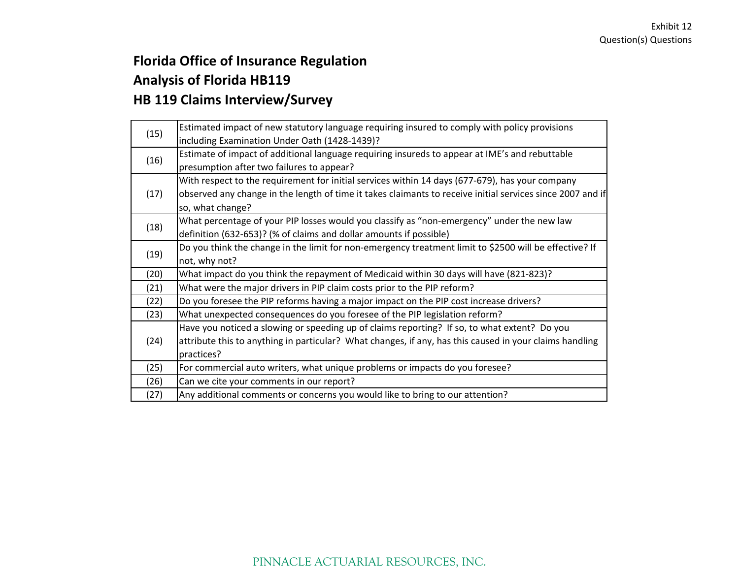# **Florida Office of Insurance Regulation Analysis of Florida HB119 HB 119 Claims Interview/Survey**

| (15) | Estimated impact of new statutory language requiring insured to comply with policy provisions              |
|------|------------------------------------------------------------------------------------------------------------|
|      | including Examination Under Oath (1428-1439)?                                                              |
| (16) | Estimate of impact of additional language requiring insureds to appear at IME's and rebuttable             |
|      | presumption after two failures to appear?                                                                  |
|      | With respect to the requirement for initial services within 14 days (677-679), has your company            |
| (17) | observed any change in the length of time it takes claimants to receive initial services since 2007 and if |
|      | so, what change?                                                                                           |
| (18) | What percentage of your PIP losses would you classify as "non-emergency" under the new law                 |
|      | definition (632-653)? (% of claims and dollar amounts if possible)                                         |
| (19) | Do you think the change in the limit for non-emergency treatment limit to \$2500 will be effective? If     |
|      | not, why not?                                                                                              |
| (20) | What impact do you think the repayment of Medicaid within 30 days will have (821-823)?                     |
| (21) | What were the major drivers in PIP claim costs prior to the PIP reform?                                    |
| (22) | Do you foresee the PIP reforms having a major impact on the PIP cost increase drivers?                     |
| (23) | What unexpected consequences do you foresee of the PIP legislation reform?                                 |
|      | Have you noticed a slowing or speeding up of claims reporting? If so, to what extent? Do you               |
| (24) | attribute this to anything in particular? What changes, if any, has this caused in your claims handling    |
|      | practices?                                                                                                 |
| (25) | For commercial auto writers, what unique problems or impacts do you foresee?                               |
| (26) | Can we cite your comments in our report?                                                                   |
| (27) | Any additional comments or concerns you would like to bring to our attention?                              |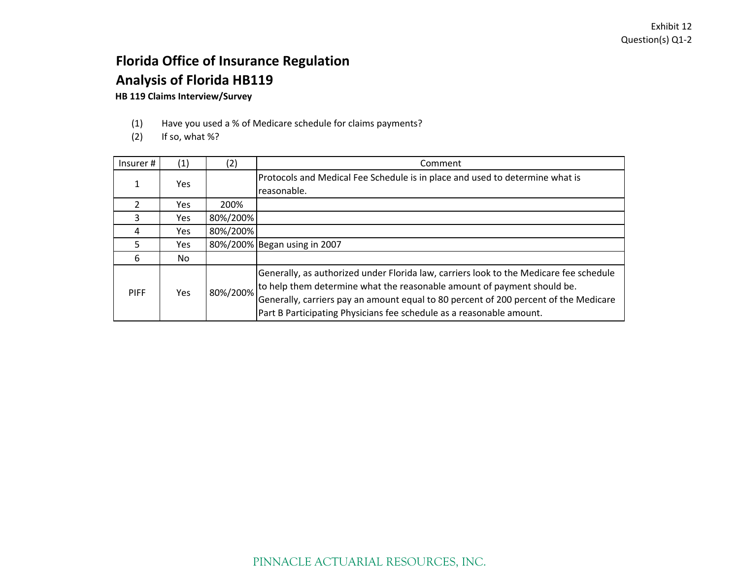# **Florida Office of Insurance Regulation Analysis of Florida HB119**

#### **HB 119 Claims Interview/Survey**

- (1) Have you used <sup>a</sup> % of Medicare schedule for claims payments?
- $(2)$  If so, what %?

| Insurer#    | (1)  | (2)      | Comment                                                                                                                                                                                                                                                                                                                           |
|-------------|------|----------|-----------------------------------------------------------------------------------------------------------------------------------------------------------------------------------------------------------------------------------------------------------------------------------------------------------------------------------|
|             | Yes  |          | Protocols and Medical Fee Schedule is in place and used to determine what is<br>reasonable.                                                                                                                                                                                                                                       |
|             | Yes. | 200%     |                                                                                                                                                                                                                                                                                                                                   |
| ς           | Yes. | 80%/200% |                                                                                                                                                                                                                                                                                                                                   |
| 4           | Yes. | 80%/200% |                                                                                                                                                                                                                                                                                                                                   |
|             | Yes. |          | 80%/200% Began using in 2007                                                                                                                                                                                                                                                                                                      |
| 6           | No.  |          |                                                                                                                                                                                                                                                                                                                                   |
| <b>PIFF</b> | Yes. | 80%/200% | Generally, as authorized under Florida law, carriers look to the Medicare fee schedule<br>to help them determine what the reasonable amount of payment should be.<br>Generally, carriers pay an amount equal to 80 percent of 200 percent of the Medicare<br>Part B Participating Physicians fee schedule as a reasonable amount. |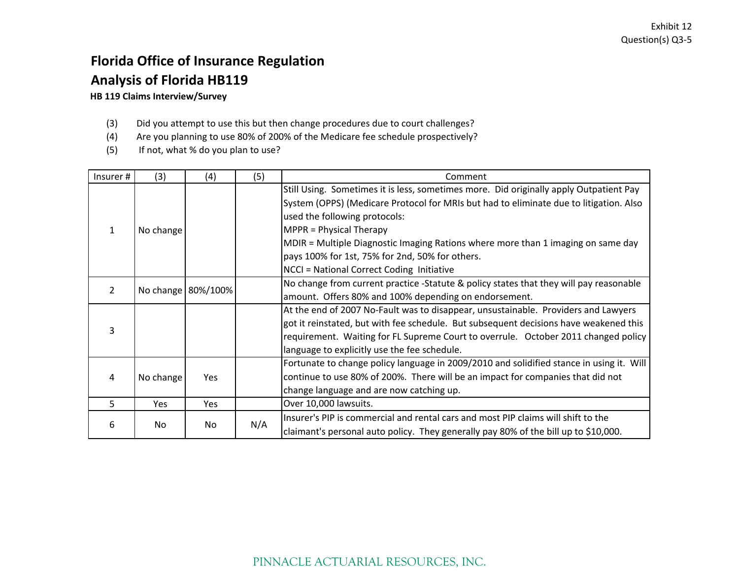# **Florida Office of Insurance Regulation Analysis of Florida HB119**

#### **HB 119 Claims Interview/Survey**

- (3) Did you attempt to use this but then change procedures due to court challenges?
- (4) Are you planning to use 80% of 200% of the Medicare fee schedule prospectively?
- (5) If not, what % do you plan to use?

| Insurer# | (3)       | (4)                | (5) | Comment                                                                                  |
|----------|-----------|--------------------|-----|------------------------------------------------------------------------------------------|
|          |           |                    |     | Still Using. Sometimes it is less, sometimes more. Did originally apply Outpatient Pay   |
|          |           |                    |     | System (OPPS) (Medicare Protocol for MRIs but had to eliminate due to litigation. Also   |
|          |           |                    |     | used the following protocols:                                                            |
| 1        | No change |                    |     | MPPR = Physical Therapy                                                                  |
|          |           |                    |     | MDIR = Multiple Diagnostic Imaging Rations where more than 1 imaging on same day         |
|          |           |                    |     | pays 100% for 1st, 75% for 2nd, 50% for others.                                          |
|          |           |                    |     | NCCI = National Correct Coding Initiative                                                |
|          |           |                    |     | No change from current practice -Statute & policy states that they will pay reasonable   |
| 2        |           | No change 80%/100% |     | amount. Offers 80% and 100% depending on endorsement.                                    |
|          |           |                    |     | At the end of 2007 No-Fault was to disappear, unsustainable. Providers and Lawyers       |
|          |           |                    |     | got it reinstated, but with fee schedule. But subsequent decisions have weakened this    |
| 3        |           |                    |     | requirement. Waiting for FL Supreme Court to overrule. October 2011 changed policy       |
|          |           |                    |     | language to explicitly use the fee schedule.                                             |
|          |           |                    |     | Fortunate to change policy language in 2009/2010 and solidified stance in using it. Will |
| 4        | No change | Yes                |     | continue to use 80% of 200%. There will be an impact for companies that did not          |
|          |           |                    |     | change language and are now catching up.                                                 |
| 5        | Yes       | Yes                |     | Over 10,000 lawsuits.                                                                    |
|          |           |                    |     | Insurer's PIP is commercial and rental cars and most PIP claims will shift to the        |
| 6        | No.       | No                 | N/A | claimant's personal auto policy. They generally pay 80% of the bill up to \$10,000.      |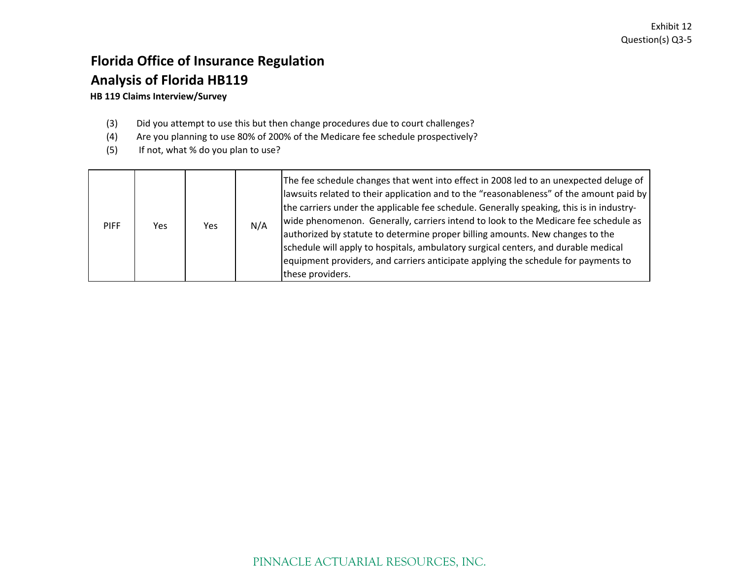## **Florida Office of Insurance Regulation Analysis of Florida HB119 HB 119 Claims Interview/Survey**

## (3) Did you attempt to use this but then change procedures due to court challenges?

- (4) Are you planning to use 80% of 200% of the Medicare fee schedule prospectively?
- (5) If not, what % do you plan to use?

| <b>PIFF</b> | Yes | Yes. | N/A | The fee schedule changes that went into effect in 2008 led to an unexpected deluge of<br>llawsuits related to their application and to the "reasonableness" of the amount paid by<br>the carriers under the applicable fee schedule. Generally speaking, this is in industry-<br>wide phenomenon. Generally, carriers intend to look to the Medicare fee schedule as<br>authorized by statute to determine proper billing amounts. New changes to the<br>schedule will apply to hospitals, ambulatory surgical centers, and durable medical<br>equipment providers, and carriers anticipate applying the schedule for payments to<br>these providers. |
|-------------|-----|------|-----|-------------------------------------------------------------------------------------------------------------------------------------------------------------------------------------------------------------------------------------------------------------------------------------------------------------------------------------------------------------------------------------------------------------------------------------------------------------------------------------------------------------------------------------------------------------------------------------------------------------------------------------------------------|
|-------------|-----|------|-----|-------------------------------------------------------------------------------------------------------------------------------------------------------------------------------------------------------------------------------------------------------------------------------------------------------------------------------------------------------------------------------------------------------------------------------------------------------------------------------------------------------------------------------------------------------------------------------------------------------------------------------------------------------|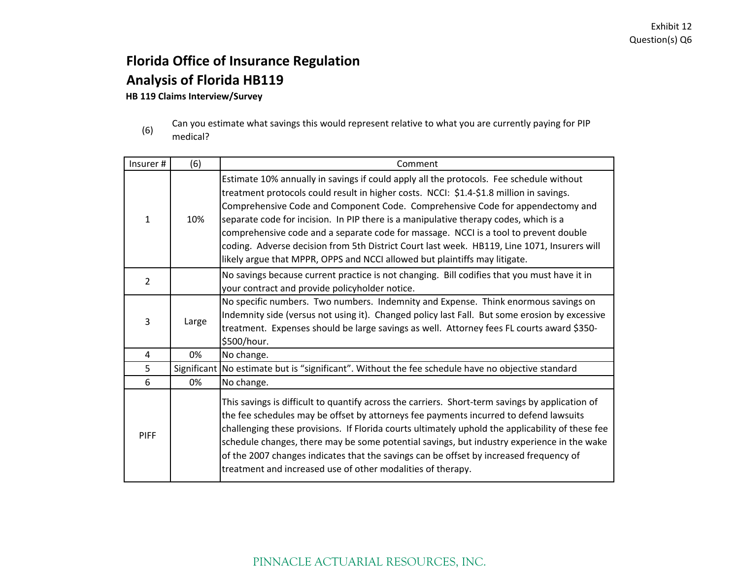# **Florida Office of Insurance Regulation Analysis of Florida HB119**

#### **HB 119 Claims Interview/Survey**

(6) Can you estimate what savings this would represent relative to what you are currently paying for PIP medical?

| Insurer#     | (6)   | Comment                                                                                                                                                                                                                                                                                                                                                                                                                                                                                                                                                                                                                           |
|--------------|-------|-----------------------------------------------------------------------------------------------------------------------------------------------------------------------------------------------------------------------------------------------------------------------------------------------------------------------------------------------------------------------------------------------------------------------------------------------------------------------------------------------------------------------------------------------------------------------------------------------------------------------------------|
| $\mathbf{1}$ | 10%   | Estimate 10% annually in savings if could apply all the protocols. Fee schedule without<br>treatment protocols could result in higher costs. NCCI: \$1.4-\$1.8 million in savings.<br>Comprehensive Code and Component Code. Comprehensive Code for appendectomy and<br>separate code for incision. In PIP there is a manipulative therapy codes, which is a<br>comprehensive code and a separate code for massage. NCCI is a tool to prevent double<br>coding. Adverse decision from 5th District Court last week. HB119, Line 1071, Insurers will<br>likely argue that MPPR, OPPS and NCCI allowed but plaintiffs may litigate. |
| 2            |       | No savings because current practice is not changing. Bill codifies that you must have it in<br>your contract and provide policyholder notice.                                                                                                                                                                                                                                                                                                                                                                                                                                                                                     |
| 3            | Large | No specific numbers. Two numbers. Indemnity and Expense. Think enormous savings on<br>Indemnity side (versus not using it). Changed policy last Fall. But some erosion by excessive<br>treatment. Expenses should be large savings as well. Attorney fees FL courts award \$350-<br>\$500/hour.                                                                                                                                                                                                                                                                                                                                   |
| 4            | 0%    | No change.                                                                                                                                                                                                                                                                                                                                                                                                                                                                                                                                                                                                                        |
| 5            |       | Significant   No estimate but is "significant". Without the fee schedule have no objective standard                                                                                                                                                                                                                                                                                                                                                                                                                                                                                                                               |
| 6            | 0%    | No change.                                                                                                                                                                                                                                                                                                                                                                                                                                                                                                                                                                                                                        |
| <b>PIFF</b>  |       | This savings is difficult to quantify across the carriers. Short-term savings by application of<br>the fee schedules may be offset by attorneys fee payments incurred to defend lawsuits<br>challenging these provisions. If Florida courts ultimately uphold the applicability of these fee<br>schedule changes, there may be some potential savings, but industry experience in the wake<br>of the 2007 changes indicates that the savings can be offset by increased frequency of<br>treatment and increased use of other modalities of therapy.                                                                               |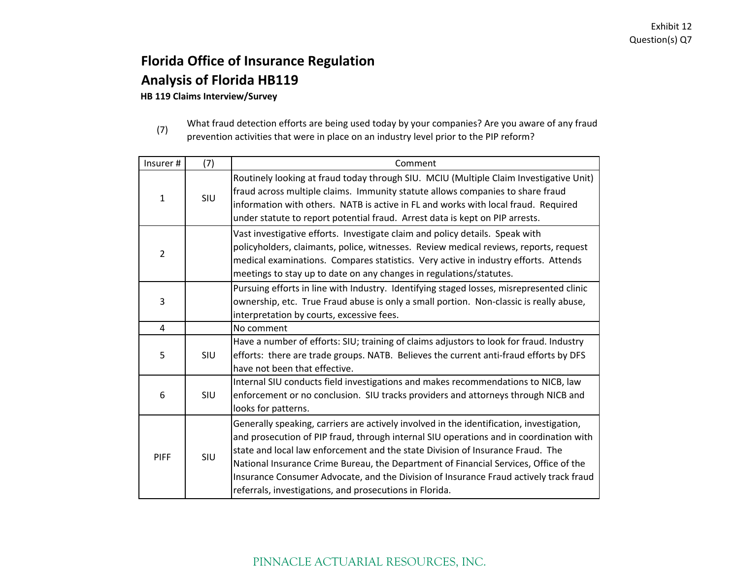# **Florida Office of Insurance Regulation Analysis of Florida HB119**

**HB 119 Claims Interview/Survey**

(7)

What fraud detection efforts are being used today by your companies? Are you aware of any fraud prevention activities that were in place on an industry level prior to the PIP reform?

| Insurer #      | (7)        | Comment                                                                                                                                                                                                                                                                                                                                                                                                                                                                                                          |
|----------------|------------|------------------------------------------------------------------------------------------------------------------------------------------------------------------------------------------------------------------------------------------------------------------------------------------------------------------------------------------------------------------------------------------------------------------------------------------------------------------------------------------------------------------|
| 1              | SIU        | Routinely looking at fraud today through SIU. MCIU (Multiple Claim Investigative Unit)<br>fraud across multiple claims. Immunity statute allows companies to share fraud<br>information with others. NATB is active in FL and works with local fraud. Required<br>under statute to report potential fraud. Arrest data is kept on PIP arrests.                                                                                                                                                                   |
| $\overline{2}$ |            | Vast investigative efforts. Investigate claim and policy details. Speak with<br>policyholders, claimants, police, witnesses. Review medical reviews, reports, request<br>medical examinations. Compares statistics. Very active in industry efforts. Attends<br>meetings to stay up to date on any changes in regulations/statutes.                                                                                                                                                                              |
| 3              |            | Pursuing efforts in line with Industry. Identifying staged losses, misrepresented clinic<br>ownership, etc. True Fraud abuse is only a small portion. Non-classic is really abuse,<br>interpretation by courts, excessive fees.                                                                                                                                                                                                                                                                                  |
| 4              |            | No comment                                                                                                                                                                                                                                                                                                                                                                                                                                                                                                       |
| 5              | SIU        | Have a number of efforts: SIU; training of claims adjustors to look for fraud. Industry<br>efforts: there are trade groups. NATB. Believes the current anti-fraud efforts by DFS<br>have not been that effective.                                                                                                                                                                                                                                                                                                |
| 6              | <b>SIU</b> | Internal SIU conducts field investigations and makes recommendations to NICB, law<br>enforcement or no conclusion. SIU tracks providers and attorneys through NICB and<br>looks for patterns.                                                                                                                                                                                                                                                                                                                    |
| <b>PIFF</b>    | SIU        | Generally speaking, carriers are actively involved in the identification, investigation,<br>and prosecution of PIP fraud, through internal SIU operations and in coordination with<br>state and local law enforcement and the state Division of Insurance Fraud. The<br>National Insurance Crime Bureau, the Department of Financial Services, Office of the<br>Insurance Consumer Advocate, and the Division of Insurance Fraud actively track fraud<br>referrals, investigations, and prosecutions in Florida. |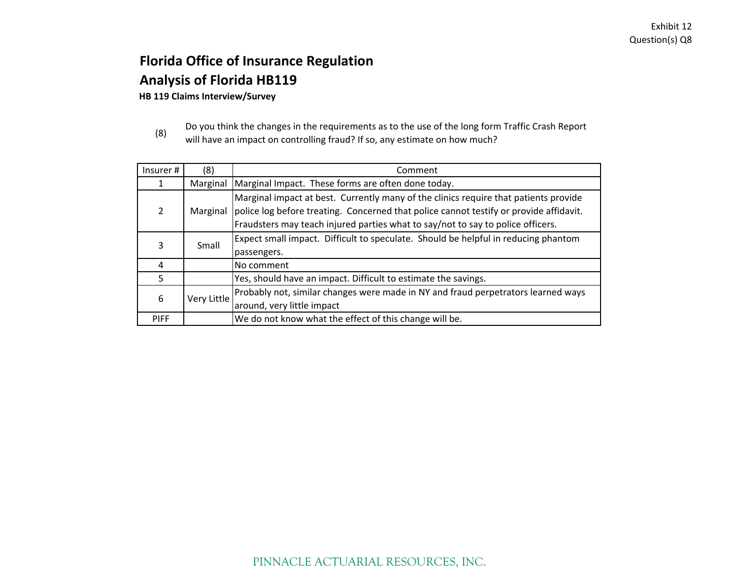# **Florida Office of Insurance Regulation Analysis of Florida HB119**

**HB 119 Claims Interview/Survey**

(8) Do you think the changes in the requirements as to the use of the long form Traffic Crash Report will have an impact on controlling fraud? If so, any estimate on how much?

| Insurer #      | (8)         | Comment                                                                                                                                                                                                                                                                    |  |  |
|----------------|-------------|----------------------------------------------------------------------------------------------------------------------------------------------------------------------------------------------------------------------------------------------------------------------------|--|--|
| 1              | Marginal    | Marginal Impact. These forms are often done today.                                                                                                                                                                                                                         |  |  |
| $\overline{2}$ |             | Marginal impact at best. Currently many of the clinics require that patients provide<br>Marginal police log before treating. Concerned that police cannot testify or provide affidavit.<br>Fraudsters may teach injured parties what to say/not to say to police officers. |  |  |
| 3              | Small       | Expect small impact. Difficult to speculate. Should be helpful in reducing phantom<br>passengers.                                                                                                                                                                          |  |  |
| 4              |             | No comment                                                                                                                                                                                                                                                                 |  |  |
| 5              |             | Yes, should have an impact. Difficult to estimate the savings.                                                                                                                                                                                                             |  |  |
| 6              | Very Little | Probably not, similar changes were made in NY and fraud perpetrators learned ways<br>around, very little impact                                                                                                                                                            |  |  |
| <b>PIFF</b>    |             | We do not know what the effect of this change will be.                                                                                                                                                                                                                     |  |  |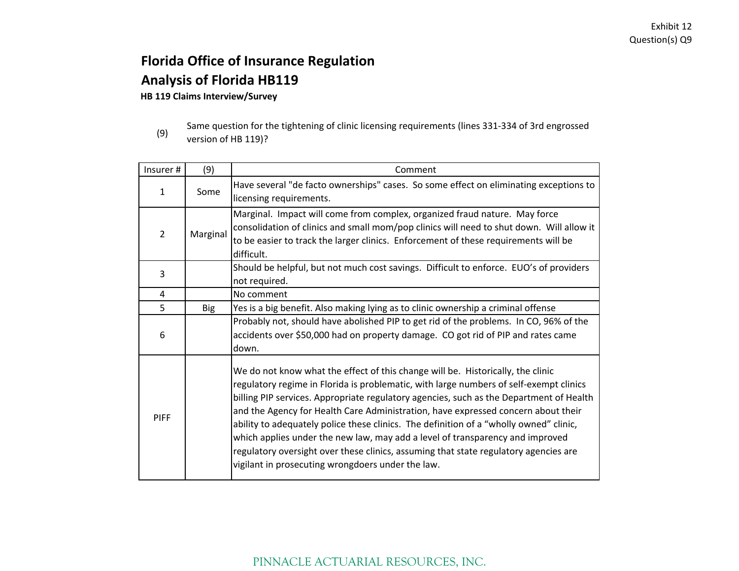# **Florida Office of Insurance Regulation Analysis of Florida HB119**

**HB 119 Claims Interview/Survey**

<sup>(9)</sup> Same question for the tightening of clinic licensing requirements (lines 331‐334 of 3rd engrossed version of HB 119)?

| Insurer#       | (9)        | Comment                                                                                  |  |  |  |
|----------------|------------|------------------------------------------------------------------------------------------|--|--|--|
| $\mathbf{1}$   | Some       | Have several "de facto ownerships" cases. So some effect on eliminating exceptions to    |  |  |  |
|                |            | licensing requirements.                                                                  |  |  |  |
|                |            | Marginal. Impact will come from complex, organized fraud nature. May force               |  |  |  |
| $\overline{2}$ | Marginal   | consolidation of clinics and small mom/pop clinics will need to shut down. Will allow it |  |  |  |
|                |            | to be easier to track the larger clinics. Enforcement of these requirements will be      |  |  |  |
|                |            | difficult.                                                                               |  |  |  |
| 3              |            | Should be helpful, but not much cost savings. Difficult to enforce. EUO's of providers   |  |  |  |
|                |            | not required.                                                                            |  |  |  |
| 4              |            | No comment                                                                               |  |  |  |
| 5              | <b>Big</b> | Yes is a big benefit. Also making lying as to clinic ownership a criminal offense        |  |  |  |
|                |            | Probably not, should have abolished PIP to get rid of the problems. In CO, 96% of the    |  |  |  |
| 6              |            | accidents over \$50,000 had on property damage. CO got rid of PIP and rates came         |  |  |  |
|                |            | down.                                                                                    |  |  |  |
|                |            | We do not know what the effect of this change will be. Historically, the clinic          |  |  |  |
|                |            | regulatory regime in Florida is problematic, with large numbers of self-exempt clinics   |  |  |  |
|                |            | billing PIP services. Appropriate regulatory agencies, such as the Department of Health  |  |  |  |
|                |            | and the Agency for Health Care Administration, have expressed concern about their        |  |  |  |
| <b>PIFF</b>    |            | ability to adequately police these clinics. The definition of a "wholly owned" clinic,   |  |  |  |
|                |            | which applies under the new law, may add a level of transparency and improved            |  |  |  |
|                |            | regulatory oversight over these clinics, assuming that state regulatory agencies are     |  |  |  |
|                |            | vigilant in prosecuting wrongdoers under the law.                                        |  |  |  |
|                |            |                                                                                          |  |  |  |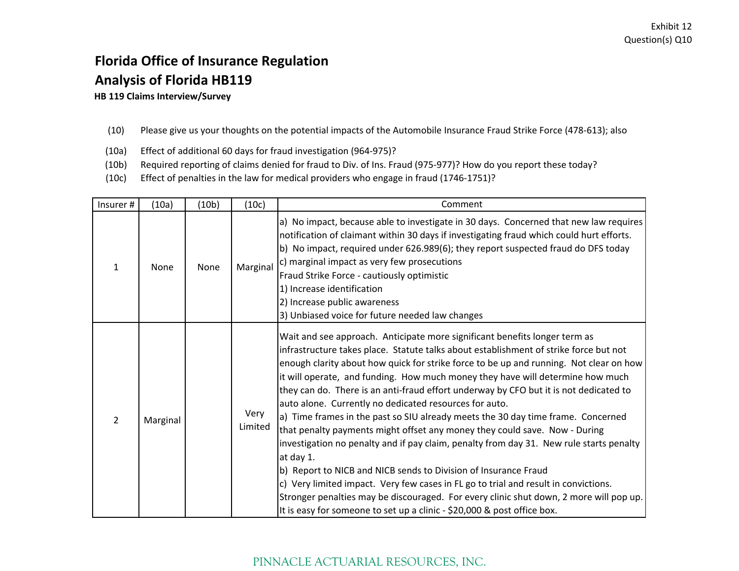# **Florida Office of Insurance Regulation Analysis of Florida HB119**

**HB 119 Claims Interview/Survey**

#### (10) Please give us your thoughts on the potential impacts of the Automobile Insurance Fraud Strike Force (478‐613); also

- (10a) Effect of additional 60 days for fraud investigation (964‐975)?
- (10b) Required reporting of claims denied for fraud to Div. of Ins. Fraud (975‐977)? How do you report these today?
- (10c) Effect of penalties in the law for medical providers who engage in fraud (1746‐1751)?

| Insurer#       | (10a)    | (10b) | (10c)           | Comment                                                                                                                                                                                                                                                                                                                                                                                                                                                                                                                                                                                                                                                                                                                                                                                                                                                                                                                                                                                                                                                                                                     |
|----------------|----------|-------|-----------------|-------------------------------------------------------------------------------------------------------------------------------------------------------------------------------------------------------------------------------------------------------------------------------------------------------------------------------------------------------------------------------------------------------------------------------------------------------------------------------------------------------------------------------------------------------------------------------------------------------------------------------------------------------------------------------------------------------------------------------------------------------------------------------------------------------------------------------------------------------------------------------------------------------------------------------------------------------------------------------------------------------------------------------------------------------------------------------------------------------------|
| 1              | None     | None  | Marginal        | a) No impact, because able to investigate in 30 days. Concerned that new law requires<br>notification of claimant within 30 days if investigating fraud which could hurt efforts.<br>b) No impact, required under 626.989(6); they report suspected fraud do DFS today<br>c) marginal impact as very few prosecutions<br>Fraud Strike Force - cautiously optimistic<br>1) Increase identification<br>2) Increase public awareness<br>3) Unbiased voice for future needed law changes                                                                                                                                                                                                                                                                                                                                                                                                                                                                                                                                                                                                                        |
| $\overline{2}$ | Marginal |       | Very<br>Limited | Wait and see approach. Anticipate more significant benefits longer term as<br>infrastructure takes place. Statute talks about establishment of strike force but not<br>enough clarity about how quick for strike force to be up and running. Not clear on how<br>it will operate, and funding. How much money they have will determine how much<br>they can do. There is an anti-fraud effort underway by CFO but it is not dedicated to<br>auto alone. Currently no dedicated resources for auto.<br>a) Time frames in the past so SIU already meets the 30 day time frame. Concerned<br>that penalty payments might offset any money they could save. Now - During<br>investigation no penalty and if pay claim, penalty from day 31. New rule starts penalty<br>at day 1.<br>b) Report to NICB and NICB sends to Division of Insurance Fraud<br>c) Very limited impact. Very few cases in FL go to trial and result in convictions.<br>Stronger penalties may be discouraged. For every clinic shut down, 2 more will pop up.<br>It is easy for someone to set up a clinic - \$20,000 & post office box. |

### PINNACLE ACTUARIAL RESOURCES, INC.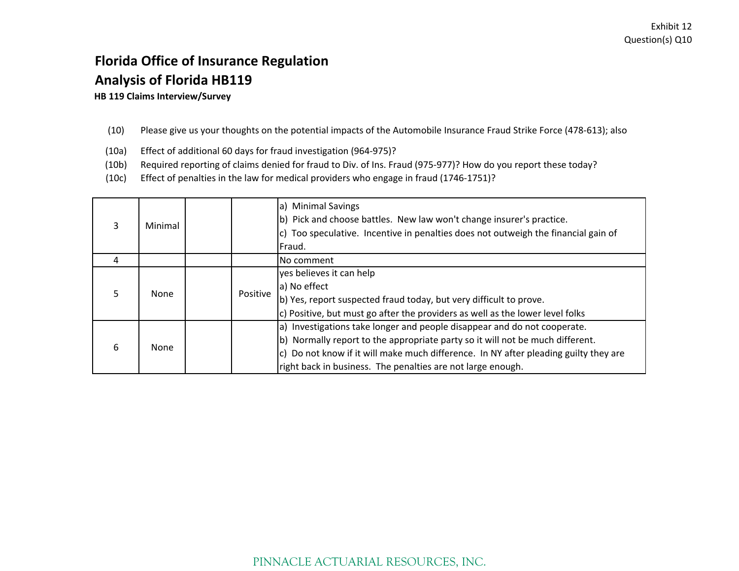# **Florida Office of Insurance Regulation Analysis of Florida HB119**

**HB 119 Claims Interview/Survey**

#### (10) Please give us your thoughts on the potential impacts of the Automobile Insurance Fraud Strike Force (478‐613); also

- (10a) Effect of additional 60 days for fraud investigation (964‐975)?
- (10b) Required reporting of claims denied for fraud to Div. of Ins. Fraud (975‐977)? How do you report these today?
- (10c) Effect of penalties in the law for medical providers who engage in fraud (1746‐1751)?

| 3 | Minimal     |          | a) Minimal Savings<br>b) Pick and choose battles. New law won't change insurer's practice.<br>c) Too speculative. Incentive in penalties does not outweigh the financial gain of<br>Fraud.                                                                                                                       |
|---|-------------|----------|------------------------------------------------------------------------------------------------------------------------------------------------------------------------------------------------------------------------------------------------------------------------------------------------------------------|
| 4 |             |          | No comment                                                                                                                                                                                                                                                                                                       |
|   | <b>None</b> | Positive | yes believes it can help<br>a) No effect<br>b) Yes, report suspected fraud today, but very difficult to prove.<br>c) Positive, but must go after the providers as well as the lower level folks                                                                                                                  |
| 6 | None        |          | a) Investigations take longer and people disappear and do not cooperate.<br>b) Normally report to the appropriate party so it will not be much different.<br>c) Do not know if it will make much difference. In NY after pleading guilty they are<br>right back in business. The penalties are not large enough. |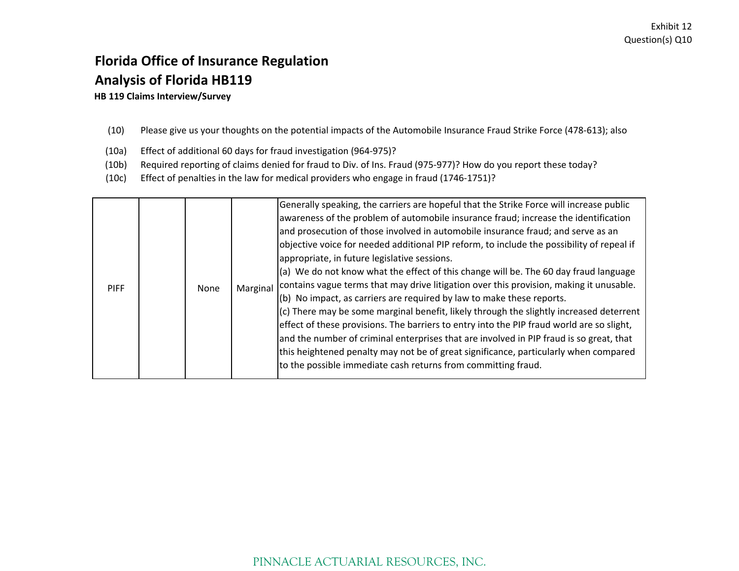# **Florida Office of Insurance Regulation Analysis of Florida HB119**

**HB 119 Claims Interview/Survey**

- (10) Please give us your thoughts on the potential impacts of the Automobile Insurance Fraud Strike Force (478‐613); also
- (10a) Effect of additional 60 days for fraud investigation (964‐975)?
- (10b) Required reporting of claims denied for fraud to Div. of Ins. Fraud (975‐977)? How do you report these today?
- (10c) Effect of penalties in the law for medical providers who engage in fraud (1746‐1751)?

| <b>PIFF</b> | None |  | Generally speaking, the carriers are hopeful that the Strike Force will increase public<br>awareness of the problem of automobile insurance fraud; increase the identification<br>and prosecution of those involved in automobile insurance fraud; and serve as an<br>objective voice for needed additional PIP reform, to include the possibility of repeal if<br>appropriate, in future legislative sessions.<br>(a) We do not know what the effect of this change will be. The 60 day fraud language<br>Marginal contains vague terms that may drive litigation over this provision, making it unusable.<br>(b) No impact, as carriers are required by law to make these reports.<br>$(c)$ There may be some marginal benefit, likely through the slightly increased deterrent<br>effect of these provisions. The barriers to entry into the PIP fraud world are so slight,<br>and the number of criminal enterprises that are involved in PIP fraud is so great, that<br>this heightened penalty may not be of great significance, particularly when compared<br>to the possible immediate cash returns from committing fraud. |
|-------------|------|--|------------------------------------------------------------------------------------------------------------------------------------------------------------------------------------------------------------------------------------------------------------------------------------------------------------------------------------------------------------------------------------------------------------------------------------------------------------------------------------------------------------------------------------------------------------------------------------------------------------------------------------------------------------------------------------------------------------------------------------------------------------------------------------------------------------------------------------------------------------------------------------------------------------------------------------------------------------------------------------------------------------------------------------------------------------------------------------------------------------------------------------|
|-------------|------|--|------------------------------------------------------------------------------------------------------------------------------------------------------------------------------------------------------------------------------------------------------------------------------------------------------------------------------------------------------------------------------------------------------------------------------------------------------------------------------------------------------------------------------------------------------------------------------------------------------------------------------------------------------------------------------------------------------------------------------------------------------------------------------------------------------------------------------------------------------------------------------------------------------------------------------------------------------------------------------------------------------------------------------------------------------------------------------------------------------------------------------------|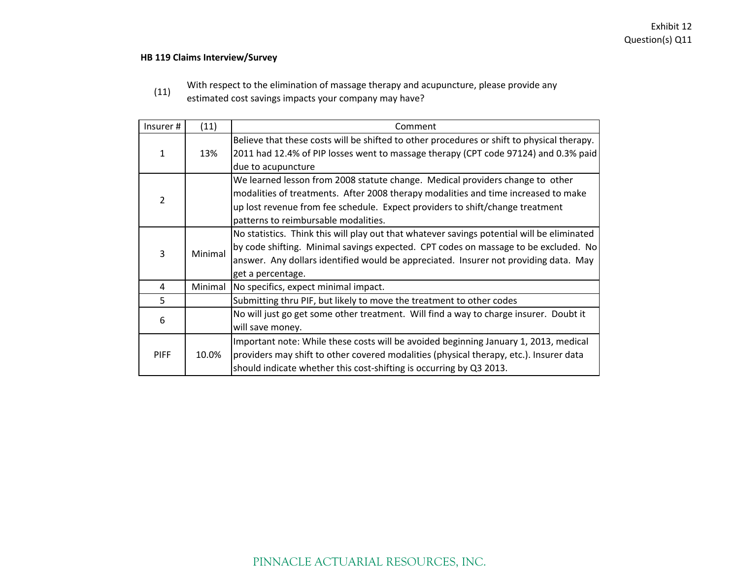#### **HB 119 Claims Interview/Survey**

With respect to the elimination of massage therapy and acupuncture, please provide any

(11) estimated cost savings impacts your company may have?

| Insurer#    | (11)    | Comment                                                                                    |
|-------------|---------|--------------------------------------------------------------------------------------------|
|             |         | Believe that these costs will be shifted to other procedures or shift to physical therapy. |
| 1           | 13%     | 2011 had 12.4% of PIP losses went to massage therapy (CPT code 97124) and 0.3% paid        |
|             |         | due to acupuncture                                                                         |
|             |         | We learned lesson from 2008 statute change. Medical providers change to other              |
| 2           |         | modalities of treatments. After 2008 therapy modalities and time increased to make         |
|             |         | up lost revenue from fee schedule. Expect providers to shift/change treatment              |
|             |         | patterns to reimbursable modalities.                                                       |
|             |         | No statistics. Think this will play out that whatever savings potential will be eliminated |
| 3           | Minimal | by code shifting. Minimal savings expected. CPT codes on massage to be excluded. No        |
|             |         | answer. Any dollars identified would be appreciated. Insurer not providing data. May       |
|             |         | get a percentage.                                                                          |
| 4           | Minimal | No specifics, expect minimal impact.                                                       |
| 5           |         | Submitting thru PIF, but likely to move the treatment to other codes                       |
| 6           |         | No will just go get some other treatment. Will find a way to charge insurer. Doubt it      |
|             |         | will save money.                                                                           |
|             |         | Important note: While these costs will be avoided beginning January 1, 2013, medical       |
| <b>PIFF</b> | 10.0%   | providers may shift to other covered modalities (physical therapy, etc.). Insurer data     |
|             |         | should indicate whether this cost-shifting is occurring by Q3 2013.                        |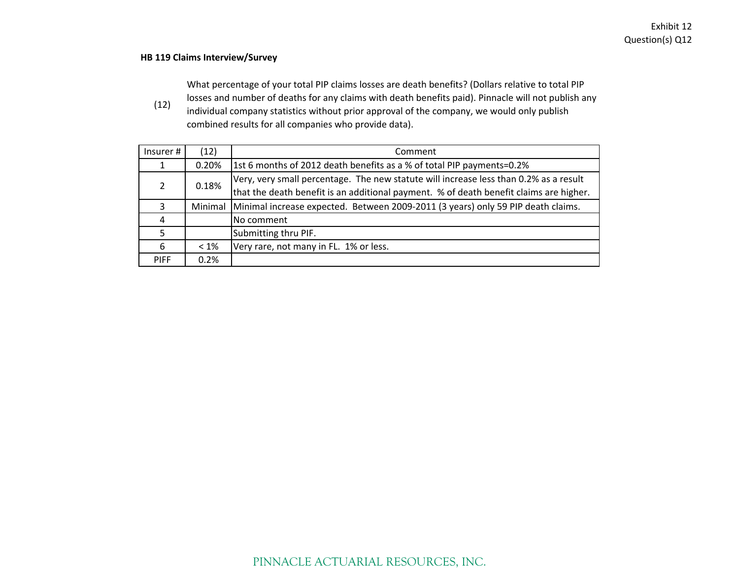#### **HB 119 Claims Interview/Survey**

What percentage of your total PIP claims losses are death benefits? (Dollars relative to total PIP

(12) losses and number of deaths for any claims with death benefits paid). Pinnacle will not publish any individual company statistics without prior approval of the company, we would only publish combined results for all companies who provide data).

| Insurer #   | (12)    | Comment                                                                                |
|-------------|---------|----------------------------------------------------------------------------------------|
|             | 0.20%   | 1st 6 months of 2012 death benefits as a % of total PIP payments=0.2%                  |
| 2           | 0.18%   | Very, very small percentage. The new statute will increase less than 0.2% as a result  |
|             |         | that the death benefit is an additional payment. % of death benefit claims are higher. |
| 3           | Minimal | Minimal increase expected. Between 2009-2011 (3 years) only 59 PIP death claims.       |
| 4           |         | No comment                                                                             |
| 5           |         | Submitting thru PIF.                                                                   |
| 6           | $< 1\%$ | Very rare, not many in FL. 1% or less.                                                 |
| <b>PIFF</b> | 0.2%    |                                                                                        |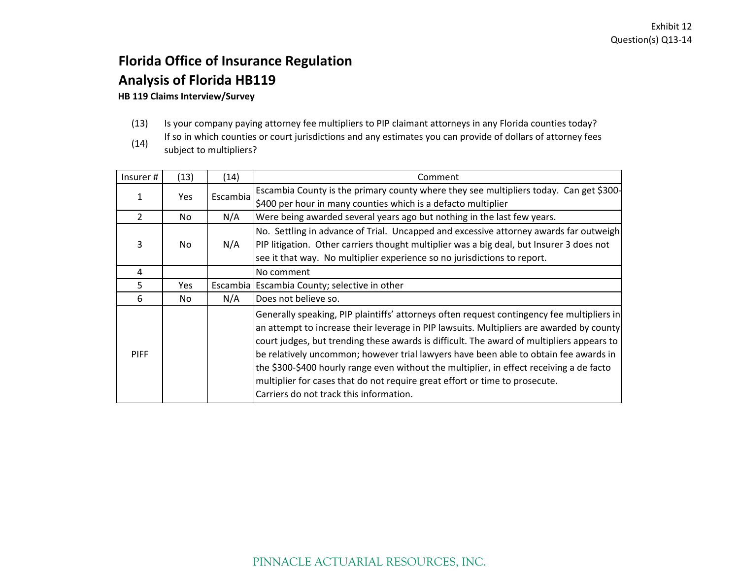## **Florida Office of Insurance Regulation Analysis of Florida HB119 HB 119 Claims Interview/Survey**

# (13) Is your company paying attorney fee multipliers to PIP claimant attorneys in any Florida counties today?

(14) If so in which counties or court jurisdictions and any estimates you can provide of dollars of attorney fees subject to multipliers?

| Insurer#       | (13)       | (14)     | Comment                                                                                                                                                                                                                                                                                                                                                                                                                                                                                                                                                                                           |
|----------------|------------|----------|---------------------------------------------------------------------------------------------------------------------------------------------------------------------------------------------------------------------------------------------------------------------------------------------------------------------------------------------------------------------------------------------------------------------------------------------------------------------------------------------------------------------------------------------------------------------------------------------------|
|                |            |          | Escambia County is the primary county where they see multipliers today. Can get \$300-                                                                                                                                                                                                                                                                                                                                                                                                                                                                                                            |
| 1              | <b>Yes</b> | Escambia | \$400 per hour in many counties which is a defacto multiplier                                                                                                                                                                                                                                                                                                                                                                                                                                                                                                                                     |
| $\overline{2}$ | No.        | N/A      | Were being awarded several years ago but nothing in the last few years.                                                                                                                                                                                                                                                                                                                                                                                                                                                                                                                           |
| 3              | No.        | N/A      | No. Settling in advance of Trial. Uncapped and excessive attorney awards far outweigh<br>PIP litigation. Other carriers thought multiplier was a big deal, but Insurer 3 does not<br>see it that way. No multiplier experience so no jurisdictions to report.                                                                                                                                                                                                                                                                                                                                     |
| 4              |            |          | No comment                                                                                                                                                                                                                                                                                                                                                                                                                                                                                                                                                                                        |
| 5.             | <b>Yes</b> |          | Escambia Escambia County; selective in other                                                                                                                                                                                                                                                                                                                                                                                                                                                                                                                                                      |
| 6              | No         | N/A      | Does not believe so.                                                                                                                                                                                                                                                                                                                                                                                                                                                                                                                                                                              |
| <b>PIFF</b>    |            |          | Generally speaking, PIP plaintiffs' attorneys often request contingency fee multipliers in<br>an attempt to increase their leverage in PIP lawsuits. Multipliers are awarded by county<br>court judges, but trending these awards is difficult. The award of multipliers appears to<br>be relatively uncommon; however trial lawyers have been able to obtain fee awards in<br>the \$300-\$400 hourly range even without the multiplier, in effect receiving a de facto<br>multiplier for cases that do not require great effort or time to prosecute.<br>Carriers do not track this information. |

## PINNACLE ACTUARIAL RESOURCES, INC.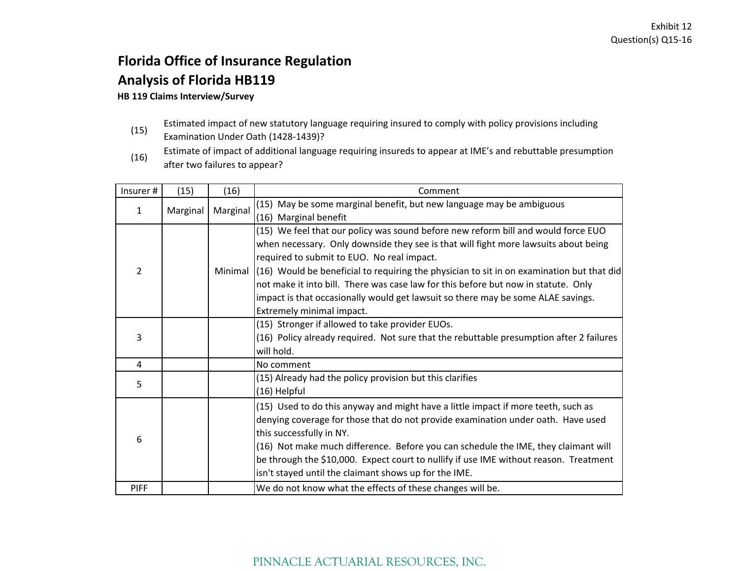# **Florida Office of Insurance Regulation Analysis of Florida HB119**

#### **HB 119 Claims Interview/Survey**

- (15) Estimated impact of new statutory language requiring insured to comply with policy provisions including
- Examination Under Oath (1428‐1439)?
- (16) Estimate of impact of additional language requiring insureds to appear at IME's and rebuttable presumption after two failures to appear?

| Insurer#       | (15)     | (16)     | Comment                                                                                     |
|----------------|----------|----------|---------------------------------------------------------------------------------------------|
| 1              | Marginal | Marginal | (15) May be some marginal benefit, but new language may be ambiguous                        |
|                |          |          | (16) Marginal benefit                                                                       |
|                |          |          | (15) We feel that our policy was sound before new reform bill and would force EUO           |
|                |          |          | when necessary. Only downside they see is that will fight more lawsuits about being         |
|                |          |          | required to submit to EUO. No real impact.                                                  |
| $\overline{2}$ |          | Minimal  | $(16)$ Would be beneficial to requiring the physician to sit in on examination but that did |
|                |          |          | not make it into bill. There was case law for this before but now in statute. Only          |
|                |          |          | impact is that occasionally would get lawsuit so there may be some ALAE savings.            |
|                |          |          | Extremely minimal impact.                                                                   |
|                |          |          | (15) Stronger if allowed to take provider EUOs.                                             |
| 3              |          |          | (16) Policy already required. Not sure that the rebuttable presumption after 2 failures     |
|                |          |          | will hold.                                                                                  |
| 4              |          |          | No comment                                                                                  |
| 5              |          |          | (15) Already had the policy provision but this clarifies                                    |
|                |          |          | (16) Helpful                                                                                |
|                |          |          | (15) Used to do this anyway and might have a little impact if more teeth, such as           |
|                |          |          | denying coverage for those that do not provide examination under oath. Have used            |
| 6              |          |          | this successfully in NY.                                                                    |
|                |          |          | (16) Not make much difference. Before you can schedule the IME, they claimant will          |
|                |          |          | be through the \$10,000. Expect court to nullify if use IME without reason. Treatment       |
|                |          |          | isn't stayed until the claimant shows up for the IME.                                       |
| <b>PIFF</b>    |          |          | We do not know what the effects of these changes will be.                                   |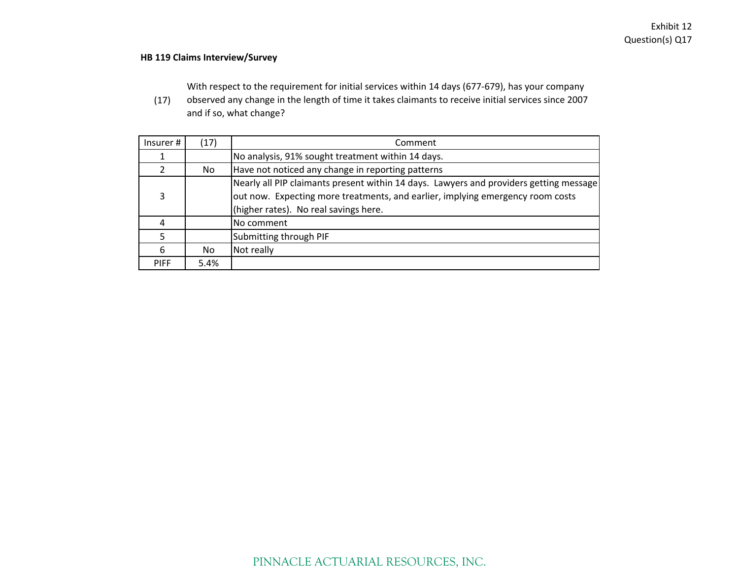#### **HB 119 Claims Interview/Survey**

With respect to the requirement for initial services within 14 days (677‐679), has your company

(17) observed any change in the length of time it takes claimants to receive initial services since 2007 and if so, what change?

| Insurer#    | (17) | Comment                                                                                                                                                                                                           |
|-------------|------|-------------------------------------------------------------------------------------------------------------------------------------------------------------------------------------------------------------------|
|             |      | No analysis, 91% sought treatment within 14 days.                                                                                                                                                                 |
|             | No.  | Have not noticed any change in reporting patterns                                                                                                                                                                 |
| 3           |      | Nearly all PIP claimants present within 14 days. Lawyers and providers getting message<br>out now. Expecting more treatments, and earlier, implying emergency room costs<br>(higher rates). No real savings here. |
|             |      | No comment                                                                                                                                                                                                        |
|             |      | Submitting through PIF                                                                                                                                                                                            |
| 6           | No   | Not really                                                                                                                                                                                                        |
| <b>PIFF</b> | 5.4% |                                                                                                                                                                                                                   |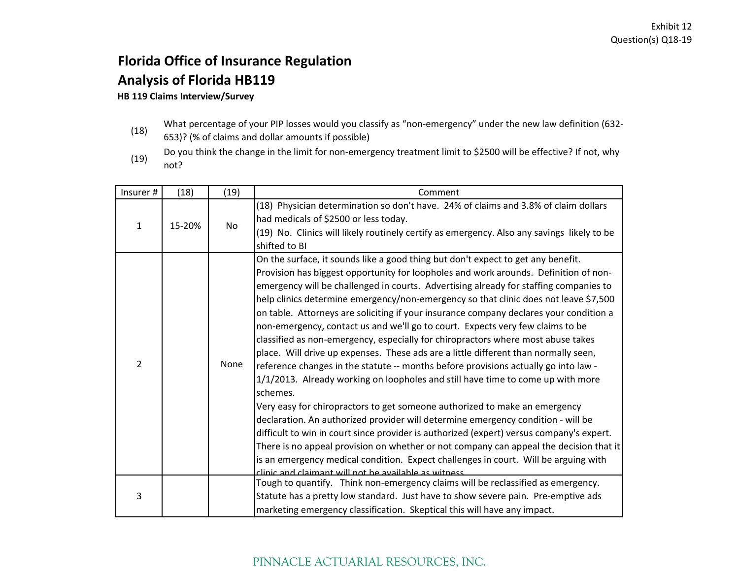# **Florida Office of Insurance Regulation Analysis of Florida HB119**

#### **HB 119 Claims Interview/Survey**

- What percentage of your PIP losses would you classify as "non‐emergency" under the new law definition (632‐
- (18) 653)? (% of claims and dollar amounts if possible)
- (19) Do you think the change in the limit for non‐emergency treatment limit to \$2500 will be effective? If not, why not?

| Insurer #      | (18)   | (19) | Comment                                                                                    |
|----------------|--------|------|--------------------------------------------------------------------------------------------|
|                |        |      | (18) Physician determination so don't have. 24% of claims and 3.8% of claim dollars        |
| $\mathbf{1}$   | 15-20% | No   | had medicals of \$2500 or less today.                                                      |
|                |        |      | (19) No. Clinics will likely routinely certify as emergency. Also any savings likely to be |
|                |        |      | shifted to BI                                                                              |
|                |        |      | On the surface, it sounds like a good thing but don't expect to get any benefit.           |
|                |        |      | Provision has biggest opportunity for loopholes and work arounds. Definition of non-       |
|                |        |      | emergency will be challenged in courts. Advertising already for staffing companies to      |
|                |        |      | help clinics determine emergency/non-emergency so that clinic does not leave \$7,500       |
|                |        |      | on table. Attorneys are soliciting if your insurance company declares your condition a     |
|                |        | None | non-emergency, contact us and we'll go to court. Expects very few claims to be             |
|                |        |      | classified as non-emergency, especially for chiropractors where most abuse takes           |
|                |        |      | place. Will drive up expenses. These ads are a little different than normally seen,        |
| $\overline{2}$ |        |      | reference changes in the statute -- months before provisions actually go into law -        |
|                |        |      | 1/1/2013. Already working on loopholes and still have time to come up with more            |
|                |        |      | schemes.                                                                                   |
|                |        |      | Very easy for chiropractors to get someone authorized to make an emergency                 |
|                |        |      | declaration. An authorized provider will determine emergency condition - will be           |
|                |        |      | difficult to win in court since provider is authorized (expert) versus company's expert.   |
|                |        |      | There is no appeal provision on whether or not company can appeal the decision that it     |
|                |        |      | is an emergency medical condition. Expect challenges in court. Will be arguing with        |
|                |        |      | clinic and claimant will not he available as witness                                       |
|                |        |      | Tough to quantify. Think non-emergency claims will be reclassified as emergency.           |
| 3              |        |      | Statute has a pretty low standard. Just have to show severe pain. Pre-emptive ads          |
|                |        |      | marketing emergency classification. Skeptical this will have any impact.                   |

### PINNACLE ACTUARIAL RESOURCES, INC.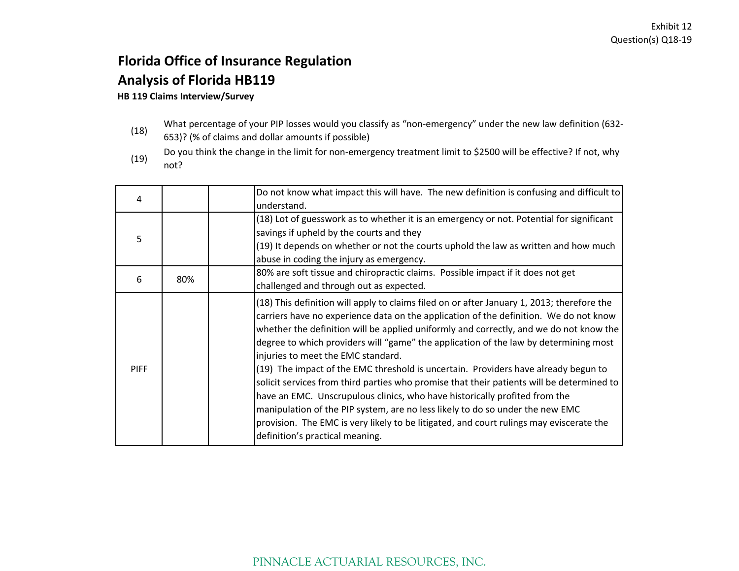# **Florida Office of Insurance Regulation Analysis of Florida HB119**

#### **HB 119 Claims Interview/Survey**

- What percentage of your PIP losses would you classify as "non‐emergency" under the new law definition (632‐
- (18) 653)? (% of claims and dollar amounts if possible)
- (19) Do you think the change in the limit for non‐emergency treatment limit to \$2500 will be effective? If not, why not?

| 4           |     | Do not know what impact this will have. The new definition is confusing and difficult to<br>understand.                                                                                                                                                                                                                                                                                                                                                                                                                                                                                                                                                                                                                                                                                                                                                                                     |
|-------------|-----|---------------------------------------------------------------------------------------------------------------------------------------------------------------------------------------------------------------------------------------------------------------------------------------------------------------------------------------------------------------------------------------------------------------------------------------------------------------------------------------------------------------------------------------------------------------------------------------------------------------------------------------------------------------------------------------------------------------------------------------------------------------------------------------------------------------------------------------------------------------------------------------------|
| 5           |     | (18) Lot of guesswork as to whether it is an emergency or not. Potential for significant<br>savings if upheld by the courts and they<br>(19) It depends on whether or not the courts uphold the law as written and how much<br>abuse in coding the injury as emergency.                                                                                                                                                                                                                                                                                                                                                                                                                                                                                                                                                                                                                     |
| 6           | 80% | 80% are soft tissue and chiropractic claims. Possible impact if it does not get<br>challenged and through out as expected.                                                                                                                                                                                                                                                                                                                                                                                                                                                                                                                                                                                                                                                                                                                                                                  |
| <b>PIFF</b> |     | (18) This definition will apply to claims filed on or after January 1, 2013; therefore the<br>carriers have no experience data on the application of the definition. We do not know<br>whether the definition will be applied uniformly and correctly, and we do not know the<br>degree to which providers will "game" the application of the law by determining most<br>injuries to meet the EMC standard.<br>(19) The impact of the EMC threshold is uncertain. Providers have already begun to<br>solicit services from third parties who promise that their patients will be determined to<br>have an EMC. Unscrupulous clinics, who have historically profited from the<br>manipulation of the PIP system, are no less likely to do so under the new EMC<br>provision. The EMC is very likely to be litigated, and court rulings may eviscerate the<br>definition's practical meaning. |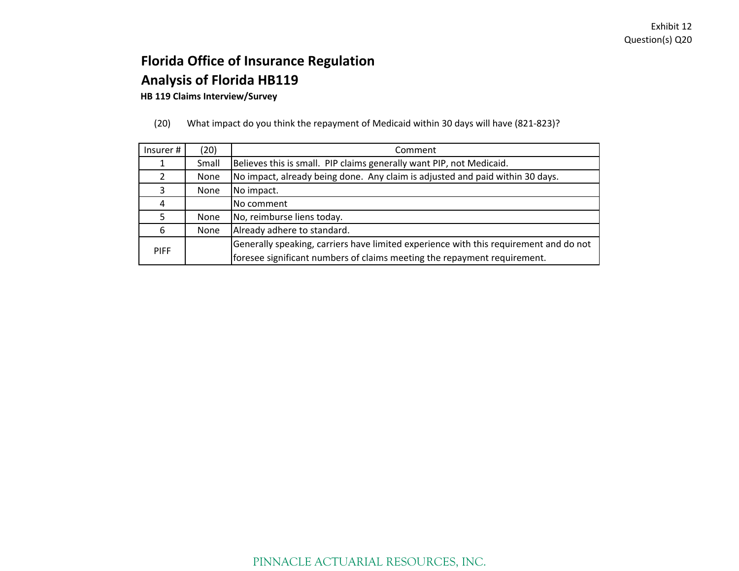**HB 119 Claims Interview/Survey**

(20) What impact do you think the repayment of Medicaid within 30 days will have (821‐823)?

| Insurer #   | (20)  | Comment                                                                               |
|-------------|-------|---------------------------------------------------------------------------------------|
|             | Small | Believes this is small. PIP claims generally want PIP, not Medicaid.                  |
|             | None  | No impact, already being done. Any claim is adjusted and paid within 30 days.         |
| 3           | None  | No impact.                                                                            |
| 4           |       | No comment                                                                            |
|             | None  | No, reimburse liens today.                                                            |
| 6           | None  | Already adhere to standard.                                                           |
|             |       | Generally speaking, carriers have limited experience with this requirement and do not |
| <b>PIFF</b> |       | foresee significant numbers of claims meeting the repayment requirement.              |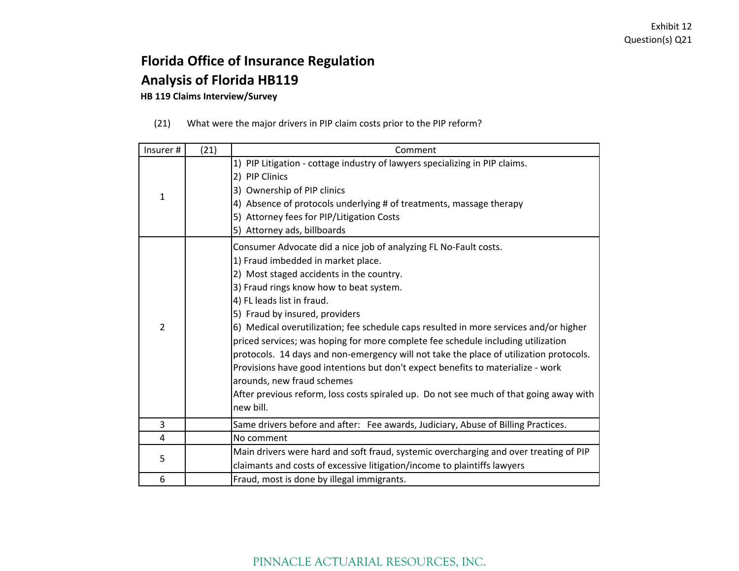### **Florida Office of Insurance Regulation Analysis of Florida HB119**

**HB 119 Claims Interview/Survey**

(21) What were the major drivers in PIP claim costs prior to the PIP reform?

| Insurer#       | (21) | Comment                                                                                                                                                                                                                                                                                                                                                                                                                                                                                                                                                                                                                                                                                                                                                      |
|----------------|------|--------------------------------------------------------------------------------------------------------------------------------------------------------------------------------------------------------------------------------------------------------------------------------------------------------------------------------------------------------------------------------------------------------------------------------------------------------------------------------------------------------------------------------------------------------------------------------------------------------------------------------------------------------------------------------------------------------------------------------------------------------------|
| $\mathbf{1}$   |      | 1) PIP Litigation - cottage industry of lawyers specializing in PIP claims.<br>2) PIP Clinics<br>3) Ownership of PIP clinics<br>4) Absence of protocols underlying # of treatments, massage therapy<br>5) Attorney fees for PIP/Litigation Costs<br>5) Attorney ads, billboards                                                                                                                                                                                                                                                                                                                                                                                                                                                                              |
| $\overline{2}$ |      | Consumer Advocate did a nice job of analyzing FL No-Fault costs.<br>1) Fraud imbedded in market place.<br>2) Most staged accidents in the country.<br>3) Fraud rings know how to beat system.<br>4) FL leads list in fraud.<br>5) Fraud by insured, providers<br>6) Medical overutilization; fee schedule caps resulted in more services and/or higher<br>priced services; was hoping for more complete fee schedule including utilization<br>protocols. 14 days and non-emergency will not take the place of utilization protocols.<br>Provisions have good intentions but don't expect benefits to materialize - work<br>arounds, new fraud schemes<br>After previous reform, loss costs spiraled up. Do not see much of that going away with<br>new bill. |
| 3              |      | Same drivers before and after: Fee awards, Judiciary, Abuse of Billing Practices.                                                                                                                                                                                                                                                                                                                                                                                                                                                                                                                                                                                                                                                                            |
| $\overline{4}$ |      | No comment                                                                                                                                                                                                                                                                                                                                                                                                                                                                                                                                                                                                                                                                                                                                                   |
| 5              |      | Main drivers were hard and soft fraud, systemic overcharging and over treating of PIP<br>claimants and costs of excessive litigation/income to plaintiffs lawyers                                                                                                                                                                                                                                                                                                                                                                                                                                                                                                                                                                                            |
| 6              |      | Fraud, most is done by illegal immigrants.                                                                                                                                                                                                                                                                                                                                                                                                                                                                                                                                                                                                                                                                                                                   |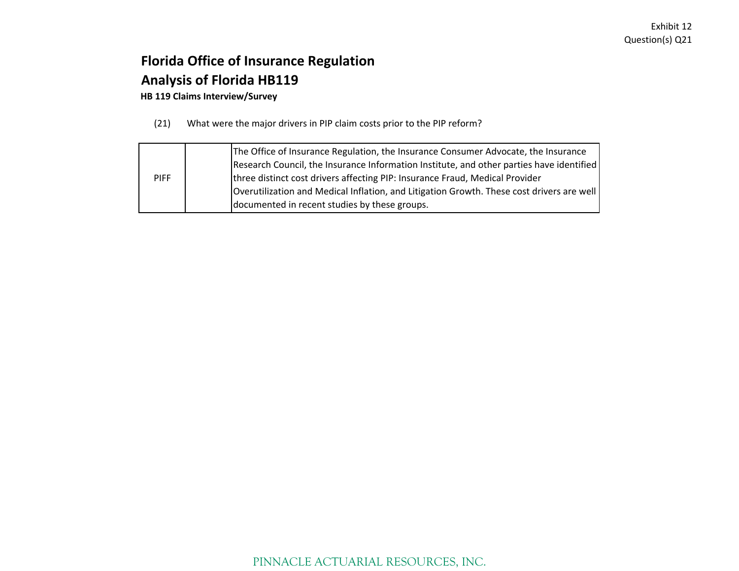### **Florida Office of Insurance Regulation Analysis of Florida HB119**

**HB 119 Claims Interview/Survey**

(21) What were the major drivers in PIP claim costs prior to the PIP reform?

|             | The Office of Insurance Regulation, the Insurance Consumer Advocate, the Insurance        |
|-------------|-------------------------------------------------------------------------------------------|
|             | Research Council, the Insurance Information Institute, and other parties have identified  |
| <b>PIFF</b> | three distinct cost drivers affecting PIP: Insurance Fraud, Medical Provider              |
|             | Overutilization and Medical Inflation, and Litigation Growth. These cost drivers are well |
|             | documented in recent studies by these groups.                                             |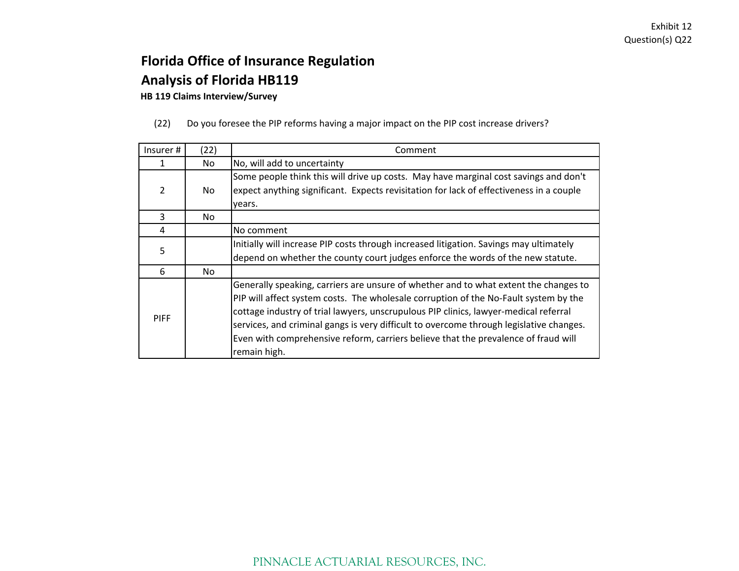### **Florida Office of Insurance Regulation Analysis of Florida HB119**

**HB 119 Claims Interview/Survey**

(22) Do you foresee the PIP reforms having <sup>a</sup> major impact on the PIP cost increase drivers?

| Insurer#    | (22) | Comment                                                                                                                                                                                                                                                                                                                                                                                                                                                               |
|-------------|------|-----------------------------------------------------------------------------------------------------------------------------------------------------------------------------------------------------------------------------------------------------------------------------------------------------------------------------------------------------------------------------------------------------------------------------------------------------------------------|
|             | No   | No, will add to uncertainty                                                                                                                                                                                                                                                                                                                                                                                                                                           |
| 2           | No   | Some people think this will drive up costs. May have marginal cost savings and don't<br>expect anything significant. Expects revisitation for lack of effectiveness in a couple<br>years.                                                                                                                                                                                                                                                                             |
| 3           | No.  |                                                                                                                                                                                                                                                                                                                                                                                                                                                                       |
| 4           |      | No comment                                                                                                                                                                                                                                                                                                                                                                                                                                                            |
| 5           |      | Initially will increase PIP costs through increased litigation. Savings may ultimately<br>depend on whether the county court judges enforce the words of the new statute.                                                                                                                                                                                                                                                                                             |
| 6           | No.  |                                                                                                                                                                                                                                                                                                                                                                                                                                                                       |
| <b>PIFF</b> |      | Generally speaking, carriers are unsure of whether and to what extent the changes to<br>PIP will affect system costs. The wholesale corruption of the No-Fault system by the<br>cottage industry of trial lawyers, unscrupulous PIP clinics, lawyer-medical referral<br>services, and criminal gangs is very difficult to overcome through legislative changes.<br>Even with comprehensive reform, carriers believe that the prevalence of fraud will<br>remain high. |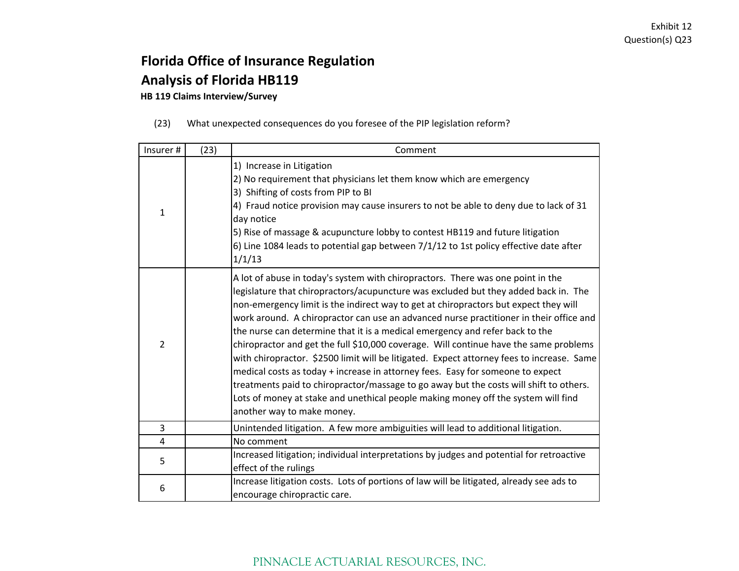## **Florida Office of Insurance Regulation Analysis of Florida HB119**

**HB 119 Claims Interview/Survey**

| (23) |  |  | What unexpected consequences do you foresee of the PIP legislation reform? |
|------|--|--|----------------------------------------------------------------------------|
|      |  |  |                                                                            |

| Insurer #      | (23) | Comment                                                                                                                                                                                                                                                                                                                                                                                                                                                                                                                                                                                                                                                                                                                                                                                                                                                                                                                       |
|----------------|------|-------------------------------------------------------------------------------------------------------------------------------------------------------------------------------------------------------------------------------------------------------------------------------------------------------------------------------------------------------------------------------------------------------------------------------------------------------------------------------------------------------------------------------------------------------------------------------------------------------------------------------------------------------------------------------------------------------------------------------------------------------------------------------------------------------------------------------------------------------------------------------------------------------------------------------|
| $\mathbf{1}$   |      | 1) Increase in Litigation<br>2) No requirement that physicians let them know which are emergency<br>3) Shifting of costs from PIP to BI<br>4) Fraud notice provision may cause insurers to not be able to deny due to lack of 31<br>day notice<br>5) Rise of massage & acupuncture lobby to contest HB119 and future litigation<br>6) Line 1084 leads to potential gap between 7/1/12 to 1st policy effective date after<br>1/1/13                                                                                                                                                                                                                                                                                                                                                                                                                                                                                            |
| $\overline{2}$ |      | A lot of abuse in today's system with chiropractors. There was one point in the<br>legislature that chiropractors/acupuncture was excluded but they added back in. The<br>non-emergency limit is the indirect way to get at chiropractors but expect they will<br>work around. A chiropractor can use an advanced nurse practitioner in their office and<br>the nurse can determine that it is a medical emergency and refer back to the<br>chiropractor and get the full \$10,000 coverage. Will continue have the same problems<br>with chiropractor. \$2500 limit will be litigated. Expect attorney fees to increase. Same<br>medical costs as today + increase in attorney fees. Easy for someone to expect<br>treatments paid to chiropractor/massage to go away but the costs will shift to others.<br>Lots of money at stake and unethical people making money off the system will find<br>another way to make money. |
| 3              |      | Unintended litigation. A few more ambiguities will lead to additional litigation.                                                                                                                                                                                                                                                                                                                                                                                                                                                                                                                                                                                                                                                                                                                                                                                                                                             |
| $\overline{4}$ |      | No comment                                                                                                                                                                                                                                                                                                                                                                                                                                                                                                                                                                                                                                                                                                                                                                                                                                                                                                                    |
| 5              |      | Increased litigation; individual interpretations by judges and potential for retroactive<br>effect of the rulings                                                                                                                                                                                                                                                                                                                                                                                                                                                                                                                                                                                                                                                                                                                                                                                                             |
| 6              |      | Increase litigation costs. Lots of portions of law will be litigated, already see ads to<br>encourage chiropractic care.                                                                                                                                                                                                                                                                                                                                                                                                                                                                                                                                                                                                                                                                                                                                                                                                      |

### PINNACLE ACTUARIAL RESOURCES, INC.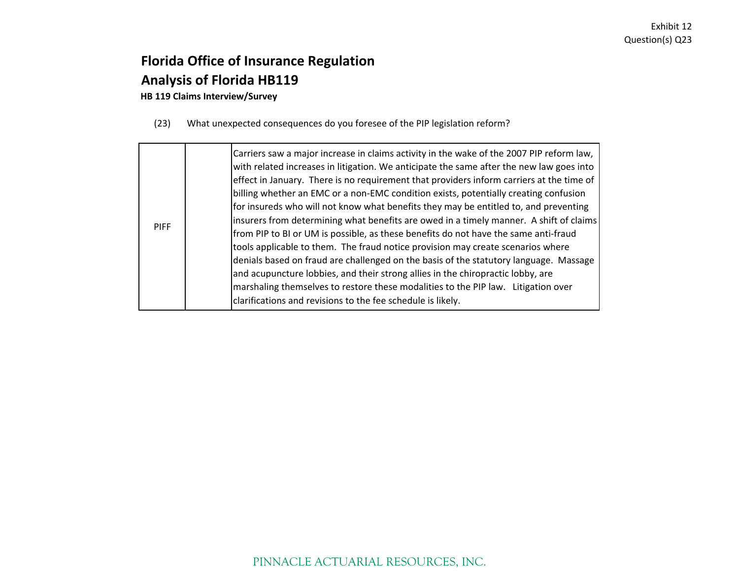## **Florida Office of Insurance Regulation Analysis of Florida HB119**

**HB 119 Claims Interview/Survey**

(23) What unexpected consequences do you foresee of the PIP legislation reform?

| <b>PIFF</b> | Carriers saw a major increase in claims activity in the wake of the 2007 PIP reform law,<br>with related increases in litigation. We anticipate the same after the new law goes into<br>effect in January. There is no requirement that providers inform carriers at the time of<br>billing whether an EMC or a non-EMC condition exists, potentially creating confusion<br>for insureds who will not know what benefits they may be entitled to, and preventing<br>insurers from determining what benefits are owed in a timely manner. A shift of claims<br>from PIP to BI or UM is possible, as these benefits do not have the same anti-fraud<br>tools applicable to them. The fraud notice provision may create scenarios where<br>denials based on fraud are challenged on the basis of the statutory language. Massage<br>and acupuncture lobbies, and their strong allies in the chiropractic lobby, are<br>marshaling themselves to restore these modalities to the PIP law. Litigation over<br>clarifications and revisions to the fee schedule is likely. |
|-------------|----------------------------------------------------------------------------------------------------------------------------------------------------------------------------------------------------------------------------------------------------------------------------------------------------------------------------------------------------------------------------------------------------------------------------------------------------------------------------------------------------------------------------------------------------------------------------------------------------------------------------------------------------------------------------------------------------------------------------------------------------------------------------------------------------------------------------------------------------------------------------------------------------------------------------------------------------------------------------------------------------------------------------------------------------------------------|
|-------------|----------------------------------------------------------------------------------------------------------------------------------------------------------------------------------------------------------------------------------------------------------------------------------------------------------------------------------------------------------------------------------------------------------------------------------------------------------------------------------------------------------------------------------------------------------------------------------------------------------------------------------------------------------------------------------------------------------------------------------------------------------------------------------------------------------------------------------------------------------------------------------------------------------------------------------------------------------------------------------------------------------------------------------------------------------------------|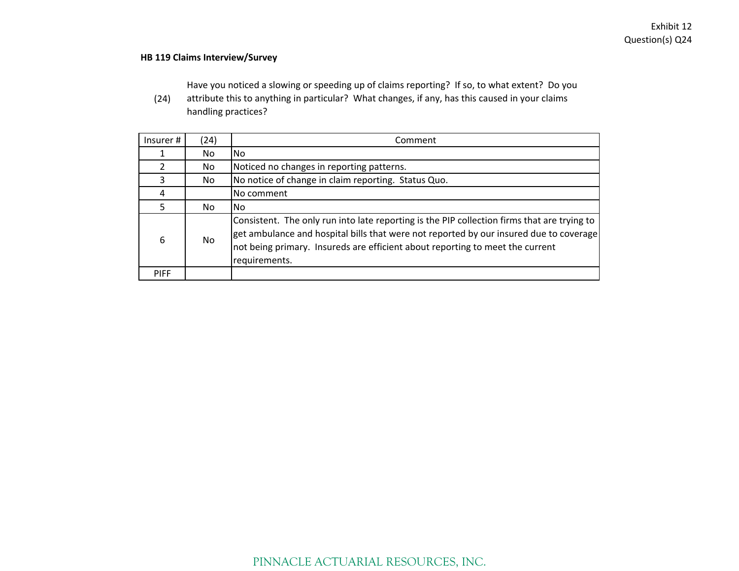#### **HB 119 Claims Interview/Survey**

Have you noticed <sup>a</sup> slowing or speeding up of claims reporting? If so, to what extent? Do you

(24) attribute this to anything in particular? What changes, if any, has this caused in your claims handling practices?

| Insurer#    | (24) | Comment                                                                                                                                                                                                                                                                                 |
|-------------|------|-----------------------------------------------------------------------------------------------------------------------------------------------------------------------------------------------------------------------------------------------------------------------------------------|
|             | No.  | No.                                                                                                                                                                                                                                                                                     |
| 2           | No   | Noticed no changes in reporting patterns.                                                                                                                                                                                                                                               |
| 3           | No   | No notice of change in claim reporting. Status Quo.                                                                                                                                                                                                                                     |
|             |      | No comment                                                                                                                                                                                                                                                                              |
| 5.          | No.  | No.                                                                                                                                                                                                                                                                                     |
| 6           | No.  | Consistent. The only run into late reporting is the PIP collection firms that are trying to<br>get ambulance and hospital bills that were not reported by our insured due to coverage<br>not being primary. Insureds are efficient about reporting to meet the current<br>requirements. |
| <b>PIFF</b> |      |                                                                                                                                                                                                                                                                                         |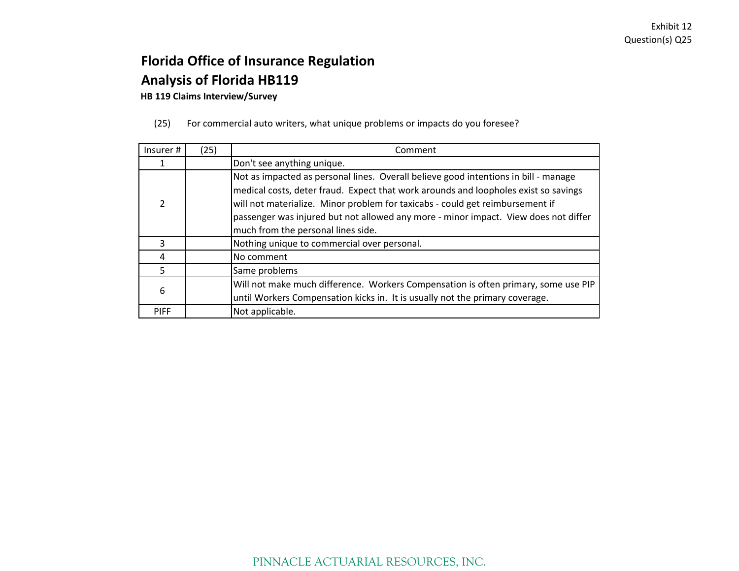**HB 119 Claims Interview/Survey**

(25) For commercial auto writers, what unique problems or impacts do you foresee?

| Insurer #   | (25) | Comment                                                                                                                                                                                                                                                                                                                                                                                  |
|-------------|------|------------------------------------------------------------------------------------------------------------------------------------------------------------------------------------------------------------------------------------------------------------------------------------------------------------------------------------------------------------------------------------------|
|             |      | Don't see anything unique.                                                                                                                                                                                                                                                                                                                                                               |
| 2           |      | Not as impacted as personal lines. Overall believe good intentions in bill - manage<br>medical costs, deter fraud. Expect that work arounds and loopholes exist so savings<br>will not materialize. Minor problem for taxicabs - could get reimbursement if<br>passenger was injured but not allowed any more - minor impact. View does not differ<br>much from the personal lines side. |
| 3           |      | Nothing unique to commercial over personal.                                                                                                                                                                                                                                                                                                                                              |
| 4           |      | No comment                                                                                                                                                                                                                                                                                                                                                                               |
| 5           |      | Same problems                                                                                                                                                                                                                                                                                                                                                                            |
| 6           |      | Will not make much difference. Workers Compensation is often primary, some use PIP<br>until Workers Compensation kicks in. It is usually not the primary coverage.                                                                                                                                                                                                                       |
| <b>PIFF</b> |      | Not applicable.                                                                                                                                                                                                                                                                                                                                                                          |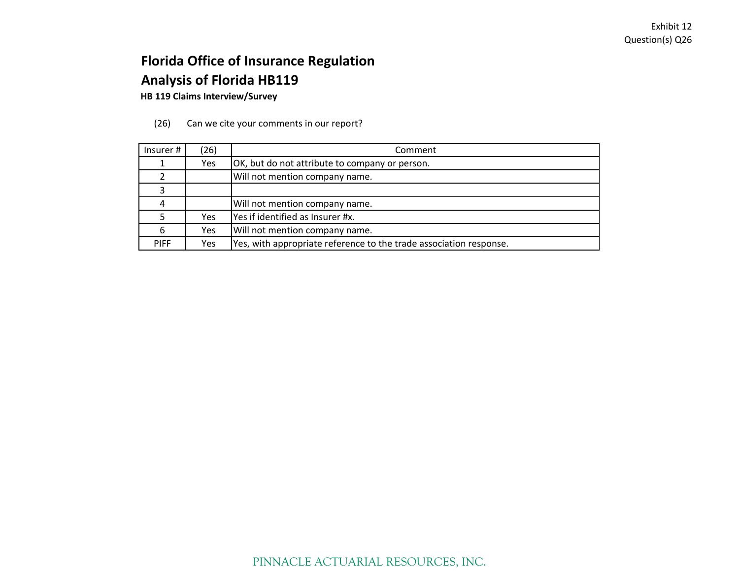**HB 119 Claims Interview/Survey**

|  | (26) |  | Can we cite your comments in our report? |  |
|--|------|--|------------------------------------------|--|
|--|------|--|------------------------------------------|--|

| Insurer#    | (26) | Comment                                                            |  |
|-------------|------|--------------------------------------------------------------------|--|
|             | Yes  | OK, but do not attribute to company or person.                     |  |
|             |      | Will not mention company name.                                     |  |
|             |      |                                                                    |  |
|             |      | Will not mention company name.                                     |  |
|             | Yes  | Yes if identified as Insurer #x.                                   |  |
|             | Yes  | Will not mention company name.                                     |  |
| <b>PIFF</b> | Yes  | Yes, with appropriate reference to the trade association response. |  |